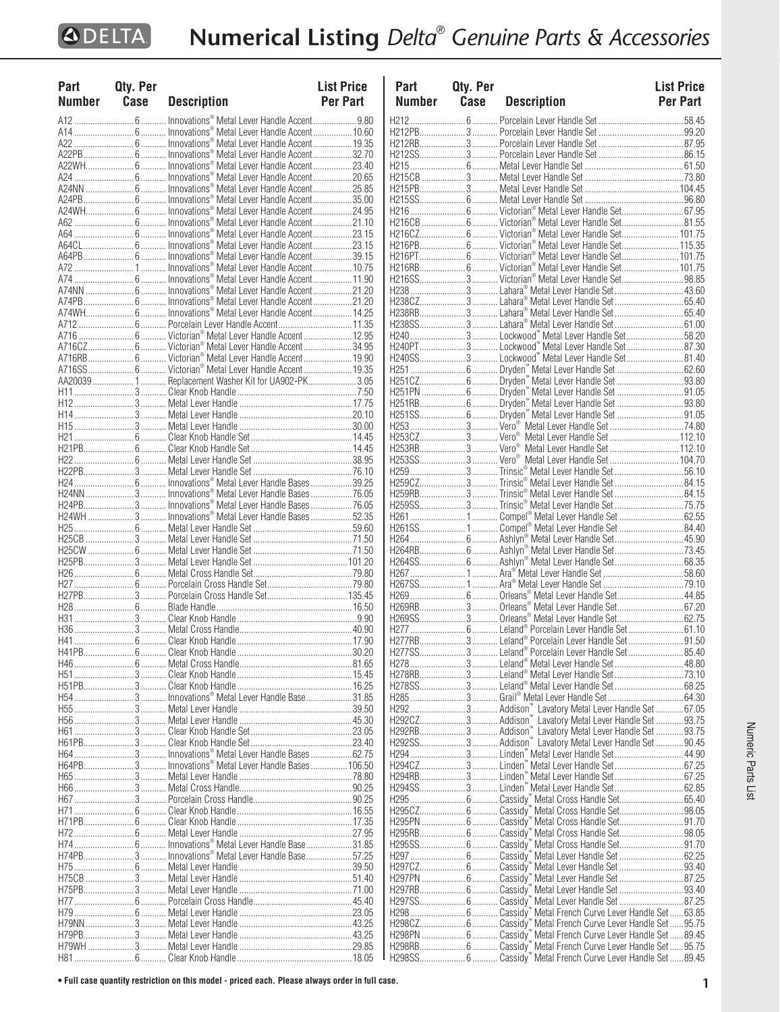| Part          | Qty. Per  |                                                                                                            | <b>List Price</b> | Part      | Qty. Per |                                                                                                                                | <b>List Price</b> |
|---------------|-----------|------------------------------------------------------------------------------------------------------------|-------------------|-----------|----------|--------------------------------------------------------------------------------------------------------------------------------|-------------------|
| <b>Number</b> | Case      | <b>Description</b>                                                                                         | Per Part          | Number    | Case     | <b>Description</b>                                                                                                             | <b>Per Part</b>   |
|               |           | Innovations <sup>®</sup> Metal Lever Handle Accent9.80                                                     |                   |           |          |                                                                                                                                |                   |
|               |           | Innovations® Metal Lever Handle Accent 10.60                                                               |                   |           |          |                                                                                                                                |                   |
|               |           |                                                                                                            |                   |           |          |                                                                                                                                |                   |
|               |           | A22WH……………………6 ………… Innovations® Metal Lever Handle Accent………………23.40                                      |                   |           |          |                                                                                                                                |                   |
|               |           |                                                                                                            |                   |           |          |                                                                                                                                |                   |
|               |           | A24NN …………………… 6 ………… Innovations® Metal Lever Handle Accent………………25.85                                    |                   |           |          |                                                                                                                                |                   |
|               |           |                                                                                                            |                   |           |          |                                                                                                                                |                   |
|               |           |                                                                                                            |                   |           |          |                                                                                                                                |                   |
|               |           |                                                                                                            |                   |           |          |                                                                                                                                |                   |
|               |           |                                                                                                            |                   |           |          |                                                                                                                                |                   |
|               |           |                                                                                                            |                   |           |          |                                                                                                                                |                   |
|               |           |                                                                                                            |                   |           |          |                                                                                                                                |                   |
|               |           |                                                                                                            |                   |           |          | H216SS3 Victorian® Metal Lever Handle Set98.85                                                                                 |                   |
|               |           | A74PB……………………6………… Innovations® Metal Lever Handle Accent………………21.20                                       |                   |           |          | H238CZ3 Lahara® Metal Lever Handle Set65.40                                                                                    |                   |
|               |           |                                                                                                            |                   |           |          | H238RB3 Lahara® Metal Lever Handle Set65.40                                                                                    |                   |
|               |           | A712 ……………………… 6 ………… Porcelain Lever Handle Accent…………………………… 11.35                                       |                   |           |          |                                                                                                                                |                   |
|               |           |                                                                                                            |                   |           |          |                                                                                                                                |                   |
|               |           |                                                                                                            |                   |           |          | H240PT3 Lockwood" Metal Lever Handle Set87.30                                                                                  |                   |
|               |           |                                                                                                            |                   |           |          | H240SS3 Lockwood" Metal Lever Handle Set81.40                                                                                  |                   |
|               |           | AA20039 1  Replacement Washer Kit for UA902-PK3.05                                                         |                   |           |          | H251CZ 6  Dryden <sup>"</sup> Metal Lever Handle Set 93.80                                                                     |                   |
|               |           |                                                                                                            |                   |           |          |                                                                                                                                |                   |
|               |           |                                                                                                            |                   |           |          | H251RB 6  Dryden" Metal Lever Handle Set 93.80                                                                                 |                   |
|               |           |                                                                                                            |                   |           |          |                                                                                                                                |                   |
|               |           |                                                                                                            |                   |           |          |                                                                                                                                |                   |
|               |           |                                                                                                            |                   |           |          | H253CZ3 Vero <sup>®</sup> Metal Lever Handle Set 112.10<br>H253RB3 Vero <sup>®</sup> Metal Lever Handle Set 112.10             |                   |
|               |           | H22 ……………………… 6 ………… Metal Lever Handle Set …………………………………………38.95                                          |                   |           |          | H253SS3 Vero <sup>®</sup> Metal Lever Handle Set 104.70                                                                        |                   |
|               |           |                                                                                                            |                   |           |          |                                                                                                                                |                   |
|               |           |                                                                                                            |                   |           |          |                                                                                                                                |                   |
|               |           |                                                                                                            |                   |           |          | H259RB3 Trinsic® Metal Lever Handle Set 84.15                                                                                  |                   |
|               |           | H24PB3 Innovations® Metal Lever Handle Bases76.05<br>H24WH  3  Innovations® Metal Lever Handle Bases 52.35 |                   |           |          | H259SS3 Trinsic® Metal Lever Handle Set75.75                                                                                   |                   |
|               |           |                                                                                                            |                   |           |          |                                                                                                                                |                   |
|               |           |                                                                                                            |                   |           |          |                                                                                                                                |                   |
|               |           |                                                                                                            |                   |           |          | H264RB 6  Ashlyn® Metal Lever Handle Set73.45                                                                                  |                   |
|               |           |                                                                                                            |                   |           |          |                                                                                                                                |                   |
|               |           |                                                                                                            |                   |           |          |                                                                                                                                |                   |
|               |           |                                                                                                            |                   |           |          |                                                                                                                                |                   |
|               |           |                                                                                                            |                   |           |          |                                                                                                                                |                   |
|               |           |                                                                                                            |                   |           |          | H269SS3 Orleans® Metal Lever Handle Set62.75                                                                                   |                   |
|               |           |                                                                                                            |                   |           |          |                                                                                                                                |                   |
|               |           |                                                                                                            |                   |           |          | H277RB3 Leland® Porcelain Lever Handle Set91.50                                                                                |                   |
|               |           |                                                                                                            |                   |           |          |                                                                                                                                |                   |
|               |           |                                                                                                            |                   |           |          | H278RB3 Leland® Metal Lever Handle Set73.10                                                                                    |                   |
|               | $H51PR$ 3 |                                                                                                            |                   | H278SS3   |          |                                                                                                                                |                   |
|               |           | H54…………………………3………… Innovations® Metal Lever Handle Base……………………31.85                                       |                   |           |          |                                                                                                                                |                   |
|               |           | H55 ………………………… 3 ………… Metal Lever Handle …………………………………………………… 39.50                                        |                   |           |          |                                                                                                                                |                   |
|               |           |                                                                                                            |                   |           |          | H292CZ 3  Addison <sup>"</sup> Lavatory Metal Lever Handle Set 93.75<br>H292RB3 Addison" Lavatory Metal Lever Handle Set 93.75 |                   |
|               | H61PB3    |                                                                                                            |                   |           |          | H292SS 3  Addison" Lavatory Metal Lever Handle Set  90.45                                                                      |                   |
|               |           | . Innovations® Metal Lever Handle Bases 62.75                                                              |                   |           |          |                                                                                                                                |                   |
|               |           | H64PB 3  Innovations® Metal Lever Handle Bases  106.50                                                     |                   |           |          | H294CZ3 Linden" Metal Lever Handle Set 67.25                                                                                   |                   |
|               |           |                                                                                                            |                   | H294RB3   |          |                                                                                                                                |                   |
|               |           |                                                                                                            |                   | H294SS3   |          |                                                                                                                                |                   |
|               |           |                                                                                                            |                   |           |          | Cassidy <sup>"</sup> Metal Cross Handle Set98.05                                                                               |                   |
|               |           |                                                                                                            |                   | H295PN  6 |          | Cassidy" Metal Cross Handle Set91.70                                                                                           |                   |
|               |           |                                                                                                            |                   |           |          | . Cassidy" Metal Cross Handle Set98.05                                                                                         |                   |
|               |           | H746 Innovations® Metal Lever Handle Base31.85                                                             |                   |           |          |                                                                                                                                |                   |
|               | H74PB3    | . Innovations® Metal Lever Handle Base57.25                                                                |                   |           |          | H297CZ 6  Cassidy" Metal Lever Handle Set 93.40                                                                                |                   |
|               |           |                                                                                                            |                   | H297PN  6 |          | . Cassidy" Metal Lever Handle Set  87.25                                                                                       |                   |
|               |           |                                                                                                            |                   |           |          | Cassidy" Metal Lever Handle Set 93.40                                                                                          |                   |
|               |           |                                                                                                            |                   |           |          | Cassidy" Metal Lever Handle Set  87.25                                                                                         |                   |
|               |           |                                                                                                            |                   |           |          |                                                                                                                                |                   |
|               |           |                                                                                                            |                   |           |          | H298CZ 6  Cassidy" Metal French Curve Lever Handle Set 95.75                                                                   |                   |
|               |           |                                                                                                            |                   | H298PN  6 |          | Cassidy" Metal French Curve Lever Handle Set89.45                                                                              |                   |
|               |           |                                                                                                            |                   |           |          |                                                                                                                                |                   |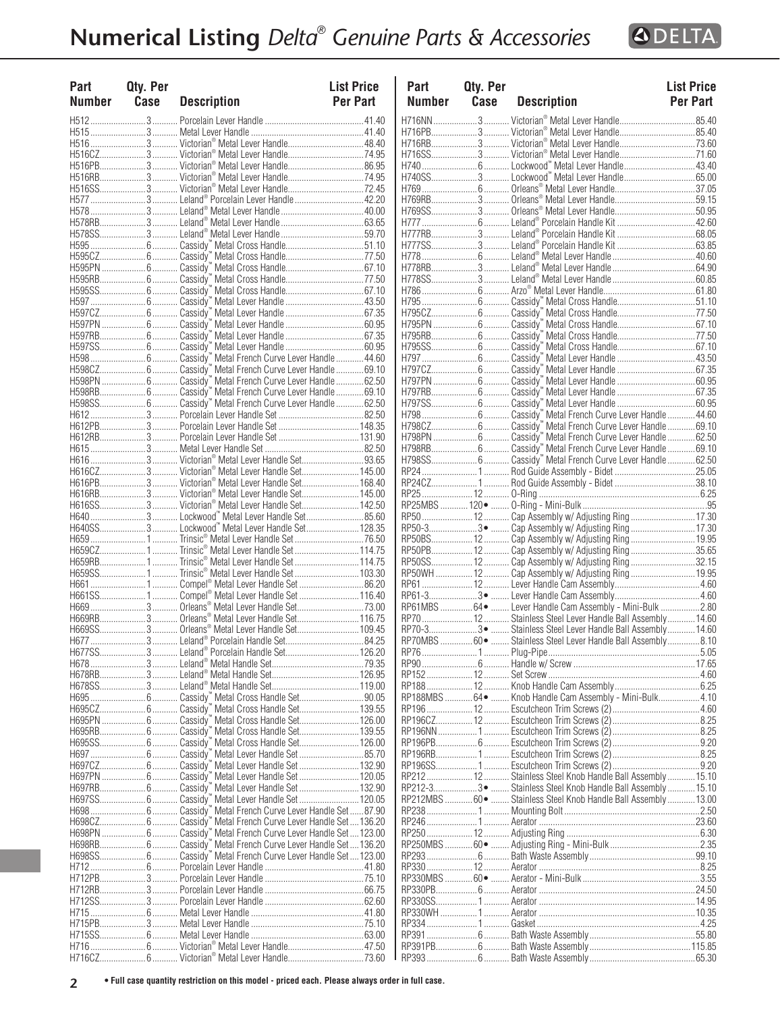

| Part<br><b>Number</b> | Qty. Per<br>Case | <b>Description</b>                               | <b>List Price</b><br>Per Part | Part<br>Number | <b>Qty. Per</b><br>Case | <b>Description</b>                                               | <b>List Price</b><br>Per Part |
|-----------------------|------------------|--------------------------------------------------|-------------------------------|----------------|-------------------------|------------------------------------------------------------------|-------------------------------|
|                       |                  |                                                  |                               |                |                         | H716NN  3  Victorian® Metal Lever Handle                         | .85.40                        |
|                       |                  |                                                  |                               |                |                         |                                                                  |                               |
|                       |                  |                                                  |                               |                |                         |                                                                  |                               |
|                       |                  | H516CZ3 Victorian® Metal Lever Handle74.95       |                               |                |                         | H716SS3 Victorian® Metal Lever Handle71.60                       |                               |
|                       |                  |                                                  |                               |                |                         |                                                                  |                               |
|                       |                  |                                                  |                               |                |                         |                                                                  |                               |
|                       |                  |                                                  |                               |                |                         |                                                                  |                               |
|                       |                  |                                                  |                               |                |                         |                                                                  |                               |
|                       |                  |                                                  |                               |                |                         |                                                                  |                               |
|                       |                  | H578SS3 Leland® Metal Lever Handle59.70          |                               |                |                         |                                                                  |                               |
|                       |                  |                                                  |                               |                |                         |                                                                  |                               |
|                       |                  |                                                  |                               |                |                         |                                                                  |                               |
|                       |                  |                                                  |                               |                |                         |                                                                  |                               |
|                       |                  |                                                  |                               |                |                         |                                                                  |                               |
|                       |                  |                                                  |                               |                |                         |                                                                  |                               |
|                       |                  |                                                  |                               |                |                         |                                                                  |                               |
|                       |                  |                                                  |                               |                |                         |                                                                  |                               |
|                       |                  |                                                  |                               |                |                         |                                                                  |                               |
|                       |                  |                                                  |                               |                |                         |                                                                  |                               |
|                       |                  |                                                  |                               |                |                         |                                                                  |                               |
|                       |                  |                                                  |                               |                |                         |                                                                  |                               |
|                       |                  |                                                  |                               |                |                         |                                                                  |                               |
|                       |                  |                                                  |                               |                |                         |                                                                  |                               |
|                       |                  |                                                  |                               |                |                         |                                                                  |                               |
|                       |                  |                                                  |                               |                |                         |                                                                  |                               |
|                       |                  |                                                  |                               |                |                         |                                                                  |                               |
|                       |                  |                                                  |                               |                |                         |                                                                  |                               |
|                       |                  |                                                  |                               |                |                         |                                                                  |                               |
|                       |                  |                                                  |                               |                |                         |                                                                  |                               |
|                       |                  | H616CZ3 Victorian® Metal Lever Handle Set145.00  |                               |                |                         |                                                                  |                               |
|                       |                  | H616PB3 Victorian® Metal Lever Handle Set168.40  |                               |                |                         | RP24CZ1Rod Guide Assembly - Bidet 38.10                          |                               |
|                       |                  |                                                  |                               |                |                         |                                                                  |                               |
|                       |                  |                                                  |                               |                |                         |                                                                  |                               |
|                       |                  |                                                  |                               |                |                         |                                                                  |                               |
|                       |                  | H640SS3 Lockwood" Metal Lever Handle Set 128.35  |                               |                |                         | RP50-33 ·  Cap Assembly w/ Adjusting Ring  17.30                 |                               |
|                       |                  |                                                  |                               |                |                         | RP50BS 12  Cap Assembly w/ Adjusting Ring  19.95                 |                               |
|                       |                  |                                                  |                               |                |                         | RP50PB 12  Cap Assembly w/ Adjusting Ring 35.65                  |                               |
|                       |                  | H659RB1Trinsic® Metal Lever Handle Set114.75     |                               |                |                         | RP50SS 12  Cap Assembly w/ Adjusting Ring  32.15                 |                               |
|                       |                  | H659SS1Trinsic® Metal Lever Handle Set103.30     |                               |                |                         | RP50WH  12  Cap Assembly w/ Adjusting Ring  19.95                |                               |
|                       |                  |                                                  |                               |                |                         |                                                                  |                               |
|                       |                  |                                                  |                               |                |                         | RP61MBS  64 ·  Lever Handle Cam Assembly - Mini-Bulk 2.80        |                               |
|                       |                  |                                                  |                               |                |                         |                                                                  |                               |
|                       |                  | H669SS 3  Orleans® Metal Lever Handle Set 109.45 |                               |                |                         | RP70-33 ·  Stainless Steel Lever Handle Ball Assembly 14.60      |                               |
|                       |                  |                                                  |                               |                |                         | RP70MBS  60 ·  Stainless Steel Lever Handle Ball Assembly  8.10  |                               |
|                       |                  | H677SS3 Leland® Porcelain Handle Set126.20       |                               |                |                         |                                                                  | 5.05                          |
|                       |                  |                                                  |                               |                |                         |                                                                  |                               |
|                       |                  |                                                  |                               |                |                         |                                                                  |                               |
|                       |                  |                                                  |                               |                |                         |                                                                  |                               |
|                       |                  |                                                  |                               |                |                         | RP188MBS 64 •  Knob Handle Cam Assembly - Mini-Bulk4.10          |                               |
|                       |                  |                                                  |                               |                |                         |                                                                  |                               |
|                       |                  |                                                  |                               |                |                         |                                                                  |                               |
|                       |                  |                                                  |                               |                |                         |                                                                  |                               |
|                       |                  |                                                  |                               |                |                         |                                                                  |                               |
|                       |                  |                                                  |                               |                |                         |                                                                  |                               |
|                       |                  |                                                  |                               |                |                         |                                                                  |                               |
|                       |                  |                                                  |                               |                |                         | RP212 12 Stainless Steel Knob Handle Ball Assembly 15.10         |                               |
|                       |                  |                                                  |                               |                |                         | RP212-33 ·  Stainless Steel Knob Handle Ball Assembly  15.10     |                               |
|                       |                  |                                                  |                               |                |                         | RP212MBS  60 ·  Stainless Steel Knob Handle Ball Assembly  13.00 |                               |
|                       |                  |                                                  |                               |                |                         |                                                                  |                               |
|                       |                  |                                                  |                               |                |                         |                                                                  |                               |
|                       |                  |                                                  |                               |                |                         |                                                                  |                               |
|                       |                  |                                                  |                               |                |                         |                                                                  |                               |
|                       |                  |                                                  |                               |                |                         |                                                                  |                               |
|                       |                  |                                                  |                               |                |                         |                                                                  |                               |
|                       |                  |                                                  |                               |                |                         |                                                                  |                               |
| H712SS                |                  |                                                  |                               |                |                         |                                                                  |                               |
|                       |                  |                                                  |                               |                |                         |                                                                  |                               |
|                       |                  |                                                  |                               |                |                         |                                                                  |                               |
|                       |                  |                                                  |                               |                |                         |                                                                  |                               |
|                       |                  |                                                  |                               |                |                         |                                                                  |                               |
|                       |                  |                                                  |                               |                |                         |                                                                  |                               |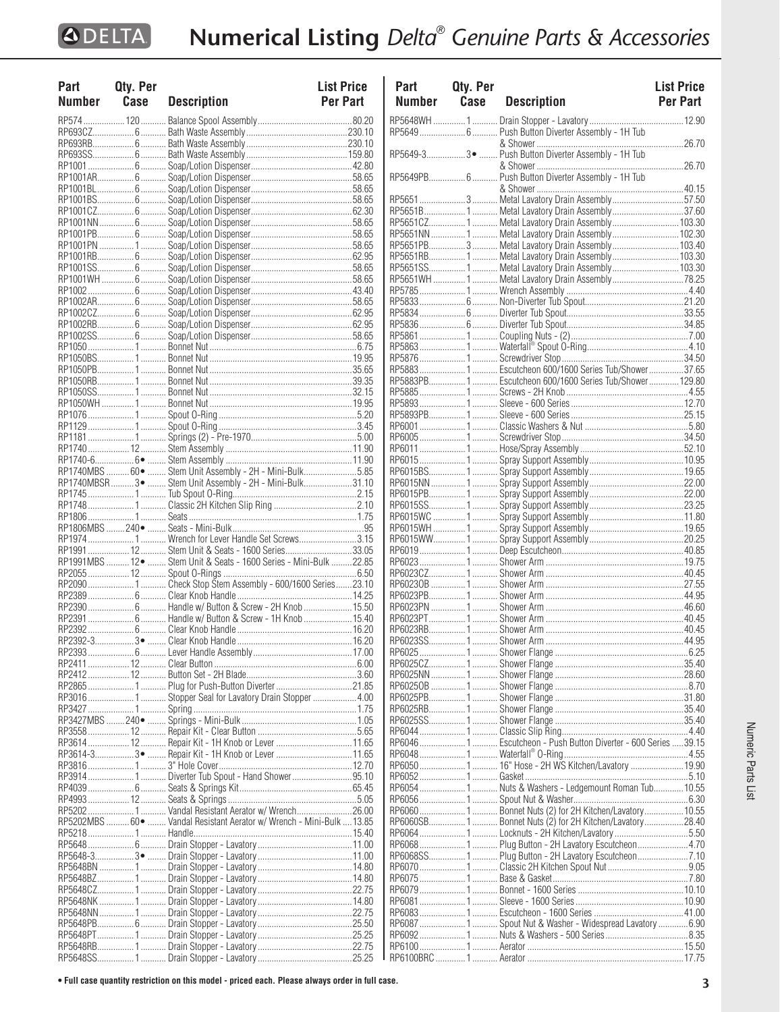| Part   | Qty. Per |                                                                        | <b>List Price</b> |
|--------|----------|------------------------------------------------------------------------|-------------------|
| Number | Case     | <b>Description</b>                                                     | <b>Per Part</b>   |
|        |          |                                                                        |                   |
|        |          |                                                                        |                   |
|        |          |                                                                        |                   |
|        |          |                                                                        |                   |
|        |          |                                                                        |                   |
|        |          |                                                                        |                   |
|        |          |                                                                        |                   |
|        |          |                                                                        |                   |
|        |          |                                                                        |                   |
|        |          |                                                                        |                   |
|        |          |                                                                        |                   |
|        |          |                                                                        |                   |
|        |          |                                                                        |                   |
|        |          |                                                                        |                   |
|        |          |                                                                        |                   |
|        |          |                                                                        |                   |
|        |          |                                                                        |                   |
|        |          |                                                                        |                   |
|        |          |                                                                        |                   |
|        |          |                                                                        |                   |
|        |          |                                                                        |                   |
|        |          |                                                                        |                   |
|        |          |                                                                        |                   |
|        |          |                                                                        |                   |
|        |          |                                                                        |                   |
|        |          |                                                                        |                   |
|        |          |                                                                        |                   |
|        |          |                                                                        |                   |
|        |          |                                                                        |                   |
|        |          |                                                                        |                   |
|        |          | RP1740MBS 60  Stem Unit Assembly - 2H - Mini-Bulk5.85                  |                   |
|        |          | RP1740MBSR  3 ·  Stem Unit Assembly - 2H - Mini-Bulk 31.10             |                   |
|        |          |                                                                        |                   |
|        |          |                                                                        |                   |
|        |          |                                                                        |                   |
|        |          |                                                                        |                   |
|        |          |                                                                        |                   |
|        |          | RP1991  12  Stem Unit & Seats - 1600 Series33.05                       |                   |
|        |          | RP1991MBS  12 ·  Stem Unit & Seats - 1600 Series - Mini-Bulk  22.85    |                   |
|        |          |                                                                        |                   |
|        |          | RP20901 Check Stop Stem Assembly - 600/1600 Series23.10                |                   |
|        |          |                                                                        |                   |
|        |          |                                                                        |                   |
|        |          | RP2391  6  Handle w/ Button & Screw - 1H Knob  15.40                   |                   |
|        |          |                                                                        |                   |
|        |          |                                                                        |                   |
|        |          |                                                                        |                   |
|        |          |                                                                        |                   |
|        |          |                                                                        |                   |
|        |          |                                                                        |                   |
|        |          |                                                                        |                   |
|        |          |                                                                        |                   |
|        |          |                                                                        |                   |
|        |          |                                                                        |                   |
|        |          | RP3614-33 ·  Repair Kit - 1H Knob or Lever  11.65                      |                   |
|        |          |                                                                        |                   |
|        |          | RP3914 1 Diverter Tub Spout - Hand Shower95.10                         |                   |
|        |          |                                                                        |                   |
|        |          |                                                                        |                   |
|        |          | RP52021 Vandal Resistant Aerator w/ Wrench26.00                        |                   |
|        |          | RP5202MBS  60 ·  Vandal Resistant Aerator w/ Wrench - Mini-Bulk  13.85 |                   |
|        |          |                                                                        |                   |
|        |          |                                                                        |                   |
|        |          |                                                                        |                   |
|        |          |                                                                        |                   |
|        |          |                                                                        |                   |
|        |          |                                                                        |                   |
|        |          |                                                                        |                   |
|        |          |                                                                        |                   |
|        |          |                                                                        |                   |
|        |          |                                                                        |                   |
|        |          |                                                                        |                   |

| Part          | Qty. Per |                                                                                                  | <b>List Price</b> |
|---------------|----------|--------------------------------------------------------------------------------------------------|-------------------|
| <b>Number</b> | Case     | <b>Description</b>                                                                               | <b>Per Part</b>   |
|               |          |                                                                                                  |                   |
|               |          |                                                                                                  |                   |
|               |          | & Shower                                                                                         |                   |
|               |          |                                                                                                  |                   |
|               |          |                                                                                                  |                   |
|               |          |                                                                                                  |                   |
|               |          |                                                                                                  |                   |
|               |          |                                                                                                  |                   |
|               |          | RP5651B1 Metal Lavatory Drain Assembly37.60                                                      |                   |
|               |          | RP5651CZ1 Metal Lavatory Drain Assembly103.30                                                    |                   |
|               |          | RP5651NN 1  Metal Lavatory Drain Assembly  102.30                                                |                   |
|               |          | RP5651PB3 Metal Lavatory Drain Assembly 103.40                                                   |                   |
|               |          | RP5651RB1  Metal Lavatory Drain Assembly 103.30<br>RP5651SS1 Metal Lavatory Drain Assembly103.30 |                   |
|               |          | RP5651WH 1  Metal Lavatory Drain Assembly 78.25                                                  |                   |
|               |          |                                                                                                  |                   |
|               |          |                                                                                                  |                   |
|               |          |                                                                                                  |                   |
|               |          |                                                                                                  |                   |
|               |          |                                                                                                  |                   |
|               |          |                                                                                                  |                   |
|               |          |                                                                                                  |                   |
|               |          | RP58831 Escutcheon 600/1600 Series Tub/Shower37.65                                               |                   |
|               |          | RP5883PB1 Escutcheon 600/1600 Series Tub/Shower 129.80                                           |                   |
|               |          |                                                                                                  |                   |
|               |          |                                                                                                  |                   |
|               |          |                                                                                                  |                   |
|               |          |                                                                                                  |                   |
|               |          |                                                                                                  |                   |
|               |          |                                                                                                  |                   |
|               |          |                                                                                                  |                   |
|               |          |                                                                                                  |                   |
|               |          |                                                                                                  |                   |
|               |          |                                                                                                  |                   |
|               |          |                                                                                                  |                   |
|               |          |                                                                                                  |                   |
|               |          |                                                                                                  |                   |
|               |          |                                                                                                  |                   |
|               |          |                                                                                                  |                   |
|               |          |                                                                                                  |                   |
|               |          |                                                                                                  |                   |
|               |          |                                                                                                  |                   |
|               |          |                                                                                                  |                   |
|               |          |                                                                                                  |                   |
|               |          |                                                                                                  |                   |
|               |          |                                                                                                  |                   |
|               |          |                                                                                                  |                   |
|               |          |                                                                                                  |                   |
|               |          |                                                                                                  |                   |
|               |          |                                                                                                  |                   |
|               |          |                                                                                                  |                   |
|               |          |                                                                                                  |                   |
|               |          |                                                                                                  |                   |
|               |          | RP6046 1 Escutcheon - Push Button Diverter - 600 Series  39.15                                   |                   |
|               |          |                                                                                                  |                   |
|               |          |                                                                                                  |                   |
|               |          | RP60541 Nuts & Washers - Ledgemount Roman Tub10.55                                               |                   |
|               |          |                                                                                                  |                   |
|               |          | RP6060 1  Bonnet Nuts (2) for 2H Kitchen/Lavatory 10.55                                          |                   |
|               |          | RP6060SB1 Bonnet Nuts (2) for 2H Kitchen/Lavatory28.40                                           |                   |
|               |          | RP6064 1  Locknuts - 2H Kitchen/Lavatory 5.50                                                    |                   |
|               |          | RP6068  1  Plug Button - 2H Lavatory Escutcheon  4.70                                            |                   |
|               |          | RP6068SS1 Plug Button - 2H Lavatory Escutcheon7.10                                               |                   |
|               |          |                                                                                                  |                   |
|               |          |                                                                                                  |                   |
|               |          |                                                                                                  |                   |
|               |          |                                                                                                  |                   |
|               |          |                                                                                                  |                   |
|               |          | RP6087 1  Spout Nut & Washer - Widespread Lavatory 6.90                                          |                   |
|               |          |                                                                                                  |                   |
|               |          |                                                                                                  |                   |
|               |          |                                                                                                  |                   |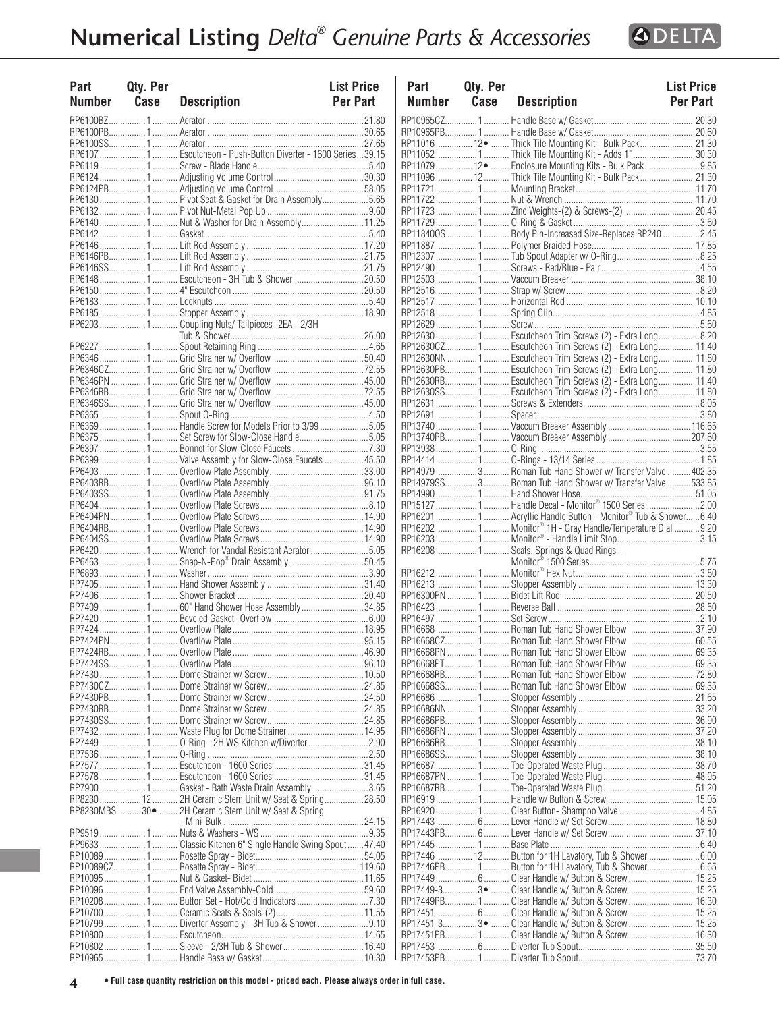| Part<br><b>Number</b> | Qty. Per<br>Case | <b>Description</b>                                              | <b>List Price</b><br><b>Per Part</b> | Part<br><b>Numb</b>  |
|-----------------------|------------------|-----------------------------------------------------------------|--------------------------------------|----------------------|
|                       |                  |                                                                 |                                      | RP109650             |
|                       |                  |                                                                 |                                      | RP10965F             |
|                       |                  |                                                                 |                                      | RP11016              |
|                       |                  | RP6107  1  Escutcheon - Push-Button Diverter - 1600 Series39.15 |                                      | RP11052              |
|                       |                  |                                                                 |                                      | RP11079              |
|                       |                  |                                                                 |                                      | RP11096              |
|                       |                  |                                                                 |                                      | RP11721<br>RP11722   |
|                       |                  |                                                                 |                                      | RP11723              |
|                       |                  |                                                                 |                                      | RP11729              |
|                       |                  |                                                                 |                                      | RP118400             |
|                       |                  |                                                                 |                                      | RP11887              |
|                       |                  |                                                                 |                                      | RP12307              |
|                       |                  |                                                                 |                                      | RP12490              |
|                       |                  |                                                                 |                                      | RP12503              |
|                       |                  |                                                                 |                                      | RP12516              |
|                       |                  |                                                                 |                                      | RP12517              |
|                       |                  |                                                                 |                                      | RP12518              |
|                       |                  | RP62031 Coupling Nuts/Tailpieces- 2EA - 2/3H                    |                                      | RP12629              |
|                       |                  |                                                                 |                                      | RP12630              |
|                       |                  |                                                                 |                                      | RP126300<br>RP12630  |
|                       |                  |                                                                 |                                      | RP12630F             |
|                       |                  |                                                                 |                                      | RP12630F             |
|                       |                  |                                                                 |                                      | RP126309             |
|                       |                  |                                                                 |                                      | RP12631              |
|                       |                  |                                                                 |                                      | RP12691              |
|                       |                  | RP6369 1  Handle Screw for Models Prior to 3/99 5.05            |                                      | RP13740              |
|                       |                  |                                                                 |                                      | RP13740F             |
|                       |                  |                                                                 |                                      | RP13938              |
|                       |                  | RP63991 Valve Assembly for Slow-Close Faucets 45.50             |                                      | RP14414              |
|                       |                  |                                                                 |                                      | RP14979              |
|                       |                  |                                                                 |                                      | RP149799             |
|                       |                  |                                                                 |                                      | RP14990              |
|                       |                  |                                                                 |                                      | RP15127              |
|                       |                  |                                                                 |                                      | RP16201              |
|                       |                  |                                                                 |                                      | RP16202              |
|                       |                  |                                                                 |                                      | RP16203<br>RP16208   |
|                       |                  | RP6463 1  Snap-N-Pop® Drain Assembly 50.45                      |                                      |                      |
|                       |                  |                                                                 |                                      | RP16212              |
|                       |                  |                                                                 |                                      | RP16213              |
|                       |                  |                                                                 |                                      | RP16300F             |
|                       |                  |                                                                 |                                      | RP16423              |
|                       |                  |                                                                 |                                      | RP16497              |
|                       |                  |                                                                 |                                      | RP16668              |
|                       |                  |                                                                 |                                      | RP166680             |
|                       |                  |                                                                 |                                      | RP16668F             |
|                       |                  |                                                                 |                                      | RP16668F             |
|                       |                  |                                                                 |                                      | RP16668F             |
|                       |                  |                                                                 |                                      | RP166689             |
|                       |                  |                                                                 |                                      | RP16686              |
|                       |                  |                                                                 |                                      | RP166861<br>RP16686F |
|                       |                  |                                                                 |                                      | RP16686F             |
|                       |                  | RP7449 1  O-Ring - 2H WS Kitchen w/Diverter 2.90                |                                      | RP16686F             |
|                       |                  |                                                                 |                                      | RP166869             |
|                       |                  |                                                                 |                                      | RP16687              |
|                       |                  |                                                                 |                                      | RP16687F             |
|                       |                  |                                                                 |                                      | RP16687F             |
|                       |                  | RP8230 12 2H Ceramic Stem Unit w/ Seat & Spring28.50            |                                      | RP16919.             |
|                       |                  | RP8230MBS 30 ·  2H Ceramic Stem Unit w/ Seat & Spring           |                                      | RP16920              |
|                       |                  |                                                                 |                                      | RP17443              |
|                       |                  |                                                                 |                                      | RP17443F             |
|                       |                  | RP96331 Classic Kitchen 6" Single Handle Swing Spout 47.40      |                                      | RP17445              |
|                       |                  |                                                                 |                                      | RP17446              |
|                       |                  |                                                                 |                                      | RP17446F<br>RP17449  |
|                       |                  |                                                                 |                                      | RP17449-             |
|                       |                  |                                                                 |                                      | RP17449F             |
|                       |                  |                                                                 |                                      | RP17451              |
|                       |                  | RP107991 Diverter Assembly - 3H Tub & Shower                    |                                      | RP17451-             |
|                       |                  |                                                                 |                                      | RP17451F             |
|                       |                  |                                                                 |                                      | RP17453              |
|                       |                  |                                                                 |                                      | RP17453F             |

| Part   | Qty. Per |                                                                 | <b>List Price</b> |
|--------|----------|-----------------------------------------------------------------|-------------------|
| Number | Case     | <b>Description</b>                                              | <b>Per Part</b>   |
|        |          |                                                                 |                   |
|        |          |                                                                 |                   |
|        |          | RP11016 12 ·  Thick Tile Mounting Kit - Bulk Pack 21.30         |                   |
|        |          | RP11052 1  Thick Tile Mounting Kit - Adds 1" 30.30              |                   |
|        |          | RP11079  12 ·  Enclosure Mounting Kits - Bulk Pack 9.85         |                   |
|        |          | RP11096  12  Thick Tile Mounting Kit - Bulk Pack  21.30         |                   |
|        |          |                                                                 |                   |
|        |          |                                                                 |                   |
|        |          |                                                                 |                   |
|        |          |                                                                 |                   |
|        |          |                                                                 |                   |
|        |          |                                                                 |                   |
|        |          |                                                                 |                   |
|        |          |                                                                 |                   |
|        |          |                                                                 |                   |
|        |          |                                                                 |                   |
|        |          |                                                                 |                   |
|        |          |                                                                 |                   |
|        |          | RP12630 1  Escutcheon Trim Screws (2) - Extra Long8.20          |                   |
|        |          | RP12630CZ 1 Escutcheon Trim Screws (2) - Extra Long 11.40       |                   |
|        |          | RP12630NN  1  Escutcheon Trim Screws (2) - Extra Long 11.80     |                   |
|        |          | RP12630PB1 Escutcheon Trim Screws (2) - Extra Long11.80         |                   |
|        |          | RP12630RB1 Escutcheon Trim Screws (2) - Extra Long11.40         |                   |
|        |          | RP12630SS1 Escutcheon Trim Screws (2) - Extra Long11.80         |                   |
|        |          |                                                                 |                   |
|        |          |                                                                 |                   |
|        |          |                                                                 |                   |
|        |          |                                                                 |                   |
|        |          |                                                                 |                   |
|        |          | RP14979  3  Roman Tub Hand Shower w/ Transfer Valve  402.35     |                   |
|        |          | RP14979SS 3  Roman Tub Hand Shower w/ Transfer Valve  533.85    |                   |
|        |          |                                                                 |                   |
|        |          | RP15127  1  Handle Decal - Monitor® 1500 Series                 |                   |
|        |          | RP16201  1  Acryllic Handle Button - Monitor® Tub & Shower 6.40 |                   |
|        |          | RP16202 1  Monitor® 1H - Gray Handle/Temperature Dial 9.20      |                   |
|        |          | RP16208  1  Seats, Springs & Quad Rings -                       |                   |
|        |          |                                                                 |                   |
|        |          |                                                                 |                   |
|        |          |                                                                 |                   |
|        |          |                                                                 |                   |
|        |          |                                                                 |                   |
|        |          |                                                                 |                   |
|        |          | RP16668 1  Roman Tub Hand Shower Elbow 37.90                    |                   |
|        |          | RP16668CZ1 Roman Tub Hand Shower Elbow 60.55                    |                   |
|        |          | RP16668PN 1  Roman Tub Hand Shower Elbow 69.35                  |                   |
|        |          | RP16668PT1 Roman Tub Hand Shower Elbow 69.35                    |                   |
|        |          | RP16668RB1 Roman Tub Hand Shower Elbow 72.80                    |                   |
|        |          | RP16668SS1 Roman Tub Hand Shower Elbow 69.35                    |                   |
|        |          |                                                                 |                   |
|        |          |                                                                 |                   |
|        |          |                                                                 |                   |
|        |          |                                                                 |                   |
|        |          |                                                                 |                   |
|        |          |                                                                 |                   |
|        |          |                                                                 |                   |
|        |          |                                                                 |                   |
|        |          |                                                                 |                   |
|        |          |                                                                 |                   |
|        |          |                                                                 |                   |
|        |          |                                                                 |                   |
|        |          | RP17446  12  Button for 1H Lavatory, Tub & Shower  6.00         |                   |
|        |          | RP17446PB1 Button for 1H Lavatory, Tub & Shower 6.65            |                   |
|        |          | RP17449  6  Clear Handle w/ Button & Screw  15.25               |                   |
|        |          | RP17449-33•  Clear Handle w/ Button & Screw  15.25              |                   |
|        |          | RP17449PB1Clear Handle w/ Button & Screw16.30                   |                   |
|        |          | RP17451 6  Clear Handle w/ Button & Screw 15.25                 |                   |
|        |          | RP17451-33 ·  Clear Handle w/ Button & Screw  15.25             |                   |
|        |          | RP17451PB1 Clear Handle w/ Button & Screw16.30                  |                   |
|        |          |                                                                 |                   |
|        |          |                                                                 |                   |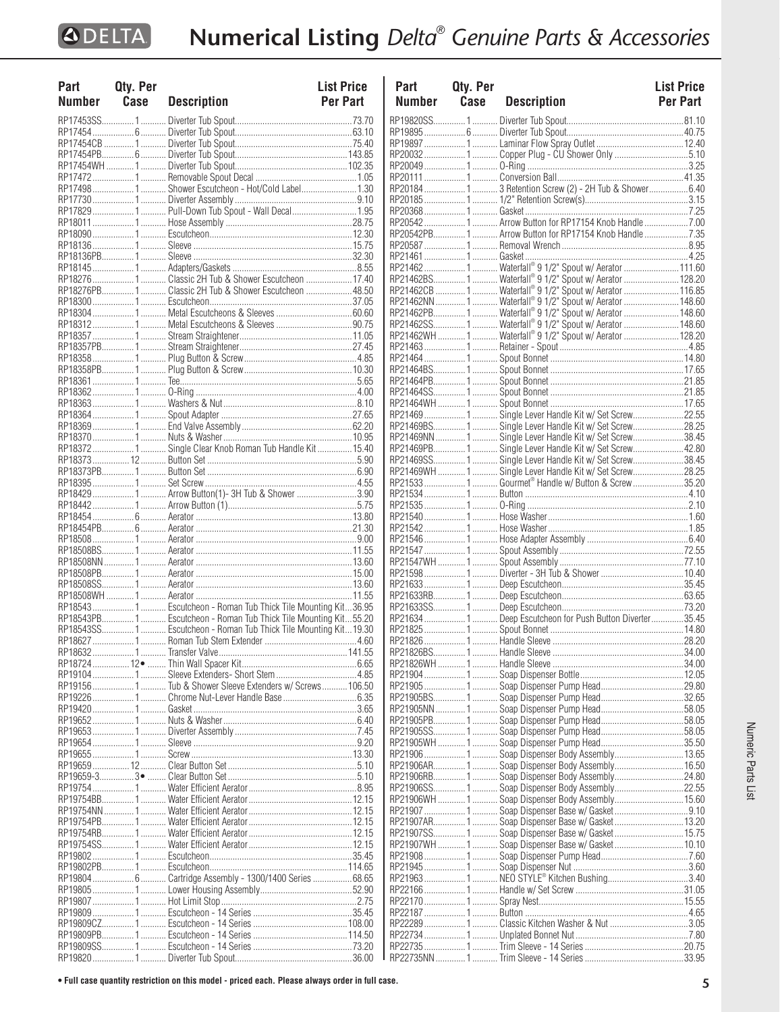| Part   | Qty. Per |                                                                | List Price      |
|--------|----------|----------------------------------------------------------------|-----------------|
| Number | Case     | <b>Description</b>                                             | <b>Per Part</b> |
|        |          |                                                                |                 |
|        |          |                                                                |                 |
|        |          |                                                                |                 |
|        |          |                                                                |                 |
|        |          |                                                                |                 |
|        |          |                                                                |                 |
|        |          | RP17498  1  Shower Escutcheon - Hot/Cold Label 1.30            |                 |
|        |          |                                                                |                 |
|        |          |                                                                |                 |
|        |          | RP17829  1  Pull-Down Tub Spout - Wall Decal  1.95             |                 |
|        |          |                                                                |                 |
|        |          |                                                                |                 |
|        |          |                                                                |                 |
|        |          |                                                                |                 |
|        |          |                                                                |                 |
|        |          | RP18276  1  Classic 2H Tub & Shower Escutcheon  17.40          |                 |
|        |          | RP18276PB1.  Classic 2H Tub & Shower Escutcheon  48.50         |                 |
|        |          |                                                                |                 |
|        |          |                                                                |                 |
|        |          |                                                                |                 |
|        |          |                                                                |                 |
|        |          |                                                                |                 |
|        |          |                                                                |                 |
|        |          |                                                                |                 |
|        |          |                                                                |                 |
|        |          |                                                                |                 |
|        |          |                                                                |                 |
|        |          |                                                                |                 |
|        |          |                                                                |                 |
|        |          |                                                                |                 |
|        |          | RP18372 1 Single Clear Knob Roman Tub Handle Kit 15.40         |                 |
|        |          |                                                                |                 |
|        |          |                                                                |                 |
|        |          |                                                                |                 |
|        |          | RP18429  1  Arrow Button(1)-3H Tub & Shower 3.90               |                 |
|        |          |                                                                |                 |
|        |          |                                                                |                 |
|        |          |                                                                |                 |
|        |          |                                                                |                 |
|        |          |                                                                |                 |
|        |          |                                                                |                 |
|        |          |                                                                |                 |
|        |          |                                                                |                 |
|        |          |                                                                |                 |
|        |          | RP18543 1  Escutcheon - Roman Tub Thick Tile Mounting Kit36.95 |                 |
|        |          | RP18543PB1 Escutcheon - Roman Tub Thick Tile Mounting Kit55.20 |                 |
|        |          | RP18543SS1 Escutcheon - Roman Tub Thick Tile Mounting Kit19.30 |                 |
|        |          |                                                                |                 |
|        |          |                                                                |                 |
|        |          |                                                                |                 |
|        |          |                                                                |                 |
|        |          | RP191561 Tub & Shower Sleeve Extenders w/ Screws 106.50        |                 |
|        |          |                                                                |                 |
|        |          |                                                                |                 |
|        |          |                                                                |                 |
|        |          |                                                                |                 |
|        |          |                                                                |                 |
|        |          |                                                                |                 |
|        |          |                                                                |                 |
|        |          |                                                                |                 |
|        |          |                                                                |                 |
|        |          |                                                                |                 |
|        |          |                                                                |                 |
|        |          |                                                                |                 |
|        |          |                                                                |                 |
|        |          |                                                                |                 |
|        |          |                                                                |                 |
|        |          |                                                                |                 |
|        |          | RP19804  6  Cartridge Assembly - 1300/1400 Series  68.65       |                 |
|        |          |                                                                |                 |
|        |          |                                                                |                 |
|        |          |                                                                |                 |
|        |          |                                                                |                 |
|        |          |                                                                |                 |
|        |          |                                                                |                 |
|        |          |                                                                |                 |
|        |          |                                                                |                 |

| Part<br><b>Number</b> | Qty. Per<br>Case | <b>Description</b>                                                                                              | <b>List Price</b><br>Per Part |
|-----------------------|------------------|-----------------------------------------------------------------------------------------------------------------|-------------------------------|
|                       |                  |                                                                                                                 |                               |
|                       |                  |                                                                                                                 |                               |
|                       |                  |                                                                                                                 |                               |
|                       |                  | RP20032  1  Copper Plug - CU Shower Only 5.10                                                                   |                               |
|                       |                  |                                                                                                                 |                               |
|                       |                  |                                                                                                                 |                               |
|                       |                  | RP20184  1  3 Retention Screw (2) - 2H Tub & Shower 6.40                                                        |                               |
|                       |                  |                                                                                                                 |                               |
|                       |                  | RP20542 1  Arrow Button for RP17154 Knob Handle  7.00                                                           |                               |
|                       |                  | RP20542PB1 Arrow Button for RP17154 Knob Handle7.35                                                             |                               |
|                       |                  |                                                                                                                 |                               |
|                       |                  |                                                                                                                 |                               |
|                       |                  |                                                                                                                 |                               |
|                       |                  | <br>RP21462BS 1  Waterfall® 9 1/2" Spout w/ Aerator  128.20                                                     |                               |
|                       |                  |                                                                                                                 |                               |
|                       |                  | RP21462NN  1  Waterfall® 9 1/2" Spout w/ Aerator  148.60                                                        |                               |
|                       |                  | RP21462PB1 Waterfall® 9 1/2" Spout w/ Aerator  148.60                                                           |                               |
|                       |                  | RP21462SS1 Waterfall® 9 1/2" Spout w/ Aerator 148.60<br>RP21462WH 1  Waterfall® 9 1/2" Spout w/ Aerator  128.20 |                               |
|                       |                  |                                                                                                                 |                               |
|                       |                  |                                                                                                                 |                               |
|                       |                  |                                                                                                                 |                               |
|                       |                  |                                                                                                                 |                               |
|                       |                  |                                                                                                                 |                               |
|                       |                  |                                                                                                                 |                               |
|                       |                  |                                                                                                                 |                               |
|                       |                  | RP21469BS 1 Single Lever Handle Kit w/ Set Screw28.25                                                           |                               |
|                       |                  | RP21469NN  1  Single Lever Handle Kit w/ Set Screw38.45                                                         |                               |
|                       |                  | RP21469PB1 Single Lever Handle Kit w/ Set Screw42.80                                                            |                               |
|                       |                  | RP21469SS1 Single Lever Handle Kit w/ Set Screw38.45<br>RP21469WH 1 Single Lever Handle Kit w/ Set Screw28.25   |                               |
|                       |                  | RP21533  1  Gourmet® Handle w/ Button & Screw 35.20                                                             |                               |
|                       |                  |                                                                                                                 |                               |
|                       |                  |                                                                                                                 |                               |
|                       |                  |                                                                                                                 |                               |
|                       |                  |                                                                                                                 |                               |
|                       |                  |                                                                                                                 |                               |
|                       |                  |                                                                                                                 |                               |
|                       |                  |                                                                                                                 |                               |
|                       |                  |                                                                                                                 |                               |
|                       |                  |                                                                                                                 |                               |
|                       |                  |                                                                                                                 |                               |
|                       |                  | RP21634  1  Deep Escutcheon for Push Button Diverter 35.45                                                      |                               |
|                       |                  |                                                                                                                 |                               |
|                       |                  |                                                                                                                 |                               |
|                       |                  |                                                                                                                 |                               |
|                       |                  | ?P21826WH …………1 ………… Handle Sleeve …………………………………………………34.00                                                     |                               |
|                       |                  |                                                                                                                 |                               |
|                       |                  | RP21905BS1 Soap Dispenser Pump Head32.65                                                                        |                               |
|                       |                  |                                                                                                                 |                               |
|                       |                  |                                                                                                                 |                               |
|                       |                  |                                                                                                                 |                               |
|                       |                  |                                                                                                                 |                               |
|                       |                  | RP21906 1  Soap Dispenser Body Assembly 13.65                                                                   |                               |
|                       |                  | RP21906AR1 Soap Dispenser Body Assembly16.50                                                                    |                               |
|                       |                  | RP21906RB1 Soap Dispenser Body Assembly24.80                                                                    |                               |
|                       |                  | RP21906SS1 Soap Dispenser Body Assembly22.55                                                                    |                               |
|                       |                  | RP21906WH 1 Soap Dispenser Body Assembly15.60                                                                   |                               |
|                       |                  | RP21907AR1 Soap Dispenser Base w/ Gasket13.20                                                                   |                               |
|                       |                  | RP21907SS1Soap Dispenser Base w/ Gasket15.75                                                                    |                               |
|                       |                  | RP21907WH  1  Soap Dispenser Base w/ Gasket  10.10                                                              |                               |
|                       |                  |                                                                                                                 |                               |
|                       |                  |                                                                                                                 |                               |
|                       |                  | RP21963 ………………… 1 ………… NEO STYLE® Kitchen Bushing……………………………… 3.40                                              |                               |
|                       |                  |                                                                                                                 |                               |
|                       |                  |                                                                                                                 |                               |
|                       |                  |                                                                                                                 |                               |
|                       |                  | RP22289  1  Classic Kitchen Washer & Nut 3.05                                                                   |                               |
|                       |                  |                                                                                                                 |                               |
|                       |                  |                                                                                                                 |                               |
|                       |                  |                                                                                                                 |                               |

Numeric Parts List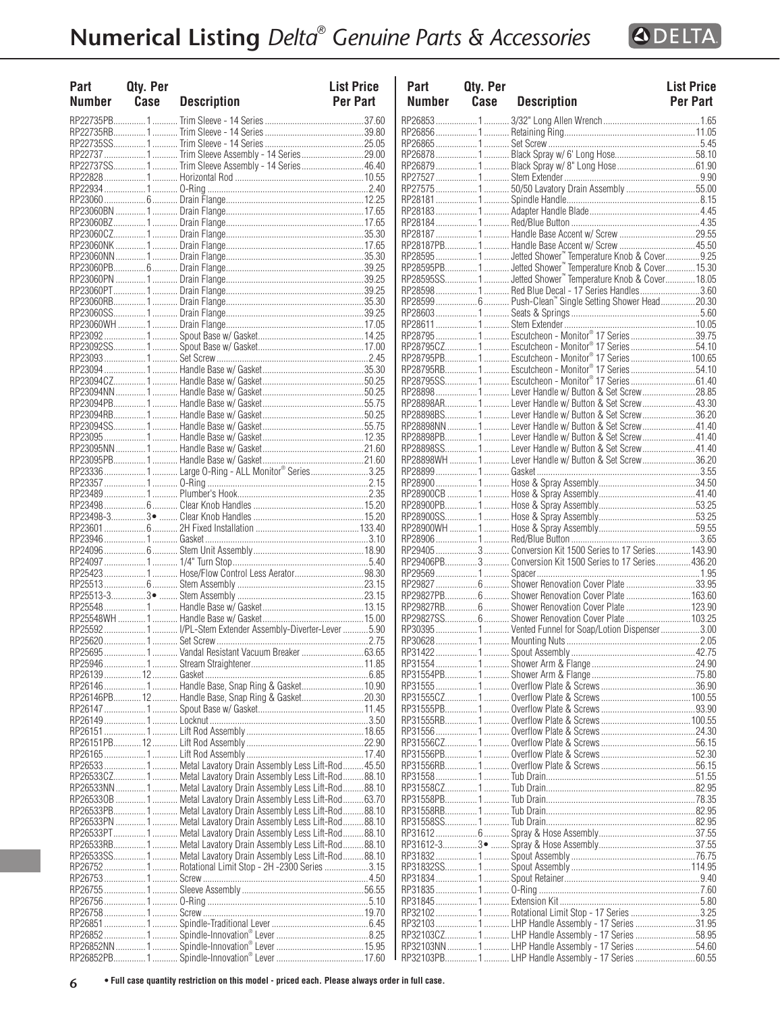

| Part<br>Number | Qty. Per<br>Case | <b>Description</b>                                                                                                          | <b>List Price</b><br>Per Part | Part<br><b>Number</b> | <b>Qty. Per</b><br>Case | <b>Description</b>                                                                                    | <b>List Price</b><br>Per Part |
|----------------|------------------|-----------------------------------------------------------------------------------------------------------------------------|-------------------------------|-----------------------|-------------------------|-------------------------------------------------------------------------------------------------------|-------------------------------|
|                |                  |                                                                                                                             |                               | RP268531              |                         |                                                                                                       |                               |
|                |                  |                                                                                                                             |                               |                       |                         |                                                                                                       |                               |
|                |                  |                                                                                                                             |                               |                       |                         |                                                                                                       |                               |
|                |                  | RP22737  1  Trim Sleeve Assembly - 14 Series 29.00<br>RP22737SS 1  Trim Sleeve Assembly - 14 Series  46.40                  |                               |                       |                         |                                                                                                       |                               |
|                |                  |                                                                                                                             |                               |                       |                         |                                                                                                       |                               |
|                |                  |                                                                                                                             |                               |                       |                         | RP27575  1  50/50 Lavatory Drain Assembly 55.00                                                       |                               |
|                |                  |                                                                                                                             |                               |                       |                         |                                                                                                       |                               |
|                |                  |                                                                                                                             |                               |                       |                         |                                                                                                       |                               |
|                |                  |                                                                                                                             |                               |                       |                         |                                                                                                       |                               |
|                |                  |                                                                                                                             |                               |                       |                         |                                                                                                       |                               |
|                |                  |                                                                                                                             |                               |                       |                         |                                                                                                       |                               |
|                |                  |                                                                                                                             |                               |                       |                         |                                                                                                       |                               |
|                |                  |                                                                                                                             |                               |                       |                         | RP28595SS 1  Jetted Shower" Temperature Knob & Cover 18.05                                            |                               |
|                |                  |                                                                                                                             |                               |                       |                         | RP285981 Red Blue Decal - 17 Series Handles3.60                                                       |                               |
|                |                  |                                                                                                                             |                               |                       |                         | RP28599  6  Push-Clean" Single Setting Shower Head 20.30                                              |                               |
|                |                  |                                                                                                                             |                               |                       |                         |                                                                                                       |                               |
|                |                  |                                                                                                                             |                               |                       |                         |                                                                                                       |                               |
|                |                  |                                                                                                                             |                               |                       |                         | RP28795 1  Escutcheon - Monitor® 17 Series 39.75                                                      |                               |
|                |                  |                                                                                                                             |                               |                       |                         | RP28795CZ 1  Escutcheon - Monitor® 17 Series 54.10                                                    |                               |
|                |                  |                                                                                                                             |                               |                       |                         | RP28795PB1 Escutcheon - Monitor® 17 Series 100.65                                                     |                               |
|                |                  |                                                                                                                             |                               |                       |                         | RP28795RB1 Escutcheon - Monitor® 17 Series54.10<br>RP28795SS1  Escutcheon - Monitor® 17 Series  61.40 |                               |
|                |                  |                                                                                                                             |                               |                       |                         |                                                                                                       |                               |
|                |                  |                                                                                                                             |                               |                       |                         | RP28898AR 1  Lever Handle w/ Button & Set Screw 43.30                                                 |                               |
|                |                  |                                                                                                                             |                               |                       |                         | RP28898BS1  Lever Handle w/ Button & Set Screw36.20                                                   |                               |
|                |                  |                                                                                                                             |                               |                       |                         | RP28898NN  1  Lever Handle w/ Button & Set Screw  41.40                                               |                               |
|                |                  |                                                                                                                             |                               |                       |                         | RP28898PB 1  Lever Handle w/ Button & Set Screw 41.40                                                 |                               |
|                |                  |                                                                                                                             |                               |                       |                         | RP28898SS1 Lever Handle w/ Button & Set Screw41.40                                                    |                               |
|                |                  |                                                                                                                             |                               |                       |                         | RP28898WH  1  Lever Handle w/ Button & Set Screw 36.20                                                |                               |
|                |                  |                                                                                                                             |                               |                       |                         |                                                                                                       |                               |
|                |                  |                                                                                                                             |                               |                       |                         |                                                                                                       |                               |
|                |                  |                                                                                                                             |                               |                       |                         |                                                                                                       |                               |
|                |                  |                                                                                                                             |                               |                       |                         |                                                                                                       |                               |
|                |                  |                                                                                                                             |                               |                       |                         |                                                                                                       |                               |
|                |                  |                                                                                                                             |                               |                       |                         |                                                                                                       |                               |
|                |                  |                                                                                                                             |                               |                       |                         | RP29405  3  Conversion Kit 1500 Series to 17 Series  143.90                                           |                               |
|                |                  |                                                                                                                             |                               |                       |                         | RP29406PB3 Conversion Kit 1500 Series to 17 Series436.20                                              |                               |
|                |                  |                                                                                                                             |                               |                       |                         |                                                                                                       |                               |
|                |                  |                                                                                                                             |                               |                       |                         | RP29827PB 6  Shower Renovation Cover Plate  163.60                                                    |                               |
|                |                  |                                                                                                                             |                               |                       |                         | RP29827RB 6  Shower Renovation Cover Plate  123.90                                                    |                               |
|                |                  |                                                                                                                             |                               |                       |                         | RP29827SS 6  Shower Renovation Cover Plate  103.25                                                    |                               |
|                |                  | RP25592  1  I/PL-Stem Extender Assembly-Diverter-Lever 5.90                                                                 |                               |                       |                         | RP303951 Vented Funnel for Soap/Lotion Dispenser3.00                                                  |                               |
|                |                  |                                                                                                                             |                               |                       |                         |                                                                                                       |                               |
|                |                  | RP25695  1  Vandal Resistant Vacuum Breaker  63.65                                                                          |                               |                       |                         |                                                                                                       |                               |
|                |                  |                                                                                                                             |                               |                       |                         |                                                                                                       |                               |
|                |                  | RP26146  1  Handle Base, Snap Ring & Gasket 10.90                                                                           |                               |                       |                         |                                                                                                       |                               |
|                |                  | RP26146PB12 Handle Base, Snap Ring & Gasket20.30                                                                            |                               |                       |                         |                                                                                                       |                               |
|                |                  |                                                                                                                             |                               |                       |                         |                                                                                                       |                               |
|                |                  |                                                                                                                             |                               |                       |                         |                                                                                                       |                               |
|                |                  |                                                                                                                             |                               |                       |                         |                                                                                                       |                               |
|                |                  |                                                                                                                             |                               |                       |                         |                                                                                                       |                               |
|                |                  |                                                                                                                             |                               |                       |                         |                                                                                                       |                               |
|                |                  |                                                                                                                             |                               |                       |                         |                                                                                                       |                               |
|                |                  | RP26533CZ1 Metal Lavatory Drain Assembly Less Lift-Rod88.10                                                                 |                               |                       |                         |                                                                                                       |                               |
|                |                  | RP26533NN 1  Metal Lavatory Drain Assembly Less Lift-Rod<br>RP265330B  1  Metal Lavatory Drain Assembly Less Lift-Rod 63.70 | 88.10                         |                       |                         |                                                                                                       |                               |
|                |                  | RP26533PB 1  Metal Lavatory Drain Assembly Less Lift-Rod                                                                    | 88.10                         |                       |                         |                                                                                                       |                               |
|                |                  | RP26533PN 1  Metal Lavatory Drain Assembly Less Lift-Rod88.10                                                               |                               |                       |                         |                                                                                                       |                               |
|                |                  | RP26533PT1 Metal Lavatory Drain Assembly Less Lift-Rod88.10                                                                 |                               |                       |                         |                                                                                                       |                               |
|                |                  | RP26533RB1 Metal Lavatory Drain Assembly Less Lift-Rod88.10                                                                 |                               |                       |                         |                                                                                                       |                               |
|                |                  | RP26533SS1 Metal Lavatory Drain Assembly Less Lift-Rod88.10                                                                 |                               |                       |                         |                                                                                                       |                               |
|                |                  |                                                                                                                             |                               | RP31832SS1            |                         |                                                                                                       |                               |
|                |                  |                                                                                                                             |                               |                       |                         |                                                                                                       |                               |
|                |                  |                                                                                                                             |                               |                       |                         |                                                                                                       |                               |
|                |                  |                                                                                                                             |                               |                       |                         |                                                                                                       |                               |
|                |                  |                                                                                                                             |                               |                       |                         |                                                                                                       |                               |
|                |                  |                                                                                                                             |                               |                       |                         | RP32103CZ1 LHP Handle Assembly - 17 Series 58.95                                                      |                               |
|                |                  |                                                                                                                             |                               |                       |                         | RP32103NN 1  LHP Handle Assembly - 17 Series 54.60                                                    |                               |
|                |                  |                                                                                                                             |                               |                       |                         | RP32103PB1 LHP Handle Assembly - 17 Series  60.55                                                     |                               |

| Part        | Qty. Per |                                                                                                        | <b>List Price</b> |
|-------------|----------|--------------------------------------------------------------------------------------------------------|-------------------|
| Number Case |          | <b>Description</b>                                                                                     | <b>Per Part</b>   |
|             |          |                                                                                                        |                   |
|             |          |                                                                                                        |                   |
|             |          |                                                                                                        |                   |
|             |          | RP26879  1  Black Spray w/ 8" Long Hose 61.90                                                          |                   |
|             |          |                                                                                                        |                   |
|             |          |                                                                                                        |                   |
|             |          |                                                                                                        |                   |
|             |          |                                                                                                        |                   |
|             |          |                                                                                                        |                   |
|             |          | RP28187PB1 Handle Base Accent w/ Screw 45.50                                                           |                   |
|             |          |                                                                                                        |                   |
|             |          |                                                                                                        |                   |
|             |          |                                                                                                        |                   |
|             |          | RP285981 Red Blue Decal - 17 Series Handles3.60                                                        |                   |
|             |          | RP28599 6  Push-Clean" Single Setting Shower Head20.30                                                 |                   |
|             |          |                                                                                                        |                   |
|             |          |                                                                                                        |                   |
|             |          | RP28795CZ1 Escutcheon - Monitor® 17 Series54.10                                                        |                   |
|             |          | RP28795PB1Escutcheon - Monitor® 17 Series  100.65                                                      |                   |
|             |          | RP28795RB1 Escutcheon - Monitor® 17 Series54.10                                                        |                   |
|             |          | RP28795SS1 Escutcheon - Monitor® 17 Series61.40                                                        |                   |
|             |          | RP288981 Lever Handle w/ Button & Set Screw28.85                                                       |                   |
|             |          | RP28898AR1 Lever Handle w/ Button & Set Screw43.30                                                     |                   |
|             |          | RP28898BS 1 Lever Handle w/ Button & Set Screw36.20                                                    |                   |
|             |          | RP28898NN  1  Lever Handle w/ Button & Set Screw 41.40                                                 |                   |
|             |          | RP28898PB1 Lever Handle w/ Button & Set Screw41.40                                                     |                   |
|             |          | RP28898SS1 Lever Handle w/ Button & Set Screw41.40                                                     |                   |
|             |          | RP28898WH  1  Lever Handle w/ Button & Set Screw 36.20                                                 |                   |
|             |          |                                                                                                        |                   |
|             |          |                                                                                                        |                   |
|             |          |                                                                                                        |                   |
|             |          |                                                                                                        |                   |
|             |          |                                                                                                        |                   |
|             |          |                                                                                                        |                   |
|             |          | RP294053 Conversion Kit 1500 Series to 17 Series 143.90                                                |                   |
|             |          | RP29406PB3 Conversion Kit 1500 Series to 17 Series436.20                                               |                   |
|             |          |                                                                                                        |                   |
|             |          | RP29827PB6 Shower Renovation Cover Plate  163.60                                                       |                   |
|             |          | RP29827RB 6  Shower Renovation Cover Plate  123.90                                                     |                   |
|             |          | RP29827SS6 Shower Renovation Cover Plate  103.25                                                       |                   |
|             |          |                                                                                                        |                   |
|             |          |                                                                                                        |                   |
|             |          |                                                                                                        |                   |
|             |          |                                                                                                        |                   |
|             |          |                                                                                                        |                   |
|             |          |                                                                                                        |                   |
|             |          |                                                                                                        |                   |
|             |          |                                                                                                        |                   |
|             |          |                                                                                                        |                   |
|             |          |                                                                                                        |                   |
|             |          |                                                                                                        |                   |
|             |          |                                                                                                        |                   |
|             |          |                                                                                                        |                   |
|             |          |                                                                                                        |                   |
|             |          |                                                                                                        |                   |
|             |          |                                                                                                        |                   |
|             |          |                                                                                                        |                   |
|             |          |                                                                                                        |                   |
|             |          |                                                                                                        |                   |
|             |          |                                                                                                        |                   |
|             |          |                                                                                                        |                   |
|             |          |                                                                                                        |                   |
|             |          |                                                                                                        |                   |
|             |          | RP321021 Rotational Limit Stop - 17 Series3.25                                                         |                   |
|             |          | RP32103 1  LHP Handle Assembly - 17 Series 31.95                                                       |                   |
|             |          | RP32103CZ1 LHP Handle Assembly - 17 Series 58.95<br>RP32103NN 1  LHP Handle Assembly - 17 Series 54.60 |                   |
|             |          |                                                                                                        |                   |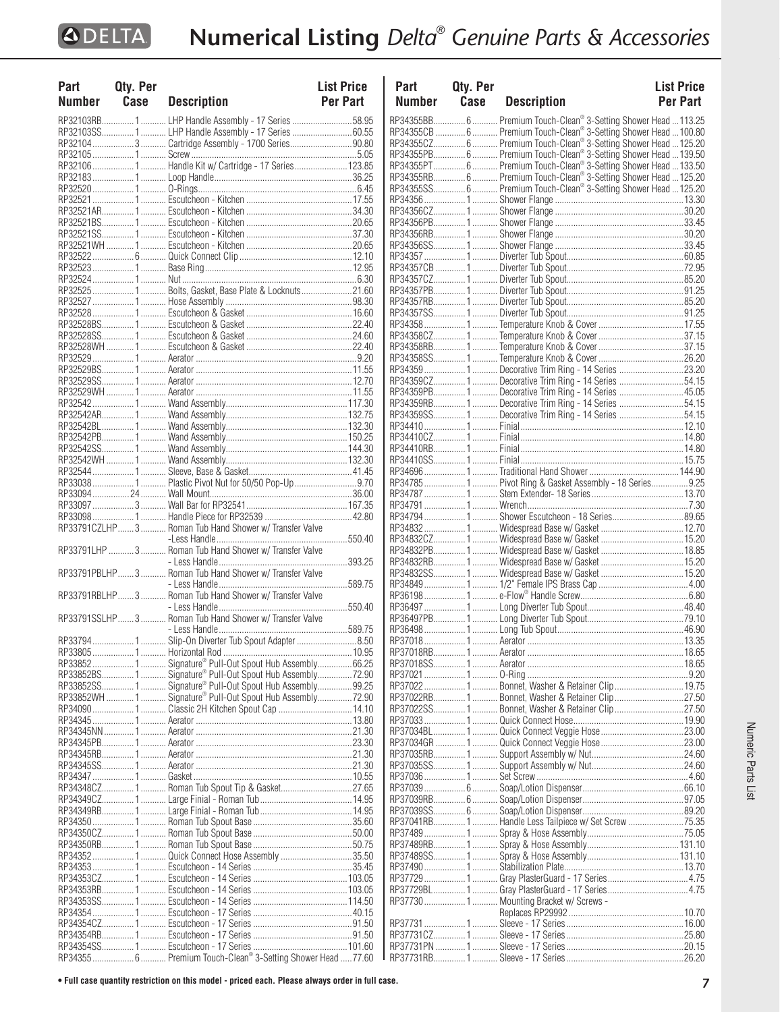| Part          | Qty. Per |                                                                      | <b>List Price</b> |
|---------------|----------|----------------------------------------------------------------------|-------------------|
| <b>Number</b> | Case     | <b>Description</b>                                                   | <b>Per Part</b>   |
|               |          |                                                                      |                   |
|               |          | RP32103RB 1  LHP Handle Assembly - 17 Series 58.95                   |                   |
|               |          | RP32103SS1 LHP Handle Assembly - 17 Series 60.55                     |                   |
|               |          | RP32104  3  Cartridge Assembly - 1700 Series90.80                    |                   |
|               |          |                                                                      |                   |
|               |          | RP32106 1  Handle Kit w/ Cartridge - 17 Series  123.85               |                   |
|               |          |                                                                      |                   |
|               |          |                                                                      |                   |
|               |          |                                                                      |                   |
|               |          |                                                                      |                   |
|               |          |                                                                      |                   |
|               |          |                                                                      |                   |
|               |          |                                                                      |                   |
|               |          |                                                                      |                   |
|               |          |                                                                      |                   |
|               |          |                                                                      |                   |
|               |          | RP32525  1  Bolts, Gasket, Base Plate & Locknuts 21.60               |                   |
|               |          |                                                                      |                   |
|               |          |                                                                      |                   |
|               |          |                                                                      |                   |
|               |          |                                                                      |                   |
|               |          |                                                                      |                   |
|               |          |                                                                      |                   |
|               |          |                                                                      |                   |
|               |          |                                                                      |                   |
|               |          |                                                                      |                   |
|               |          |                                                                      |                   |
|               |          |                                                                      |                   |
|               |          |                                                                      |                   |
|               |          |                                                                      |                   |
|               |          |                                                                      |                   |
|               |          |                                                                      |                   |
|               |          |                                                                      |                   |
|               |          | RP33038  1  Plastic Pivot Nut for 50/50 Pop-Up  9.70                 |                   |
|               |          |                                                                      |                   |
|               |          |                                                                      |                   |
|               |          |                                                                      |                   |
|               |          | RP33791CZLHP3 Roman Tub Hand Shower w/ Transfer Valve                |                   |
|               |          |                                                                      |                   |
|               |          |                                                                      |                   |
|               |          |                                                                      |                   |
|               |          |                                                                      |                   |
|               |          |                                                                      |                   |
|               |          |                                                                      |                   |
|               |          |                                                                      |                   |
|               |          |                                                                      |                   |
|               |          |                                                                      |                   |
|               |          |                                                                      |                   |
|               |          |                                                                      |                   |
|               |          | RP338521 Signature® Pull-Out Spout Hub Assembly66.25                 |                   |
|               |          | RP33852BS 1  Signature <sup>®</sup> Pull-Out Spout Hub Assembly72.90 |                   |
|               |          | RP33852SS1 Signature® Pull-Out Spout Hub Assembly99.25               |                   |
|               |          | RP33852WH  1  Signature® Pull-Out Spout Hub Assembly 72.90           |                   |
|               |          | RP34090  1  Classic 2H Kitchen Spout Cap  14.10                      |                   |
|               |          |                                                                      |                   |
|               |          |                                                                      |                   |
|               |          |                                                                      |                   |
|               |          |                                                                      |                   |
|               |          |                                                                      |                   |
|               |          |                                                                      |                   |
|               |          | RP34348CZ 1 Roman Tub Spout Tip & Gasket 27.65                       |                   |
|               |          |                                                                      |                   |
|               |          |                                                                      |                   |
|               |          |                                                                      |                   |
|               |          |                                                                      |                   |
|               |          |                                                                      |                   |
|               |          | RP34352  1  Quick Connect Hose Assembly 35.50                        |                   |
|               |          |                                                                      |                   |
|               |          |                                                                      |                   |
|               |          |                                                                      |                   |
|               |          |                                                                      |                   |
|               |          |                                                                      |                   |
|               |          |                                                                      |                   |
|               |          |                                                                      |                   |
|               |          |                                                                      |                   |
|               |          | RP34355  6  Premium Touch-Clean® 3-Setting Shower Head 77.60         |                   |

| Part   | Qty. Per |                                                                                                                                | <b>List Price</b> |
|--------|----------|--------------------------------------------------------------------------------------------------------------------------------|-------------------|
| Number | Case     | <b>Description</b>                                                                                                             | Per Part          |
|        |          | RP34355BB 6  Premium Touch-Clean® 3-Setting Shower Head 113.25                                                                 |                   |
|        |          |                                                                                                                                |                   |
|        |          |                                                                                                                                |                   |
|        |          | RP34355PB 6 Premium Touch-Clean® 3-Setting Shower Head 139.50                                                                  |                   |
|        |          | RP34355PT 6  Premium Touch-Clean® 3-Setting Shower Head 133.50                                                                 |                   |
|        |          |                                                                                                                                |                   |
|        |          | RP34355RB6 Premium Touch-Clean® 3-Setting Shower Head  125.20<br>RP34355SS6 Premium Touch-Clean® 3-Setting Shower Head  125.20 |                   |
|        |          |                                                                                                                                |                   |
|        |          |                                                                                                                                |                   |
|        |          |                                                                                                                                |                   |
|        |          |                                                                                                                                |                   |
|        |          |                                                                                                                                |                   |
|        |          |                                                                                                                                |                   |
|        |          |                                                                                                                                |                   |
|        |          |                                                                                                                                |                   |
|        |          |                                                                                                                                |                   |
|        |          |                                                                                                                                |                   |
|        |          |                                                                                                                                |                   |
|        |          |                                                                                                                                |                   |
|        |          |                                                                                                                                |                   |
|        |          |                                                                                                                                |                   |
|        |          |                                                                                                                                |                   |
|        |          | RP34359 1  Decorative Trim Ring - 14 Series 23.20<br>RP34359CZ1 Decorative Trim Ring - 14 Series 54.15                         |                   |
|        |          | RP34359PB1 Decorative Trim Ring - 14 Series 45.05                                                                              |                   |
|        |          | RP34359RB1 Decorative Trim Ring - 14 Series 54.15                                                                              |                   |
|        |          | RP34359SS1  Decorative Trim Ring - 14 Series 54.15                                                                             |                   |
|        |          |                                                                                                                                |                   |
|        |          |                                                                                                                                |                   |
|        |          |                                                                                                                                |                   |
|        |          |                                                                                                                                |                   |
|        |          |                                                                                                                                |                   |
|        |          | RP34785  1  Pivot Ring & Gasket Assembly - 18 Series  9.25                                                                     |                   |
|        |          |                                                                                                                                |                   |
|        |          |                                                                                                                                |                   |
|        |          | RP34794 1  Shower Escutcheon - 18 Series89.65                                                                                  |                   |
|        |          |                                                                                                                                |                   |
|        |          |                                                                                                                                |                   |
|        |          |                                                                                                                                |                   |
|        |          |                                                                                                                                |                   |
|        |          |                                                                                                                                |                   |
|        |          |                                                                                                                                |                   |
|        |          |                                                                                                                                |                   |
|        |          |                                                                                                                                |                   |
|        |          |                                                                                                                                |                   |
|        |          |                                                                                                                                |                   |
|        |          |                                                                                                                                |                   |
|        |          |                                                                                                                                |                   |
|        |          |                                                                                                                                |                   |
|        |          | RP37022  1  Bonnet, Washer & Retainer Clip  19.75                                                                              |                   |
|        |          | RP37022RB1 Bonnet, Washer & Retainer Clip27.50                                                                                 |                   |
|        |          | RP37022SS1 Bonnet, Washer & Retainer Clip27.50                                                                                 |                   |
|        |          |                                                                                                                                |                   |
|        |          |                                                                                                                                |                   |
|        |          |                                                                                                                                |                   |
|        |          |                                                                                                                                |                   |
|        |          |                                                                                                                                |                   |
|        |          |                                                                                                                                |                   |
|        |          |                                                                                                                                |                   |
|        |          |                                                                                                                                |                   |
|        |          |                                                                                                                                |                   |
|        |          | RP37041RB1 Handle Less Tailpiece w/ Set Screw 75.35                                                                            |                   |
|        |          |                                                                                                                                |                   |
|        |          |                                                                                                                                |                   |
|        |          |                                                                                                                                |                   |
|        |          |                                                                                                                                |                   |
|        |          |                                                                                                                                |                   |
|        |          |                                                                                                                                |                   |
|        |          | RP377301 Mounting Bracket w/ Screws -                                                                                          |                   |
|        |          |                                                                                                                                |                   |
|        |          |                                                                                                                                |                   |
|        |          |                                                                                                                                |                   |
|        |          |                                                                                                                                |                   |
|        |          |                                                                                                                                |                   |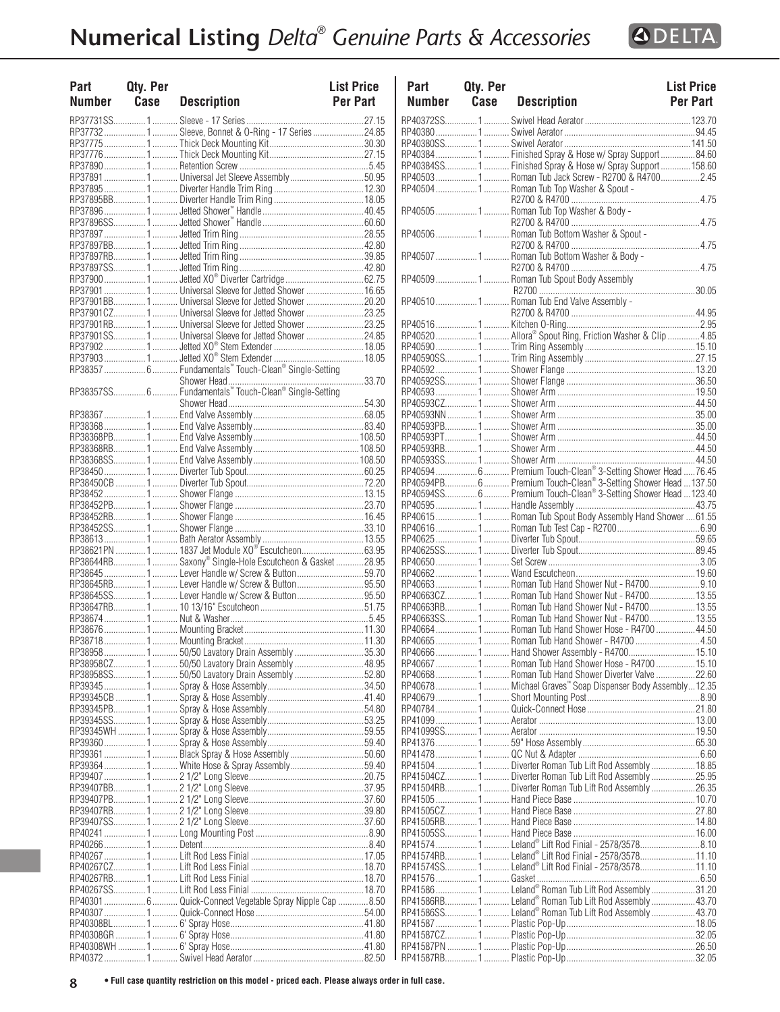

| Part<br><b>Number</b> | Qty. Per<br>Case | <b>Description</b>                                            | <b>List Price</b><br>Per Part | Part<br><b>Numbe</b>  |
|-----------------------|------------------|---------------------------------------------------------------|-------------------------------|-----------------------|
|                       |                  |                                                               |                               | RP40372S              |
|                       |                  | RP37732 1  Sleeve, Bonnet & O-Ring - 17 Series 24.85          |                               | RP40380               |
|                       |                  |                                                               |                               | RP40380S              |
|                       |                  |                                                               |                               | RP40384               |
|                       |                  |                                                               |                               | RP40384S              |
|                       |                  | RP37891 1  Universal Jet Sleeve Assembly 50.95                |                               | RP40503               |
|                       |                  |                                                               |                               | RP40504               |
|                       |                  |                                                               |                               | RP40505               |
|                       |                  |                                                               |                               |                       |
|                       |                  |                                                               |                               | RP40506               |
|                       |                  |                                                               |                               |                       |
|                       |                  |                                                               |                               | RP40507.              |
|                       |                  |                                                               |                               |                       |
|                       |                  |                                                               |                               | RP40509               |
|                       |                  |                                                               |                               |                       |
|                       |                  | RP37901BB1 Universal Sleeve for Jetted Shower 20.20           |                               | RP40510.              |
|                       |                  |                                                               |                               |                       |
|                       |                  | RP37901SS1 Universal Sleeve for Jetted Shower 24.85           |                               | RP40516<br>RP40520    |
|                       |                  |                                                               |                               | RP40590               |
|                       |                  |                                                               |                               | RP40590S              |
|                       |                  | RP38357  6  Fundamentals" Touch-Clean® Single-Setting         |                               | RP40592               |
|                       |                  |                                                               |                               | RP40592S              |
|                       |                  | RP38357SS 6  Fundamentals Touch-Clean® Single-Setting         |                               | RP40593               |
|                       |                  |                                                               |                               | RP40593C              |
|                       |                  |                                                               |                               | RP40593N              |
|                       |                  |                                                               |                               | RP40593PI             |
|                       |                  |                                                               |                               | RP40593P              |
|                       |                  |                                                               |                               | RP40593RI             |
|                       |                  |                                                               |                               | RP40593S              |
|                       |                  |                                                               |                               | RP40594.              |
|                       |                  |                                                               |                               | RP40594PI<br>RP40594S |
|                       |                  |                                                               |                               | RP40595               |
|                       |                  |                                                               |                               | RP40615.              |
|                       |                  |                                                               |                               | RP40616.              |
|                       |                  |                                                               |                               | RP40625               |
|                       |                  | RP38621PN  1  1837 Jet Module XO <sup>®</sup> Escutcheon63.95 |                               | RP40625S              |
|                       |                  | RP38644RB 1  Saxony® Single-Hole Escutcheon & Gasket  28.95   |                               | RP40650.              |
|                       |                  |                                                               |                               | RP40662               |
|                       |                  |                                                               |                               | RP40663               |
|                       |                  | RP38645SS 1  Lever Handle w/ Screw & Button 95.50             |                               | RP40663C              |
|                       |                  |                                                               |                               | RP40663RI             |
|                       |                  |                                                               |                               | RP40663S<br>RP40664.  |
|                       |                  |                                                               |                               | RP40665               |
|                       |                  | RP38958  1  50/50 Lavatory Drain Assembly 35.30               |                               | RP40666               |
|                       |                  | RP38958CZ 1  50/50 Lavatory Drain Assembly  48.95             |                               | RP40667               |
|                       |                  |                                                               |                               | RP40668               |
|                       |                  |                                                               |                               | RP40678               |
|                       |                  |                                                               |                               | RP40679               |
|                       |                  |                                                               |                               | RP40784               |
|                       |                  |                                                               |                               | RP41099               |
|                       |                  |                                                               |                               | RP41099S              |
|                       |                  |                                                               |                               | RP41376               |
|                       |                  |                                                               |                               | RP41478<br>RP41504    |
|                       |                  |                                                               |                               | RP41504C              |
|                       |                  |                                                               |                               | RP41504RI             |
|                       |                  |                                                               |                               | RP41505               |
|                       |                  |                                                               |                               | RP41505C              |
|                       |                  |                                                               |                               | RP41505RI             |
|                       |                  |                                                               |                               | RP41505S              |
|                       |                  |                                                               |                               | RP41574               |
|                       |                  |                                                               |                               | <b>RP41574RI</b>      |
|                       |                  |                                                               |                               | RP41574S              |
|                       |                  |                                                               |                               | RP41576               |
|                       |                  |                                                               |                               | RP41586               |
|                       |                  | RP40301  6  Quick-Connect Vegetable Spray Nipple Cap 8.50     |                               | RP41586RI<br>RP41586S |
|                       |                  |                                                               |                               | RP41587               |
|                       |                  |                                                               |                               | RP41587C              |
|                       |                  |                                                               |                               | <b>RP41587PI</b>      |
|                       |                  |                                                               |                               |                       |

| Part<br><b>Number</b> | <b>Qty. Per</b><br>Case | <b>Description</b>                                               | <b>List Price</b><br><b>Per Part</b> | Part<br><b>Number</b> | Qty. Per<br>Case | <b>Description</b>                                              | <b>List Price</b><br>Per Part |
|-----------------------|-------------------------|------------------------------------------------------------------|--------------------------------------|-----------------------|------------------|-----------------------------------------------------------------|-------------------------------|
|                       | RP37731SS1              |                                                                  |                                      |                       |                  |                                                                 |                               |
|                       |                         | RP37732 1  Sleeve, Bonnet & O-Ring - 17 Series 24.85             |                                      |                       |                  |                                                                 |                               |
|                       |                         |                                                                  |                                      |                       |                  |                                                                 |                               |
|                       |                         |                                                                  |                                      |                       |                  | RP40384 1  Finished Spray & Hose w/ Spray Support 84.60         |                               |
|                       |                         |                                                                  |                                      |                       |                  | RP40384SS1 Finished Spray & Hose w/ Spray Support 158.60        |                               |
|                       |                         | RP37891 1  Universal Jet Sleeve Assembly 50.95                   |                                      |                       |                  | RP405031 Roman Tub Jack Screw - R2700 & R47002.45               |                               |
|                       |                         |                                                                  |                                      |                       |                  | RP40504  1  Roman Tub Top Washer & Spout -                      |                               |
|                       |                         |                                                                  |                                      |                       |                  |                                                                 |                               |
|                       |                         |                                                                  |                                      |                       |                  | RP405051 Roman Tub Top Washer & Body -                          |                               |
|                       |                         |                                                                  |                                      |                       |                  |                                                                 |                               |
|                       |                         |                                                                  |                                      |                       |                  | RP40506  1  Roman Tub Bottom Washer & Spout -                   |                               |
|                       |                         |                                                                  |                                      |                       |                  |                                                                 |                               |
|                       |                         |                                                                  |                                      |                       |                  | RP40507 1 Roman Tub Bottom Washer & Body -                      |                               |
|                       |                         |                                                                  |                                      |                       |                  |                                                                 |                               |
|                       |                         | RP37900 1  Jetted XO® Diverter Cartridge 62.75                   |                                      |                       |                  | RP40509  1  Roman Tub Spout Body Assembly                       |                               |
|                       |                         | RP37901  1  Universal Sleeve for Jetted Shower  16.65            |                                      |                       |                  |                                                                 |                               |
|                       |                         | RP37901BB1 Universal Sleeve for Jetted Shower 20.20              |                                      |                       |                  |                                                                 |                               |
|                       |                         | RP37901CZ 1  Universal Sleeve for Jetted Shower  23.25           |                                      |                       |                  |                                                                 |                               |
|                       |                         | RP37901RB1 Universal Sleeve for Jetted Shower 23.25              |                                      |                       |                  |                                                                 |                               |
|                       |                         | RP37901SS1 Universal Sleeve for Jetted Shower 24.85              |                                      |                       |                  |                                                                 |                               |
|                       |                         |                                                                  |                                      |                       |                  |                                                                 |                               |
|                       |                         |                                                                  |                                      |                       |                  |                                                                 |                               |
|                       |                         | RP38357  6  Fundamentals" Touch-Clean® Single-Setting            |                                      |                       |                  |                                                                 |                               |
|                       |                         |                                                                  |                                      |                       |                  |                                                                 |                               |
|                       |                         | RP38357SS 6  Fundamentals" Touch-Clean® Single-Setting           |                                      |                       |                  |                                                                 |                               |
|                       |                         |                                                                  |                                      |                       |                  |                                                                 |                               |
|                       |                         |                                                                  |                                      |                       |                  |                                                                 |                               |
|                       |                         |                                                                  |                                      |                       |                  |                                                                 |                               |
|                       |                         |                                                                  |                                      |                       |                  |                                                                 |                               |
|                       |                         |                                                                  |                                      |                       |                  |                                                                 |                               |
|                       |                         |                                                                  |                                      |                       |                  |                                                                 |                               |
|                       |                         |                                                                  |                                      |                       |                  |                                                                 |                               |
|                       |                         |                                                                  |                                      |                       |                  | RP40594PB 6  Premium Touch-Clean® 3-Setting Shower Head  137.50 |                               |
|                       |                         |                                                                  |                                      |                       |                  | RP40594SS 6  Premium Touch-Clean® 3-Setting Shower Head 123.40  |                               |
|                       |                         |                                                                  |                                      |                       |                  |                                                                 |                               |
|                       |                         |                                                                  |                                      |                       |                  |                                                                 |                               |
|                       |                         |                                                                  |                                      |                       |                  |                                                                 |                               |
|                       |                         |                                                                  |                                      |                       |                  |                                                                 |                               |
|                       |                         | RP38621PN 1  1837 Jet Module XO® Escutcheon63.95                 |                                      |                       |                  |                                                                 |                               |
|                       |                         | RP38644RB1 Saxony® Single-Hole Escutcheon & Gasket 28.95         |                                      |                       |                  |                                                                 |                               |
|                       |                         | RP38645 1  Lever Handle w/ Screw & Button 59.70                  |                                      |                       |                  |                                                                 |                               |
|                       |                         | RP38645RB1 Lever Handle w/ Screw & Button95.50                   |                                      |                       |                  |                                                                 |                               |
|                       |                         | RP38645SS1 Lever Handle w/ Screw & Button95.50                   |                                      |                       |                  |                                                                 |                               |
|                       |                         |                                                                  |                                      |                       |                  | RP40663RB1 Roman Tub Hand Shower Nut - R470013.55               |                               |
|                       |                         |                                                                  |                                      |                       |                  |                                                                 |                               |
|                       |                         |                                                                  |                                      |                       |                  | RP40664  1  Roman Tub Hand Shower Hose - R4700  44.50           |                               |
|                       |                         |                                                                  |                                      |                       |                  |                                                                 |                               |
|                       |                         |                                                                  |                                      |                       |                  |                                                                 |                               |
|                       |                         | RP38958CZ150/50 Lavatory Drain Assembly48.95                     |                                      |                       |                  | RP40667  1  Roman Tub Hand Shower Hose - R4700  15.10           |                               |
|                       | RP38958SS1              |                                                                  |                                      |                       |                  |                                                                 |                               |
|                       |                         |                                                                  |                                      |                       |                  |                                                                 |                               |
|                       |                         |                                                                  |                                      |                       |                  | RP406781 Michael Graves" Soap Dispenser Body Assembly12.35      |                               |
|                       |                         |                                                                  |                                      |                       |                  |                                                                 |                               |
|                       |                         |                                                                  |                                      |                       |                  |                                                                 |                               |
|                       |                         |                                                                  |                                      |                       |                  |                                                                 |                               |
|                       |                         |                                                                  |                                      |                       |                  |                                                                 |                               |
|                       |                         |                                                                  |                                      |                       |                  |                                                                 |                               |
|                       |                         | RP39361 1  Black Spray & Hose Assembly 50.60                     |                                      |                       |                  |                                                                 |                               |
|                       |                         | RP39364  1  White Hose & Spray Assembly 59.40                    |                                      |                       |                  | RP41504 1  Diverter Roman Tub Lift Rod Assembly 18.85           |                               |
|                       |                         |                                                                  |                                      |                       |                  | RP41504CZ1 Diverter Roman Tub Lift Rod Assembly25.95            |                               |
|                       |                         |                                                                  |                                      | RP41504RB1            |                  | Diverter Roman Tub Lift Rod Assembly 26.35                      |                               |
|                       |                         |                                                                  |                                      |                       |                  |                                                                 |                               |
|                       |                         |                                                                  |                                      |                       |                  |                                                                 |                               |
|                       |                         |                                                                  |                                      |                       |                  |                                                                 |                               |
|                       |                         |                                                                  |                                      |                       |                  |                                                                 |                               |
|                       |                         |                                                                  |                                      |                       |                  |                                                                 |                               |
|                       |                         |                                                                  |                                      |                       |                  | RP41574RB1 Leland® Lift Rod Finial - 2578/357811.10             |                               |
|                       |                         |                                                                  |                                      |                       |                  |                                                                 |                               |
|                       |                         |                                                                  |                                      |                       |                  |                                                                 |                               |
|                       |                         |                                                                  |                                      |                       |                  |                                                                 |                               |
|                       |                         | RP40301  6  Quick-Connect Vegetable Spray Nipple Cap 8.50        |                                      |                       |                  |                                                                 |                               |
|                       |                         | RP40307 ………………… 1 ………… Quick-Connect Hose ……………………………………………54.00 |                                      |                       |                  |                                                                 |                               |
|                       |                         |                                                                  |                                      |                       |                  |                                                                 |                               |
|                       |                         |                                                                  |                                      |                       |                  |                                                                 |                               |
|                       |                         |                                                                  |                                      |                       |                  |                                                                 |                               |
|                       |                         |                                                                  |                                      |                       |                  |                                                                 |                               |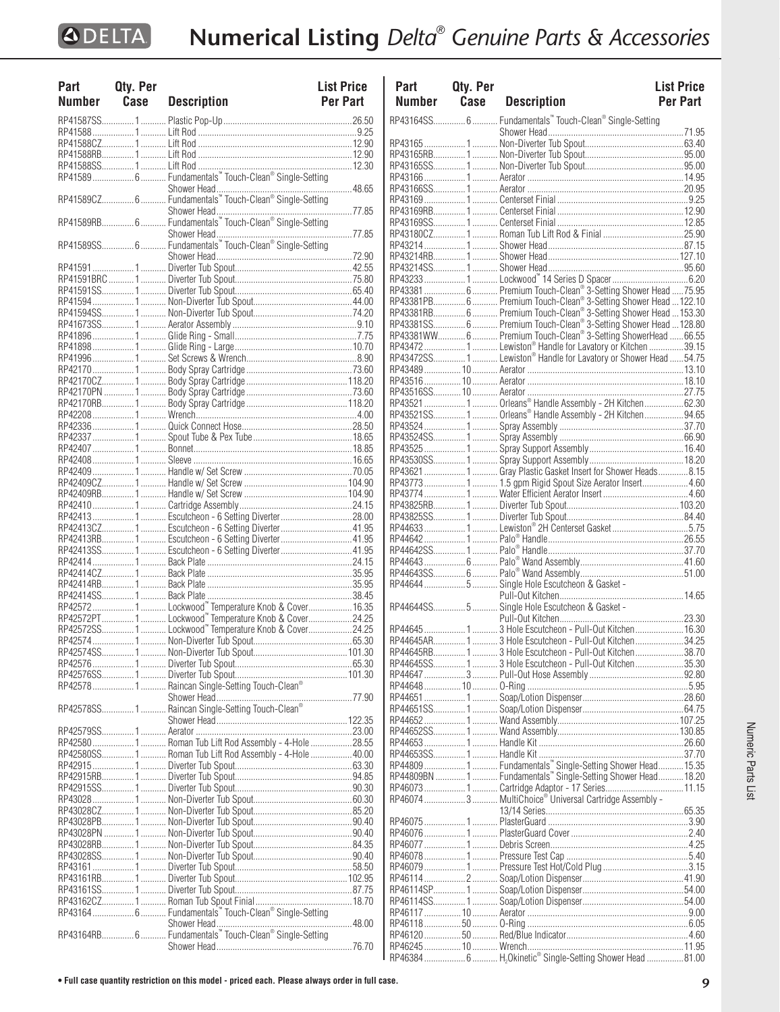| Part   | Qty. Per |                                                       | <b>List Price</b> |
|--------|----------|-------------------------------------------------------|-------------------|
| Number | Case     | <b>Description</b>                                    | <b>Per Part</b>   |
|        |          |                                                       |                   |
|        |          |                                                       |                   |
|        |          |                                                       |                   |
|        |          |                                                       |                   |
|        |          |                                                       |                   |
|        |          |                                                       |                   |
|        |          |                                                       |                   |
|        |          |                                                       |                   |
|        |          |                                                       |                   |
|        |          |                                                       |                   |
|        |          |                                                       |                   |
|        |          |                                                       |                   |
|        |          |                                                       |                   |
|        |          |                                                       |                   |
|        |          |                                                       |                   |
|        |          |                                                       |                   |
|        |          |                                                       |                   |
|        |          |                                                       |                   |
|        |          |                                                       |                   |
|        |          |                                                       |                   |
|        |          |                                                       |                   |
|        |          |                                                       |                   |
|        |          |                                                       |                   |
|        |          |                                                       |                   |
|        |          |                                                       |                   |
|        |          |                                                       |                   |
|        |          |                                                       |                   |
|        |          |                                                       |                   |
|        |          |                                                       |                   |
|        |          |                                                       |                   |
|        |          |                                                       |                   |
|        |          |                                                       |                   |
|        |          |                                                       |                   |
|        |          |                                                       |                   |
|        |          |                                                       |                   |
|        |          |                                                       |                   |
|        |          |                                                       |                   |
|        |          | RP42413  1  Escutcheon - 6 Setting Diverter 28.00     |                   |
|        |          | RP42413CZ 1  Escutcheon - 6 Setting Diverter  41.95   |                   |
|        |          | RP42413RB 1  Escutcheon - 6 Setting Diverter  41.95   |                   |
|        |          |                                                       |                   |
|        |          | RP42413SS1 Escutcheon - 6 Setting Diverter41.95       |                   |
|        |          |                                                       |                   |
|        |          |                                                       |                   |
|        |          |                                                       |                   |
|        |          |                                                       |                   |
|        |          |                                                       |                   |
|        |          | RP42572PT1 Lockwood" Temperature Knob & Cover24.25    |                   |
|        |          | RP42572SS1Lockwood" Temperature Knob & Cover24.25     |                   |
|        |          |                                                       |                   |
|        |          |                                                       |                   |
|        |          |                                                       |                   |
|        |          |                                                       |                   |
|        |          |                                                       |                   |
|        |          |                                                       |                   |
|        |          |                                                       |                   |
|        |          |                                                       |                   |
|        |          |                                                       |                   |
|        |          |                                                       |                   |
|        |          |                                                       |                   |
|        |          | RP42580SS1 Roman Tub Lift Rod Assembly - 4-Hole 40.00 |                   |
|        |          |                                                       |                   |
|        |          |                                                       |                   |
|        |          |                                                       |                   |
|        |          |                                                       |                   |
|        |          |                                                       |                   |
|        |          |                                                       |                   |
|        |          |                                                       |                   |
|        |          |                                                       |                   |
|        |          |                                                       |                   |
|        |          |                                                       |                   |
|        |          |                                                       |                   |
|        |          |                                                       |                   |
|        |          |                                                       |                   |
|        |          |                                                       |                   |
|        |          | RP43164  6  Fundamentals" Touch-Clean® Single-Setting |                   |
|        |          |                                                       |                   |
|        |          |                                                       |                   |
|        |          |                                                       |                   |

| Part          | Qty. Per |                                                                                                                                   | <b>List Price</b> |
|---------------|----------|-----------------------------------------------------------------------------------------------------------------------------------|-------------------|
| <b>Number</b> | Case     | <b>Description</b>                                                                                                                | <b>Per Part</b>   |
|               |          | RP43164SS 6  Fundamentals" Touch-Clean® Single-Setting                                                                            |                   |
|               |          |                                                                                                                                   |                   |
|               |          |                                                                                                                                   |                   |
|               |          |                                                                                                                                   |                   |
|               |          |                                                                                                                                   |                   |
|               |          |                                                                                                                                   |                   |
|               |          |                                                                                                                                   |                   |
|               |          |                                                                                                                                   |                   |
|               |          |                                                                                                                                   |                   |
|               |          |                                                                                                                                   |                   |
|               |          |                                                                                                                                   |                   |
|               |          |                                                                                                                                   |                   |
|               |          |                                                                                                                                   |                   |
|               |          |                                                                                                                                   |                   |
|               |          | RP43381  6  Premium Touch-Clean® 3-Setting Shower Head  75.95                                                                     |                   |
|               |          | RP43381PB 6  Premium Touch-Clean® 3-Setting Shower Head  122.10                                                                   |                   |
|               |          | RP43381RB 6  Premium Touch-Clean® 3-Setting Shower Head  153.30<br>RP43381SS 6  Premium Touch-Clean® 3-Setting Shower Head 128.80 |                   |
|               |          | RP43381WW 6  Premium Touch-Clean® 3-Setting ShowerHead  66.55                                                                     |                   |
|               |          | RP43472  1  Lewiston® Handle for Lavatory or Kitchen 39.15                                                                        |                   |
|               |          | RP43472SS 1  Lewiston® Handle for Lavatory or Shower Head 54.75                                                                   |                   |
|               |          |                                                                                                                                   |                   |
|               |          |                                                                                                                                   |                   |
|               |          |                                                                                                                                   |                   |
|               |          | RP43521  1  Orleans® Handle Assembly - 2H Kitchen 62.30                                                                           |                   |
|               |          | RP43521SS1 Orleans® Handle Assembly - 2H Kitchen94.65                                                                             |                   |
|               |          |                                                                                                                                   |                   |
|               |          |                                                                                                                                   |                   |
|               |          |                                                                                                                                   |                   |
|               |          | RP43621 1  Gray Plastic Gasket Insert for Shower Heads 8.15                                                                       |                   |
|               |          | RP43773 1  1.5 gpm Rigid Spout Size Aerator Insert 4.60                                                                           |                   |
|               |          |                                                                                                                                   |                   |
|               |          |                                                                                                                                   |                   |
|               |          |                                                                                                                                   |                   |
|               |          |                                                                                                                                   |                   |
|               |          |                                                                                                                                   |                   |
|               |          |                                                                                                                                   |                   |
|               |          |                                                                                                                                   |                   |
|               |          | RP44644  5  Single Hole Escutcheon & Gasket -                                                                                     |                   |
|               |          |                                                                                                                                   |                   |
|               |          |                                                                                                                                   |                   |
|               |          | RP44645  1  3 Hole Escutcheon - Pull-Out Kitchen  16.30                                                                           |                   |
|               |          | RP44645AR 1  3 Hole Escutcheon - Pull-Out Kitchen34.25                                                                            |                   |
|               |          | RP44645RB13 Hole Escutcheon - Pull-Out Kitchen38.70                                                                               |                   |
|               |          |                                                                                                                                   |                   |
|               |          |                                                                                                                                   |                   |
|               |          |                                                                                                                                   |                   |
|               |          |                                                                                                                                   |                   |
|               |          |                                                                                                                                   |                   |
|               |          |                                                                                                                                   |                   |
|               |          |                                                                                                                                   |                   |
|               |          |                                                                                                                                   |                   |
|               |          | RP44809  1  Fundamentals "Single-Setting Shower Head  15.35<br>RP44809BN  1  Fundamentals "Single-Setting Shower Head  18.20      |                   |
|               |          |                                                                                                                                   |                   |
|               |          |                                                                                                                                   |                   |
|               |          | RP46074  3  MultiChoice® Universal Cartridge Assembly -                                                                           |                   |
|               |          |                                                                                                                                   |                   |
|               |          |                                                                                                                                   |                   |
|               |          |                                                                                                                                   |                   |
|               |          |                                                                                                                                   |                   |
|               |          |                                                                                                                                   |                   |
|               |          |                                                                                                                                   |                   |
|               |          |                                                                                                                                   |                   |
|               |          |                                                                                                                                   |                   |
|               |          |                                                                                                                                   |                   |
|               |          |                                                                                                                                   |                   |
|               |          |                                                                                                                                   |                   |
|               |          |                                                                                                                                   |                   |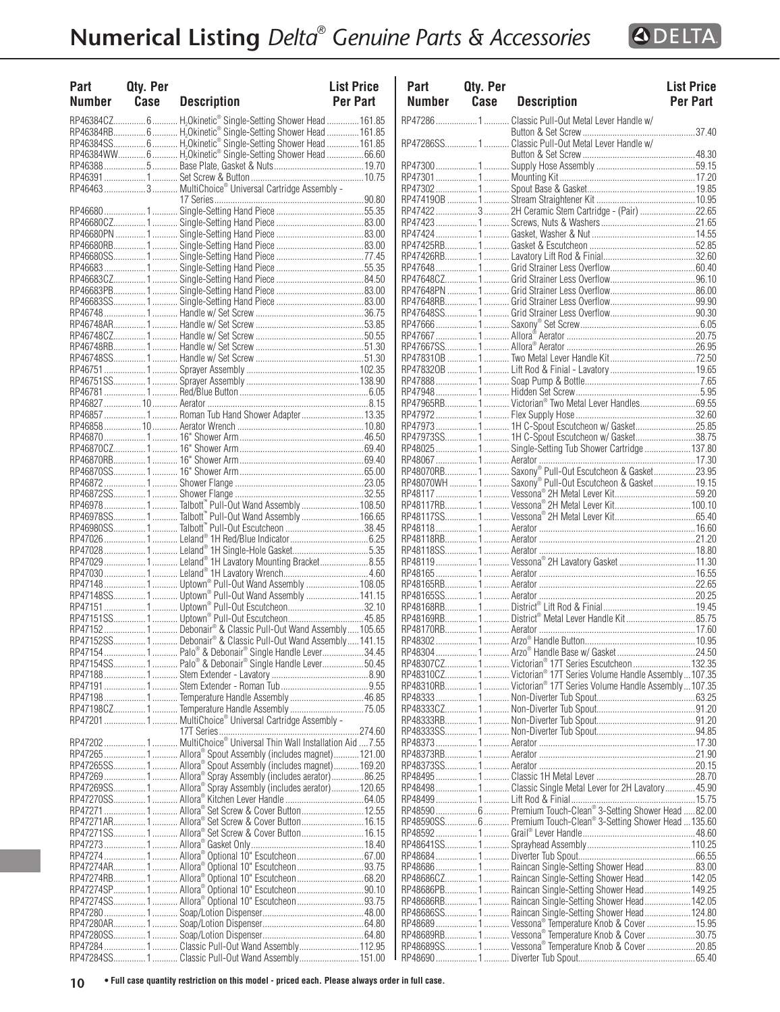

| Part<br><b>Number</b> | Qty. Per<br>Case | <b>Description</b>                                                                                                         | <b>List Price</b><br><b>Per Part</b> | P<br>N                             |
|-----------------------|------------------|----------------------------------------------------------------------------------------------------------------------------|--------------------------------------|------------------------------------|
|                       |                  | RP46384CZ 6  H <sub>2</sub> Okinetic® Single-Setting Shower Head  161.85                                                   |                                      | RP <sub>4</sub>                    |
|                       |                  | RP46384RB 6  H.Okinetic® Single-Setting Shower Head  161.85                                                                |                                      |                                    |
|                       |                  | RP46384SS 6  H <sub>2</sub> Okinetic® Single-Setting Shower Head  161.85                                                   |                                      | RP <sub>4</sub>                    |
|                       |                  | RP46384WW 6  H <sub>2</sub> Okinetic® Single-Setting Shower Head  66.60                                                    |                                      |                                    |
|                       |                  |                                                                                                                            |                                      | RP <sub>4</sub>                    |
|                       |                  |                                                                                                                            |                                      | RP <sub>4</sub>                    |
|                       |                  | RP46463  3  MultiChoice® Universal Cartridge Assembly -                                                                    |                                      | RP <sub>4</sub><br>RP <sub>4</sub> |
|                       |                  |                                                                                                                            |                                      | RP <sub>4</sub>                    |
|                       |                  |                                                                                                                            |                                      | RP <sub>4</sub>                    |
|                       |                  |                                                                                                                            |                                      | RP <sub>4</sub>                    |
|                       |                  |                                                                                                                            |                                      | RP <sub>4</sub>                    |
|                       |                  |                                                                                                                            |                                      | RP <sub>4</sub>                    |
|                       |                  |                                                                                                                            |                                      | RP <sub>4</sub>                    |
|                       |                  |                                                                                                                            |                                      | RP <sub>4</sub>                    |
|                       |                  |                                                                                                                            |                                      | RP <sub>4</sub>                    |
|                       |                  |                                                                                                                            |                                      | RP<br>RP <sub>4</sub>              |
|                       |                  |                                                                                                                            |                                      | RP <sub>4</sub>                    |
|                       |                  |                                                                                                                            |                                      | RP <sub>4</sub>                    |
|                       |                  |                                                                                                                            |                                      | RP <sub>4</sub>                    |
|                       |                  |                                                                                                                            |                                      | RP <sub>4</sub>                    |
|                       |                  |                                                                                                                            |                                      | RP <sub>4</sub>                    |
|                       |                  |                                                                                                                            |                                      | RP <sub>4</sub>                    |
|                       |                  |                                                                                                                            |                                      | RP <sub>4</sub>                    |
|                       |                  |                                                                                                                            |                                      | RP <sub>4</sub>                    |
|                       |                  | RP46857  1  Roman Tub Hand Shower Adapter  13.35                                                                           |                                      | RP <sub>4</sub>                    |
|                       |                  |                                                                                                                            |                                      | RP <sub>4</sub><br>RP <sub>4</sub> |
|                       |                  |                                                                                                                            |                                      | RP <sub>4</sub>                    |
|                       |                  |                                                                                                                            |                                      | RP <sub>4</sub>                    |
|                       |                  |                                                                                                                            |                                      | RP <sub>4</sub>                    |
|                       |                  |                                                                                                                            |                                      | RP <sub>4</sub>                    |
|                       |                  |                                                                                                                            |                                      | RP <sub>4</sub>                    |
|                       |                  |                                                                                                                            |                                      | RP                                 |
|                       |                  | RP46978SS 1 Talbott <sup>"</sup> Pull-Out Wand Assembly  166.65                                                            |                                      | RP <sub>4</sub>                    |
|                       |                  | RP46980SS 1 Talbott" Pull-Out Escutcheon 38.45                                                                             |                                      | RP <sub>4</sub><br>RP <sub>4</sub> |
|                       |                  | RP47028  1  Leland® 1H Single-Hole Gasket5.35                                                                              |                                      | RP <sub>4</sub>                    |
|                       |                  | RP47029  1  Leland® 1H Lavatory Mounting Bracket8.55                                                                       |                                      | RP <sub>4</sub>                    |
|                       |                  |                                                                                                                            |                                      | RP <sub>4</sub>                    |
|                       |                  | RP47148  1  Uptown® Pull-Out Wand Assembly  108.05                                                                         |                                      | RP <sub>4</sub>                    |
|                       |                  |                                                                                                                            |                                      | RP <sub>4</sub>                    |
|                       |                  | RP47151 1  Uptown® Pull-Out Escutcheon32.10                                                                                |                                      | RP <sub>4</sub>                    |
|                       |                  | RP47151SS 1 Uptown® Pull-Out Escutcheon 45.85                                                                              |                                      | RP <sub>4</sub>                    |
|                       |                  | RP47152 1 Debonair® & Classic Pull-Out Wand Assembly 105.65<br>RP47152SS1 Debonair® & Classic Pull-Out Wand Assembly141.15 |                                      | RP <sub>4</sub><br>RP <sub>4</sub> |
|                       |                  |                                                                                                                            |                                      | RP <sub>4</sub>                    |
|                       |                  | RP47154SS 1  Palo® & Debonair® Single Handle Lever50.45                                                                    |                                      | RP <sub>4</sub>                    |
|                       |                  |                                                                                                                            |                                      | RP                                 |
|                       |                  |                                                                                                                            |                                      | RP <sub>4</sub>                    |
|                       |                  |                                                                                                                            |                                      | RP                                 |
|                       |                  |                                                                                                                            |                                      | RP <sub>4</sub>                    |
|                       |                  | RP47201  1  MultiChoice® Universal Cartridge Assembly -                                                                    |                                      | RP                                 |
|                       |                  | RP472021 MultiChoice® Universal Thin Wall Installation Aid 7.55                                                            |                                      | RP                                 |
|                       |                  | RP47265  1  Allora® Spout Assembly (includes magnet)  121.00                                                               |                                      | RP<br>RP                           |
|                       |                  | RP47265SS 1  Allora® Spout Assembly (includes magnet) 169.20                                                               |                                      | RP                                 |
|                       |                  | RP47269 1  Allora® Spray Assembly (includes aerator)86.25                                                                  |                                      | RP                                 |
|                       |                  |                                                                                                                            |                                      | RP                                 |
|                       |                  |                                                                                                                            |                                      | RP <sub>4</sub>                    |
|                       |                  | RP47271  1  Allora® Set Screw & Cover Button 12.55                                                                         |                                      | RP                                 |
|                       |                  | RP47271AR 1  Allora® Set Screw & Cover Button 16.15                                                                        |                                      | RP <sub>4</sub>                    |
|                       |                  | RP47271SS 1  Allora® Set Screw & Cover Button 16.15                                                                        |                                      | RP                                 |
|                       |                  | RP47274  1  Allora® Optional 10" Escutcheon  67.00                                                                         |                                      | RP<br>RP <sub>4</sub>              |
|                       |                  | RP47274AR 1  Allora® Optional 10" Escutcheon  93.75                                                                        |                                      | RP                                 |
|                       |                  | RP47274RB1 Allora® Optional 10" Escutcheon68.20                                                                            |                                      | RP                                 |
|                       |                  |                                                                                                                            |                                      | RP <sub>4</sub>                    |
|                       |                  | RP47274SS 1  Allora® Optional 10" Escutcheon 93.75                                                                         |                                      | RP                                 |
|                       |                  |                                                                                                                            |                                      | RP                                 |
|                       |                  |                                                                                                                            |                                      | RP <sub>4</sub>                    |
|                       |                  |                                                                                                                            |                                      | RP <sub>4</sub>                    |
|                       |                  |                                                                                                                            |                                      | RP                                 |
|                       |                  | RP47284SS1Classic Pull-Out Wand Assembly151.00                                                                             |                                      | RP <sub>4</sub>                    |

| Part<br>Number | Qty. Per<br>Case | <b>Description</b>                                                                                                                                                                                                               | <b>List Price</b><br><b>Per Part</b> |
|----------------|------------------|----------------------------------------------------------------------------------------------------------------------------------------------------------------------------------------------------------------------------------|--------------------------------------|
|                |                  | RP47286 1  Classic Pull-Out Metal Lever Handle w/                                                                                                                                                                                |                                      |
|                |                  |                                                                                                                                                                                                                                  |                                      |
|                |                  |                                                                                                                                                                                                                                  |                                      |
|                |                  | المستقدم المستقدم المستقدم المستقدم المستقدمة المستقدمة المستقدمة المستقدمة المستقدمة المستقدمة المستقدمة المس<br>1 7 10 - المستقدمة المستقدمة المستقدمة المستقدمة المستقدمة المستقدمة المستقدمة المستقدمة المستقدمة المستقدمة ا |                                      |
|                |                  |                                                                                                                                                                                                                                  |                                      |
|                |                  |                                                                                                                                                                                                                                  |                                      |
|                |                  | RP47422  3  2H Ceramic Stem Cartridge - (Pair) 22.65                                                                                                                                                                             |                                      |
|                |                  |                                                                                                                                                                                                                                  |                                      |
|                |                  |                                                                                                                                                                                                                                  |                                      |
|                |                  |                                                                                                                                                                                                                                  |                                      |
|                |                  |                                                                                                                                                                                                                                  |                                      |
|                |                  |                                                                                                                                                                                                                                  |                                      |
|                |                  |                                                                                                                                                                                                                                  |                                      |
|                |                  |                                                                                                                                                                                                                                  |                                      |
|                |                  |                                                                                                                                                                                                                                  |                                      |
|                |                  |                                                                                                                                                                                                                                  |                                      |
|                |                  |                                                                                                                                                                                                                                  |                                      |
|                |                  |                                                                                                                                                                                                                                  |                                      |
|                |                  |                                                                                                                                                                                                                                  |                                      |
|                |                  |                                                                                                                                                                                                                                  |                                      |
|                |                  | RP47965RB 1  Victorian® Two Metal Lever Handles 69.55                                                                                                                                                                            |                                      |
|                |                  |                                                                                                                                                                                                                                  |                                      |
|                |                  | RP47973  1  1H C-Spout Escutcheon w/ Gasket 25.85                                                                                                                                                                                |                                      |
|                |                  | RP48025  1  Single-Setting Tub Shower Cartridge  137.80                                                                                                                                                                          |                                      |
|                |                  |                                                                                                                                                                                                                                  |                                      |
|                |                  | RP48070RB 1  Saxony® Pull-Out Escutcheon & Gasket 23.95                                                                                                                                                                          |                                      |
|                |                  |                                                                                                                                                                                                                                  |                                      |
|                |                  |                                                                                                                                                                                                                                  |                                      |
|                |                  |                                                                                                                                                                                                                                  |                                      |
|                |                  |                                                                                                                                                                                                                                  |                                      |
|                |                  |                                                                                                                                                                                                                                  |                                      |
|                |                  |                                                                                                                                                                                                                                  |                                      |
|                |                  |                                                                                                                                                                                                                                  |                                      |
|                |                  |                                                                                                                                                                                                                                  |                                      |
|                |                  |                                                                                                                                                                                                                                  |                                      |
|                |                  |                                                                                                                                                                                                                                  |                                      |
|                |                  | RP48169RB1 District® Metal Lever Handle Kit85.75                                                                                                                                                                                 |                                      |
|                |                  |                                                                                                                                                                                                                                  |                                      |
|                |                  |                                                                                                                                                                                                                                  |                                      |
|                |                  | RP48307CZ 1  Victorian® 17T Series Escutcheon  132.35                                                                                                                                                                            |                                      |
|                |                  | RP48310CZ1 Victorian® 17T Series Volume Handle Assembly107.35<br>RP48310RB 1  Victorian® 17T Series Volume Handle Assembly 107.35                                                                                                |                                      |
|                |                  |                                                                                                                                                                                                                                  |                                      |
|                |                  |                                                                                                                                                                                                                                  |                                      |
|                |                  |                                                                                                                                                                                                                                  |                                      |
|                |                  |                                                                                                                                                                                                                                  |                                      |
|                |                  |                                                                                                                                                                                                                                  |                                      |
|                |                  |                                                                                                                                                                                                                                  |                                      |
|                |                  |                                                                                                                                                                                                                                  |                                      |
|                |                  | RP48498 1 Classic Single Metal Lever for 2H Lavatory 45.90                                                                                                                                                                       |                                      |
|                |                  | RP48590 6 Premium Touch-Clean® 3-Setting Shower Head 82.00                                                                                                                                                                       |                                      |
|                |                  | RP48590SS 6  Premium Touch-Clean® 3-Setting Shower Head  135.60                                                                                                                                                                  |                                      |
|                |                  |                                                                                                                                                                                                                                  |                                      |
|                |                  |                                                                                                                                                                                                                                  |                                      |
|                |                  |                                                                                                                                                                                                                                  |                                      |
|                |                  | RP48686 1  Raincan Single-Setting Shower Head 83.00<br>RP48686CZ1 Raincan Single-Setting Shower Head142.05                                                                                                                       |                                      |
|                |                  | RP48686PB1 Raincan Single-Setting Shower Head 149.25                                                                                                                                                                             |                                      |
|                |                  | RP48686RB1 Raincan Single-Setting Shower Head 142.05                                                                                                                                                                             |                                      |
|                |                  | RP48686SS1 Raincan Single-Setting Shower Head124.80                                                                                                                                                                              |                                      |
|                |                  | RP48689 1  Vessona <sup>®</sup> Temperature Knob & Cover  15.95<br>RP48689RB1 Vessona <sup>®</sup> Temperature Knob & Cover30.75                                                                                                 |                                      |
|                |                  | RP48689SS1  Vessona <sup>®</sup> Temperature Knob & Cover 20.85                                                                                                                                                                  |                                      |
|                |                  |                                                                                                                                                                                                                                  |                                      |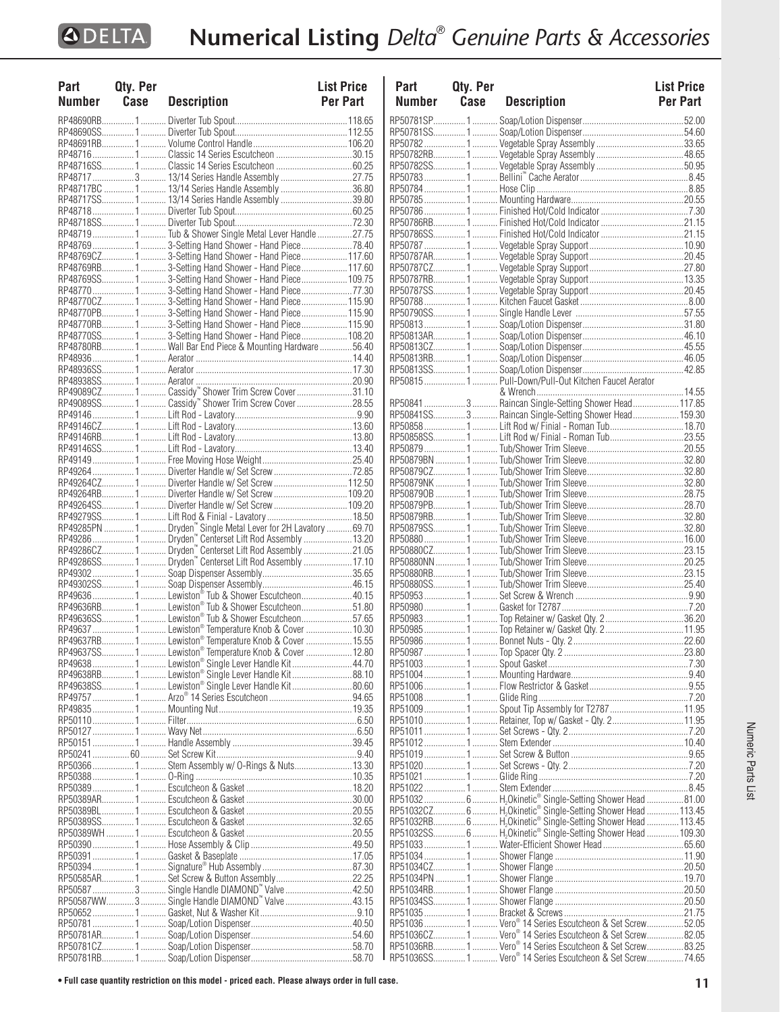| Part<br>Number Case | Qty. Per |                                                                                                                  | <b>List Price</b> |
|---------------------|----------|------------------------------------------------------------------------------------------------------------------|-------------------|
|                     |          | <b>Description</b>                                                                                               | <b>Per Part</b>   |
|                     |          |                                                                                                                  |                   |
|                     |          |                                                                                                                  |                   |
|                     |          | RP48716  1  Classic 14 Series Escutcheon 30.15                                                                   |                   |
|                     |          |                                                                                                                  |                   |
|                     |          | RP48717  3  13/14 Series Handle Assembly 27.75                                                                   |                   |
|                     |          | RP48717BC  1  13/14 Series Handle Assembly 36.80                                                                 |                   |
|                     |          | RP48717SS 1 13/14 Series Handle Assembly 39.80                                                                   |                   |
|                     |          |                                                                                                                  |                   |
|                     |          | RP48719 1  Tub & Shower Single Metal Lever Handle 27.75                                                          |                   |
|                     |          |                                                                                                                  |                   |
|                     |          |                                                                                                                  |                   |
|                     |          |                                                                                                                  |                   |
|                     |          |                                                                                                                  |                   |
|                     |          | RP48770CZ 1  3-Setting Hand Shower - Hand Piece 115.90                                                           |                   |
|                     |          | RP48770PB 1  3-Setting Hand Shower - Hand Piece 115.90                                                           |                   |
|                     |          |                                                                                                                  |                   |
|                     |          | RP48770SS13-Setting Hand Shower - Hand Piece108.20                                                               |                   |
|                     |          | RP48780RB1  Wall Bar End Piece & Mounting Hardware 56.40                                                         |                   |
|                     |          |                                                                                                                  |                   |
|                     |          |                                                                                                                  |                   |
|                     |          |                                                                                                                  |                   |
|                     |          |                                                                                                                  |                   |
|                     |          |                                                                                                                  |                   |
|                     |          |                                                                                                                  |                   |
|                     |          |                                                                                                                  |                   |
|                     |          |                                                                                                                  |                   |
|                     |          |                                                                                                                  |                   |
|                     |          | RP49264CZ 1  Diverter Handle w/ Set Screw  112.50                                                                |                   |
|                     |          |                                                                                                                  |                   |
|                     |          |                                                                                                                  |                   |
|                     |          | RP49285PN  1  Dryden" Single Metal Lever for 2H Lavatory  69.70                                                  |                   |
|                     |          |                                                                                                                  |                   |
|                     |          | RP49286  1  Dryden" Centerset Lift Rod Assembly  13.20<br>RP49286CZ 1  Dryden" Centerset Lift Rod Assembly 21.05 |                   |
|                     |          |                                                                                                                  |                   |
|                     |          |                                                                                                                  |                   |
|                     |          | RP49636 1  Lewiston® Tub & Shower Escutcheon40.15                                                                |                   |
|                     |          | RP49636RB1  Lewiston® Tub & Shower Escutcheon51.80                                                               |                   |
|                     |          | RP49636SS1 Lewiston® Tub & Shower Escutcheon57.65                                                                |                   |
|                     |          | RP49637  1  Lewiston® Temperature Knob & Cover  10.30                                                            |                   |
|                     |          | RP49637RB1 Lewiston® Temperature Knob & Cover15.55                                                               |                   |
|                     |          | RP49637SS1Lewiston® Temperature Knob & Cover 12.80                                                               |                   |
|                     |          | RP49638  1  Lewiston® Single Lever Handle Kit  44.70                                                             |                   |
|                     |          | RP49638RB1  Lewiston® Single Lever Handle Kit88.10                                                               |                   |
|                     |          | RP49638SS1 Lewiston® Single Lever Handle Kit80.60                                                                |                   |
|                     |          |                                                                                                                  |                   |
|                     |          |                                                                                                                  |                   |
|                     |          |                                                                                                                  |                   |
|                     |          |                                                                                                                  |                   |
|                     |          |                                                                                                                  |                   |
|                     |          |                                                                                                                  |                   |
|                     |          |                                                                                                                  |                   |
|                     |          |                                                                                                                  |                   |
|                     |          |                                                                                                                  |                   |
|                     |          |                                                                                                                  |                   |
|                     |          |                                                                                                                  |                   |
|                     |          |                                                                                                                  |                   |
|                     |          |                                                                                                                  |                   |
|                     |          |                                                                                                                  |                   |
|                     |          | RP50587  3  Single Handle DIAMOND" Valve  42.50                                                                  |                   |
|                     |          | RP50587WW3 Single Handle DIAMOND" Valve 43.15                                                                    |                   |
|                     |          |                                                                                                                  |                   |
|                     |          |                                                                                                                  |                   |
|                     |          |                                                                                                                  |                   |
|                     |          |                                                                                                                  |                   |

| Part          | Qty. Per |                                                                       | <b>List Price</b> |
|---------------|----------|-----------------------------------------------------------------------|-------------------|
| <b>Number</b> | Case     | <b>Description</b>                                                    | <b>Per Part</b>   |
|               |          |                                                                       |                   |
|               |          |                                                                       |                   |
|               |          |                                                                       |                   |
|               |          |                                                                       |                   |
|               |          |                                                                       |                   |
|               |          |                                                                       |                   |
|               |          |                                                                       |                   |
|               |          |                                                                       |                   |
|               |          |                                                                       |                   |
|               |          |                                                                       |                   |
|               |          |                                                                       |                   |
|               |          |                                                                       |                   |
|               |          |                                                                       |                   |
|               |          |                                                                       |                   |
|               |          |                                                                       |                   |
|               |          |                                                                       |                   |
|               |          |                                                                       |                   |
|               |          |                                                                       |                   |
|               |          |                                                                       |                   |
|               |          |                                                                       |                   |
|               |          |                                                                       |                   |
|               |          |                                                                       |                   |
|               |          |                                                                       |                   |
|               |          | RP50841SS3 Raincan Single-Setting Shower Head159.30                   |                   |
|               |          | RP50858  1  Lift Rod w/ Finial - Roman Tub 18.70                      |                   |
|               |          | RP50858SS1  Lift Rod w/ Finial - Roman Tub23.55                       |                   |
|               |          |                                                                       |                   |
|               |          |                                                                       |                   |
|               |          |                                                                       |                   |
|               |          |                                                                       |                   |
|               |          |                                                                       |                   |
|               |          |                                                                       |                   |
|               |          |                                                                       |                   |
|               |          |                                                                       |                   |
|               |          |                                                                       |                   |
|               |          |                                                                       |                   |
|               |          |                                                                       |                   |
|               |          |                                                                       |                   |
|               |          |                                                                       |                   |
|               |          |                                                                       |                   |
|               |          |                                                                       |                   |
|               |          |                                                                       |                   |
|               |          |                                                                       |                   |
|               |          |                                                                       |                   |
|               |          |                                                                       |                   |
|               |          |                                                                       |                   |
|               |          | RP51009 1  Spout Tip Assembly for T2787 11.95                         |                   |
|               |          | RP51010 1  Retainer, Top w/ Gasket - Qty. 2 11.95                     |                   |
|               |          |                                                                       |                   |
|               |          |                                                                       |                   |
|               |          |                                                                       |                   |
|               |          |                                                                       |                   |
|               |          |                                                                       |                   |
|               |          | RP51032  6  H <sub>2</sub> Okinetic® Single-Setting Shower Head 81.00 |                   |
|               |          |                                                                       |                   |
|               |          |                                                                       |                   |
|               |          |                                                                       |                   |
|               |          |                                                                       |                   |
|               |          |                                                                       |                   |
|               |          |                                                                       |                   |
|               |          |                                                                       |                   |
|               |          |                                                                       |                   |
|               |          |                                                                       |                   |
|               |          | RP51036  1  Vero <sup>®</sup> 14 Series Escutcheon & Set Screw 52.05  |                   |
|               |          | RP51036CZ 1  Vero <sup>®</sup> 14 Series Escutcheon & Set Screw82.05  |                   |
|               |          | RP51036RB 1  Vero <sup>®</sup> 14 Series Escutcheon & Set Screw83.25  |                   |
|               |          | RP51036SS1 Vero <sup>®</sup> 14 Series Escutcheon & Set Screw74.65    |                   |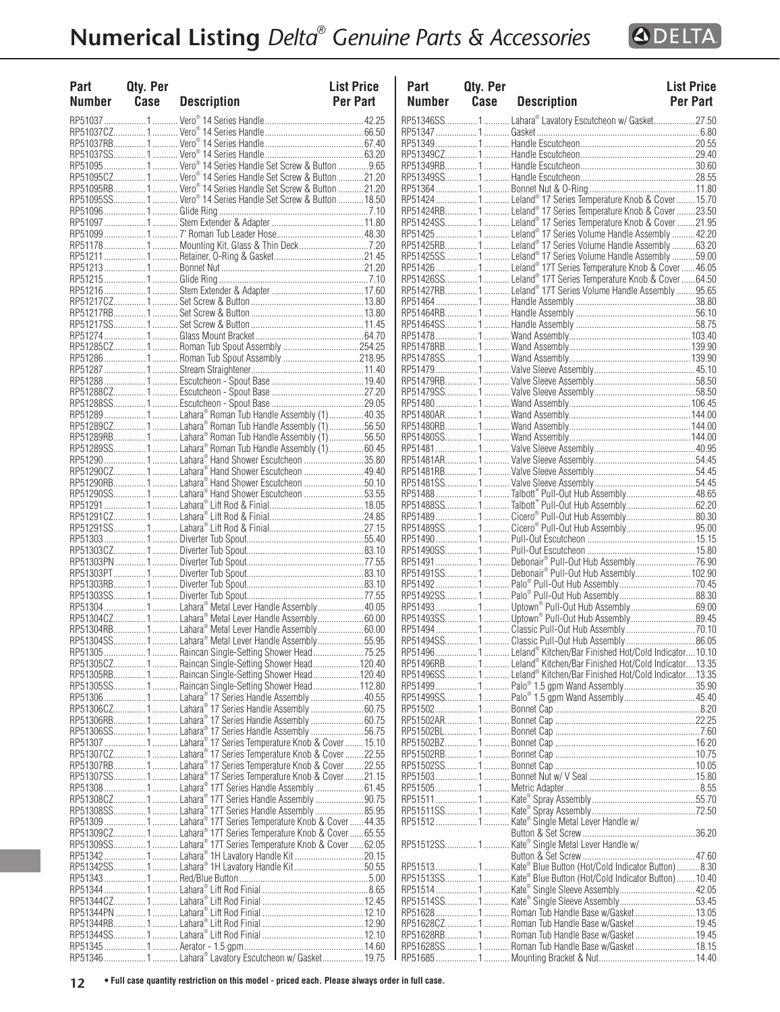| Part<br>Number | Qty. Per<br>Case | <b>Description</b>                                                                                               | <b>List Price</b><br><b>Per Part</b> | Part<br><b>Numb</b>  |
|----------------|------------------|------------------------------------------------------------------------------------------------------------------|--------------------------------------|----------------------|
|                |                  |                                                                                                                  |                                      | RP513469             |
|                |                  |                                                                                                                  |                                      | RP51347.             |
|                |                  |                                                                                                                  |                                      | RP51349.             |
|                |                  |                                                                                                                  |                                      | RP513490<br>RP51349F |
|                |                  | RP51095CZ1 Vero <sup>®</sup> 14 Series Handle Set Screw & Button 21.20                                           |                                      | RP513499             |
|                |                  |                                                                                                                  |                                      | RP51364.             |
|                |                  | RP51095SS 1  Vero <sup>®</sup> 14 Series Handle Set Screw & Button  18.50                                        |                                      | RP51424.             |
|                |                  |                                                                                                                  |                                      | RP51424F             |
|                |                  |                                                                                                                  |                                      | RP514249             |
|                |                  |                                                                                                                  |                                      | RP51425.             |
|                |                  |                                                                                                                  |                                      | RP51425F             |
|                |                  |                                                                                                                  |                                      | RP514259<br>RP51426. |
|                |                  |                                                                                                                  |                                      | RP514269             |
|                |                  |                                                                                                                  |                                      | RP51427F             |
|                |                  |                                                                                                                  |                                      | RP51464.             |
|                |                  |                                                                                                                  |                                      | RP51464F             |
|                |                  |                                                                                                                  |                                      | RP514649             |
|                |                  |                                                                                                                  |                                      | RP51478.             |
|                |                  |                                                                                                                  |                                      | RP51478F             |
|                |                  |                                                                                                                  |                                      | RP514789             |
|                |                  |                                                                                                                  |                                      | RP51479.<br>RP51479F |
|                |                  |                                                                                                                  |                                      | RP514799             |
|                |                  |                                                                                                                  |                                      | RP51480.             |
|                |                  | RP51289  1  Lahara® Roman Tub Handle Assembly (1)  40.35                                                         |                                      | RP51480A             |
|                |                  | RP51289CZ 1  Lahara® Roman Tub Handle Assembly (1) 56.50                                                         |                                      | RP51480F             |
|                |                  | RP51289RB1  Lahara® Roman Tub Handle Assembly (1)56.50                                                           |                                      | RP514809             |
|                |                  | RP51289SS1 Lahara® Roman Tub Handle Assembly (1)60.45                                                            |                                      | RP51481.             |
|                |                  |                                                                                                                  |                                      | RP51481/             |
|                |                  | RP51290CZ1 Lahara® Hand Shower Escutcheon 49.40                                                                  |                                      | RP51481F             |
|                |                  | RP51290RB1 Lahara® Hand Shower Escutcheon 50.10                                                                  |                                      | RP514819             |
|                |                  | RP51290SS1 Lahara® Hand Shower Escutcheon 53.55                                                                  |                                      | RP51488.<br>RP514889 |
|                |                  |                                                                                                                  |                                      | RP51489.             |
|                |                  |                                                                                                                  |                                      | RP514899             |
|                |                  |                                                                                                                  |                                      | RP51490.             |
|                |                  |                                                                                                                  |                                      | RP514909             |
|                |                  |                                                                                                                  |                                      | RP51491.             |
|                |                  |                                                                                                                  |                                      | RP514919             |
|                |                  |                                                                                                                  |                                      | RP51492.             |
|                |                  |                                                                                                                  |                                      | RP514929             |
|                |                  |                                                                                                                  |                                      | RP51493.<br>RP514939 |
|                |                  | RP51304RB1 Lahara® Metal Lever Handle Assembly60.00                                                              |                                      | RP51494.             |
|                |                  | RP51304SS1 Lahara® Metal Lever Handle Assembly55.95                                                              |                                      | RP514949             |
|                |                  |                                                                                                                  |                                      | RP51496.             |
|                |                  | RP51305CZ 1  Raincan Single-Setting Shower Head 120.40                                                           |                                      | RP51496F             |
|                |                  |                                                                                                                  |                                      | RP514969             |
|                |                  |                                                                                                                  |                                      | RP51499.             |
|                |                  |                                                                                                                  |                                      | RP514999             |
|                |                  |                                                                                                                  |                                      | RP51502.             |
|                |                  | RP51306RB1 Lahara® 17 Series Handle Assembly 60.75<br>RP51306SS 1  Lahara® 17 Series Handle Assembly 56.75       |                                      | RP51502/             |
|                |                  | RP51307  1  Lahara® 17 Series Temperature Knob & Cover  15.10                                                    |                                      | RP51502E<br>RP51502E |
|                |                  | RP51307CZ 1  Lahara® 17 Series Temperature Knob & Cover  22.55                                                   |                                      | RP51502F             |
|                |                  | RP51307RB1 Lahara® 17 Series Temperature Knob & Cover22.55                                                       |                                      | RP515029             |
|                |                  | RP51307SS1 Lahara® 17 Series Temperature Knob & Cover21.15                                                       |                                      | RP51503.             |
|                |                  | RP51308  1  Lahara® 17T Series Handle Assembly  61.45                                                            |                                      | RP51505.             |
|                |                  | RP51308CZ 1  Lahara® 17T Series Handle Assembly  90.75                                                           |                                      | RP51511.             |
|                |                  |                                                                                                                  |                                      | RP515119             |
|                |                  | RP51309  1  Lahara® 17T Series Temperature Knob & Cover  44.35                                                   |                                      | RP51512.             |
|                |                  | RP51309CZ1 Lahara® 17T Series Temperature Knob & Cover 65.55                                                     |                                      |                      |
|                |                  | RP51309SS1 Lahara® 17T Series Temperature Knob & Cover 62.05<br>RP51342  1  Lahara® 1H Lavatory Handle Kit 20.15 |                                      | RP515129             |
|                |                  | RP51342SS 1  Lahara® 1H Lavatory Handle Kit 50.55                                                                |                                      | RP51513.             |
|                |                  |                                                                                                                  |                                      | RP515139             |
|                |                  |                                                                                                                  |                                      | RP51514.             |
|                |                  |                                                                                                                  |                                      | RP515149             |
|                |                  |                                                                                                                  |                                      | RP51628.             |
|                |                  |                                                                                                                  |                                      | RP516280             |
|                |                  |                                                                                                                  |                                      | RP51628F             |
|                |                  |                                                                                                                  |                                      | RP516289             |

| Part<br>Number | Qty. Per<br>Case | <b>Description</b>                                                                                             | <b>List Price</b><br><b>Per Part</b> | Part<br>Number | Qty. Per<br>Case | <b>Description</b>                                               | <b>List Price</b><br>Per Part |
|----------------|------------------|----------------------------------------------------------------------------------------------------------------|--------------------------------------|----------------|------------------|------------------------------------------------------------------|-------------------------------|
|                |                  |                                                                                                                |                                      |                |                  | RP51346SS1 Lahara® Lavatory Escutcheon w/ Gasket27.50            |                               |
|                |                  |                                                                                                                |                                      |                |                  |                                                                  |                               |
|                |                  |                                                                                                                |                                      |                |                  |                                                                  |                               |
|                |                  | RP51095 1  Vero <sup>®</sup> 14 Series Handle Set Screw & Button 9.65                                          |                                      |                |                  |                                                                  |                               |
|                |                  | RP51095CZ1 Vero <sup>®</sup> 14 Series Handle Set Screw & Button 21.20                                         |                                      |                |                  |                                                                  |                               |
|                |                  | RP51095RB1 Vero® 14 Series Handle Set Screw & Button 21.20                                                     |                                      |                |                  |                                                                  |                               |
|                |                  | RP51095SS1 Vero® 14 Series Handle Set Screw & Button 18.50                                                     |                                      |                |                  |                                                                  |                               |
|                |                  |                                                                                                                |                                      |                |                  |                                                                  |                               |
|                |                  |                                                                                                                |                                      |                |                  |                                                                  |                               |
|                |                  |                                                                                                                |                                      |                |                  |                                                                  |                               |
|                |                  |                                                                                                                |                                      |                |                  | RP51425RB1 Leland® 17 Series Volume Handle Assembly 63.20        |                               |
|                |                  |                                                                                                                |                                      |                |                  |                                                                  |                               |
|                |                  |                                                                                                                |                                      |                |                  | RP51426SS1 Leland® 17T Series Temperature Knob & Cover64.50      |                               |
|                |                  |                                                                                                                |                                      |                |                  | RP51427RB1 Leland® 17T Series Volume Handle Assembly 95.65       |                               |
|                |                  |                                                                                                                |                                      |                |                  |                                                                  |                               |
|                |                  |                                                                                                                |                                      |                |                  |                                                                  |                               |
|                |                  |                                                                                                                |                                      |                |                  |                                                                  |                               |
|                |                  |                                                                                                                |                                      |                |                  |                                                                  |                               |
|                |                  |                                                                                                                |                                      |                |                  |                                                                  |                               |
|                |                  |                                                                                                                |                                      |                |                  |                                                                  |                               |
|                |                  |                                                                                                                |                                      |                |                  |                                                                  |                               |
|                |                  |                                                                                                                |                                      |                |                  |                                                                  |                               |
|                |                  |                                                                                                                |                                      |                |                  |                                                                  |                               |
|                |                  | RP51289 1  Lahara® Roman Tub Handle Assembly (1)  40.35                                                        |                                      |                |                  |                                                                  |                               |
|                |                  | RP51289CZ1 Lahara® Roman Tub Handle Assembly (1)56.50                                                          |                                      |                |                  |                                                                  |                               |
|                |                  | RP51289RB1 Lahara® Roman Tub Handle Assembly (1)56.50<br>RP51289SS1 Lahara® Roman Tub Handle Assembly (1)60.45 |                                      |                |                  |                                                                  |                               |
|                |                  | RP51290 1  Lahara® Hand Shower Escutcheon 35.80                                                                |                                      |                |                  |                                                                  |                               |
|                |                  | RP51290CZ1 Lahara® Hand Shower Escutcheon 49.40                                                                |                                      |                |                  |                                                                  |                               |
|                |                  | RP51290RB1Lahara® Hand Shower Escutcheon 50.10                                                                 |                                      |                |                  |                                                                  |                               |
|                |                  | RP51290SS1 Lahara® Hand Shower Escutcheon 53.55                                                                |                                      |                |                  |                                                                  |                               |
|                |                  |                                                                                                                |                                      |                |                  |                                                                  |                               |
|                |                  |                                                                                                                |                                      |                |                  |                                                                  |                               |
|                |                  |                                                                                                                |                                      |                |                  |                                                                  |                               |
|                |                  |                                                                                                                |                                      |                |                  |                                                                  |                               |
|                |                  |                                                                                                                |                                      |                |                  |                                                                  |                               |
|                |                  |                                                                                                                |                                      |                |                  | RP51491SS1Debonair® Pull-Out Hub Assembly102.90                  |                               |
|                |                  |                                                                                                                |                                      |                |                  |                                                                  |                               |
|                |                  |                                                                                                                |                                      |                |                  |                                                                  |                               |
|                |                  | RP51304 1  Lahara® Metal Lever Handle Assembly 40.05                                                           |                                      |                |                  | . Uptown® Pull-Out Hub Assembly69.00                             |                               |
|                |                  | RP51304CZ1 Lahara® Metal Lever Handle Assembly60.00<br>RP51304RB1Lahara® Metal Lever Handle Assembly60.00      |                                      |                |                  |                                                                  |                               |
|                |                  | RP51304SS1 Lahara® Metal Lever Handle Assembly55.95                                                            |                                      |                |                  | RP51494SS1Classic Pull-Out Hub Assembly86.05                     |                               |
|                |                  | RP51305 1  Raincan Single-Setting Shower Head75.25                                                             |                                      |                |                  | RP51496 1  Leland® Kitchen/Bar Finished Hot/Cold Indicator 10.10 |                               |
|                |                  | RP51305CZ1 Raincan Single-Setting Shower Head120.40                                                            |                                      |                |                  |                                                                  |                               |
|                |                  | RP51305RB1Raincan Single-Setting Shower Head120.40                                                             |                                      |                |                  |                                                                  |                               |
|                |                  | RP51305SS1 Raincan Single-Setting Shower Head112.80                                                            |                                      |                |                  | RP51499 1  Palo® 1.5 gpm Wand Assembly 35.90                     |                               |
|                |                  | RP51306 1  Lahara® 17 Series Handle Assembly 40.55                                                             |                                      |                |                  |                                                                  |                               |
|                |                  | RP51306CZ1 Lahara® 17 Series Handle Assembly 60.75<br>RP51306RB1 Lahara® 17 Series Handle Assembly60.75        |                                      |                |                  |                                                                  |                               |
|                |                  | RP51306SS1 Lahara® 17 Series Handle Assembly 56.75                                                             |                                      |                |                  |                                                                  |                               |
|                |                  | RP51307 1  Lahara® 17 Series Temperature Knob & Cover  15.10                                                   |                                      |                |                  |                                                                  |                               |
|                |                  | RP51307CZ1Lahara®17 Series Temperature Knob & Cover22.55                                                       |                                      |                |                  |                                                                  |                               |
|                |                  | RP51307RB1Lahara®17 Series Temperature Knob & Cover22.55                                                       |                                      |                |                  |                                                                  |                               |
|                |                  | RP51307SS1 Lahara® 17 Series Temperature Knob & Cover 21.15                                                    |                                      |                |                  |                                                                  |                               |
|                |                  | RP51308 1  Lahara® 17T Series Handle Assembly 61.45                                                            |                                      |                |                  |                                                                  |                               |
|                |                  | RP51308CZ1Lahara®17T Series Handle Assembly 90.75<br>RP51308SS1Lahara®17T Series Handle Assembly85.95          |                                      |                |                  |                                                                  |                               |
|                |                  | RP513091 Lahara® 17T Series Temperature Knob & Cover44.35                                                      |                                      |                |                  |                                                                  |                               |
|                |                  | RP51309CZ1Lahara®17T Series Temperature Knob & Cover 65.55                                                     |                                      |                |                  |                                                                  |                               |
|                |                  | RP51309SS1 Lahara® 17T Series Temperature Knob & Cover 62.05                                                   |                                      |                |                  |                                                                  |                               |
|                |                  | RP51342 …………………1 ………… Lahara® 1H Lavatory Handle Kit ……………………………20.15                                          |                                      |                |                  |                                                                  |                               |
|                |                  | RP51342SS1Lahara®1H Lavatory Handle Kit50.55                                                                   |                                      |                |                  | RP51513 1 Kate® Blue Button (Hot/Cold Indicator Button)8.30      |                               |
|                |                  |                                                                                                                |                                      | RP51513SS1     |                  | Kate <sup>®</sup> Blue Button (Hot/Cold Indicator Button)10.40   |                               |
|                |                  |                                                                                                                |                                      |                |                  | RP51514SS1Kate® Single Sleeve Assembly53.45                      |                               |
|                |                  |                                                                                                                |                                      |                |                  |                                                                  |                               |
|                |                  |                                                                                                                |                                      |                |                  | RP51628CZ1 Roman Tub Handle Base w/Gasket19.45                   |                               |
|                |                  |                                                                                                                |                                      |                |                  | RP51628RB1 Roman Tub Handle Base w/Gasket19.45                   |                               |
|                |                  |                                                                                                                |                                      |                |                  | RP51628SS1 Roman Tub Handle Base w/Gasket18.15                   |                               |
|                |                  | RP51346  1  Lahara® Lavatory Escutcheon w/ Gasket 19.75                                                        |                                      |                |                  |                                                                  |                               |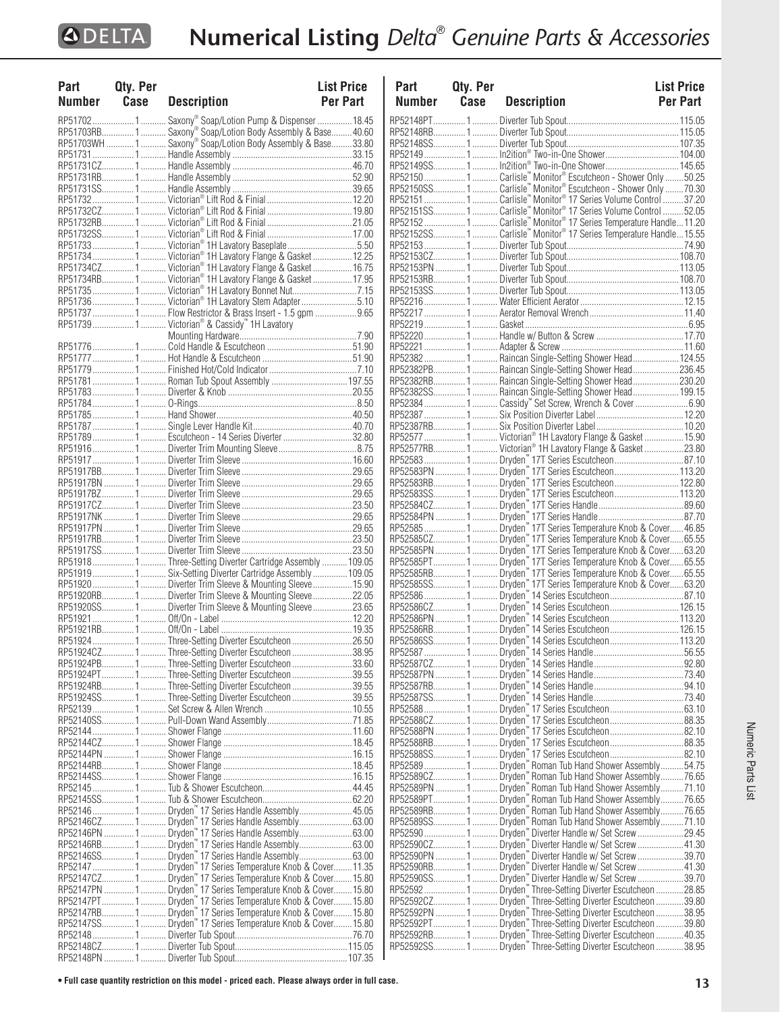| Part<br>Number Case | Qty. Per | <b>Description</b>                                                                                                              | <b>List Price</b><br><b>Per Part</b> |
|---------------------|----------|---------------------------------------------------------------------------------------------------------------------------------|--------------------------------------|
|                     |          |                                                                                                                                 |                                      |
|                     |          | RP51702  1  Saxony® Soap/Lotion Pump & Dispenser  18.45<br>RP51703RB 1  Saxony® Soap/Lotion Body Assembly & Base 40.60          |                                      |
|                     |          |                                                                                                                                 |                                      |
|                     |          |                                                                                                                                 |                                      |
|                     |          |                                                                                                                                 |                                      |
|                     |          |                                                                                                                                 |                                      |
|                     |          |                                                                                                                                 |                                      |
|                     |          |                                                                                                                                 |                                      |
|                     |          |                                                                                                                                 |                                      |
|                     |          |                                                                                                                                 |                                      |
|                     |          |                                                                                                                                 |                                      |
|                     |          | RP51733  1  Victorian® 1H Lavatory Baseplate 5.50                                                                               |                                      |
|                     |          | RP51734 1  Victorian® 1H Lavatory Flange & Gasket  12.25                                                                        |                                      |
|                     |          | RP51734CZ 1  Victorian® 1H Lavatory Flange & Gasket  16.75<br>RP51734RB1 Victorian® 1H Lavatory Flange & Gasket17.95            |                                      |
|                     |          |                                                                                                                                 |                                      |
|                     |          | RP51736  1  Victorian® 1H Lavatory Stem Adapter 5.10                                                                            |                                      |
|                     |          | RP51737  1  Flow Restrictor & Brass Insert - 1.5 gpm  9.65                                                                      |                                      |
|                     |          | RP51739  1  Victorian® & Cassidy™ 1H Lavatory                                                                                   |                                      |
|                     |          |                                                                                                                                 |                                      |
|                     |          |                                                                                                                                 |                                      |
|                     |          |                                                                                                                                 |                                      |
|                     |          |                                                                                                                                 |                                      |
|                     |          | RP51781 1  Roman Tub Spout Assembly  197.55                                                                                     |                                      |
|                     |          |                                                                                                                                 |                                      |
|                     |          |                                                                                                                                 |                                      |
|                     |          |                                                                                                                                 |                                      |
|                     |          |                                                                                                                                 |                                      |
|                     |          | RP517891 Escutcheon - 14 Series Diverter32.80                                                                                   |                                      |
|                     |          |                                                                                                                                 |                                      |
|                     |          |                                                                                                                                 |                                      |
|                     |          |                                                                                                                                 |                                      |
|                     |          |                                                                                                                                 |                                      |
|                     |          |                                                                                                                                 |                                      |
|                     |          |                                                                                                                                 |                                      |
|                     |          |                                                                                                                                 |                                      |
|                     |          |                                                                                                                                 |                                      |
|                     |          |                                                                                                                                 |                                      |
|                     |          | RP519181Three-Setting Diverter Cartridge Assembly109.05                                                                         |                                      |
|                     |          | RP51919  1  Six-Setting Diverter Cartridge Assembly  109.05                                                                     |                                      |
|                     |          |                                                                                                                                 |                                      |
|                     |          | RP51920RB1 Diverter Trim Sleeve & Mounting Sleeve22.05                                                                          |                                      |
|                     |          | RP51920SS 1  Diverter Trim Sleeve & Mounting Sleeve 23.65                                                                       |                                      |
|                     |          |                                                                                                                                 |                                      |
|                     |          |                                                                                                                                 |                                      |
|                     |          | RP51924 1  Three-Setting Diverter Escutcheon 26.50                                                                              |                                      |
|                     |          | RP51924CZ 1  Three-Setting Diverter Escutcheon 38.95                                                                            |                                      |
|                     |          | RP51924PB1 Three-Setting Diverter Escutcheon33.60                                                                               |                                      |
|                     |          | RP51924PT1Three-Setting Diverter Escutcheon39.55                                                                                |                                      |
|                     |          | RP51924RB1 Three-Setting Diverter Escutcheon 39.55<br>RP51924SS1Three-Setting Diverter Escutcheon39.55                          |                                      |
|                     |          |                                                                                                                                 |                                      |
|                     |          |                                                                                                                                 |                                      |
|                     |          |                                                                                                                                 |                                      |
|                     |          |                                                                                                                                 |                                      |
|                     |          |                                                                                                                                 |                                      |
|                     |          |                                                                                                                                 |                                      |
|                     |          |                                                                                                                                 |                                      |
|                     |          |                                                                                                                                 |                                      |
|                     |          |                                                                                                                                 |                                      |
|                     |          |                                                                                                                                 |                                      |
|                     |          |                                                                                                                                 |                                      |
|                     |          |                                                                                                                                 |                                      |
|                     |          |                                                                                                                                 |                                      |
|                     |          |                                                                                                                                 |                                      |
|                     |          |                                                                                                                                 |                                      |
|                     |          |                                                                                                                                 |                                      |
|                     |          | RP52147PN  1  Dryden" 17 Series Temperature Knob & Cover 15.80<br>RP52147PT 1  Dryden" 17 Series Temperature Knob & Cover 15.80 |                                      |
|                     |          | RP52147RB 1 Dryden <sup>**</sup> 17 Series Temperature Knob & Cover 15.80                                                       |                                      |
|                     |          | RP52147SS 1 Dryden <sup>"</sup> 17 Series Temperature Knob & Cover 15.80                                                        |                                      |
|                     |          |                                                                                                                                 |                                      |
|                     |          |                                                                                                                                 |                                      |
|                     |          |                                                                                                                                 |                                      |

| Part          | Qty. Per |                                                                                                                                  | <b>List Price</b> |
|---------------|----------|----------------------------------------------------------------------------------------------------------------------------------|-------------------|
| <b>Number</b> | Case     | <b>Description</b>                                                                                                               | Per Part          |
|               |          |                                                                                                                                  |                   |
|               |          |                                                                                                                                  |                   |
|               |          |                                                                                                                                  |                   |
|               |          | RP521491 In2ition® Two-in-One Shower 104.00                                                                                      |                   |
|               |          |                                                                                                                                  |                   |
|               |          |                                                                                                                                  |                   |
|               |          |                                                                                                                                  |                   |
|               |          |                                                                                                                                  |                   |
|               |          |                                                                                                                                  |                   |
|               |          |                                                                                                                                  |                   |
|               |          |                                                                                                                                  |                   |
|               |          |                                                                                                                                  |                   |
|               |          |                                                                                                                                  |                   |
|               |          |                                                                                                                                  |                   |
|               |          |                                                                                                                                  |                   |
|               |          |                                                                                                                                  |                   |
|               |          |                                                                                                                                  |                   |
|               |          |                                                                                                                                  |                   |
|               |          |                                                                                                                                  |                   |
|               |          |                                                                                                                                  |                   |
|               |          |                                                                                                                                  |                   |
|               |          | RP52382PB1  Raincan Single-Setting Shower Head236.45                                                                             |                   |
|               |          | RP52382RB 1 Raincan Single-Setting Shower Head 230.20                                                                            |                   |
|               |          | RP52382SS 1  Raincan Single-Setting Shower Head 199.15                                                                           |                   |
|               |          | RP52384 1  Cassidy™ Set Screw, Wrench & Cover 6.90                                                                               |                   |
|               |          |                                                                                                                                  |                   |
|               |          | RP52577  1  Victorian® 1H Lavatory Flange & Gasket  15.90                                                                        |                   |
|               |          |                                                                                                                                  |                   |
|               |          |                                                                                                                                  |                   |
|               |          |                                                                                                                                  |                   |
|               |          |                                                                                                                                  |                   |
|               |          |                                                                                                                                  |                   |
|               |          |                                                                                                                                  |                   |
|               |          |                                                                                                                                  |                   |
|               |          |                                                                                                                                  |                   |
|               |          |                                                                                                                                  |                   |
|               |          | <br>RP52585PN 1 Dryden" 17T Series Temperature Knob & Cover63.20<br>RP52585PT 1 Dryden" 17T Series Temperature Knob & Cover65.55 |                   |
|               |          |                                                                                                                                  |                   |
|               |          | RP52585RB 1 Dryden" 17T Series Temperature Knob & Cover65.55<br>RP52585SS 1 Dryden" 17T Series Temperature Knob & Cover63.20     |                   |
|               |          |                                                                                                                                  |                   |
|               |          |                                                                                                                                  |                   |
|               |          |                                                                                                                                  |                   |
|               |          |                                                                                                                                  |                   |
|               |          |                                                                                                                                  |                   |
|               |          |                                                                                                                                  |                   |
|               |          |                                                                                                                                  |                   |
|               |          |                                                                                                                                  |                   |
|               |          |                                                                                                                                  |                   |
|               |          | RP525881 Dryden" 17 Series Escutcheon63.10                                                                                       |                   |
|               |          |                                                                                                                                  |                   |
|               |          |                                                                                                                                  |                   |
|               |          | RP52588RB1 Dryden™ 17 Series Escutcheon88.35                                                                                     |                   |
|               |          |                                                                                                                                  |                   |
|               |          |                                                                                                                                  |                   |
|               |          |                                                                                                                                  |                   |
|               |          |                                                                                                                                  |                   |
|               |          |                                                                                                                                  |                   |
|               |          | RP52589RB1 Dryden™ Roman Tub Hand Shower Assembly76.65                                                                           |                   |
|               |          | RP52589SS 1 Dryden™ Roman Tub Hand Shower Assembly 71.10<br>RP52590  1 Dryden™ Diverter Handle w/ Set Screw 29.45                |                   |
|               |          |                                                                                                                                  |                   |
|               |          | RP52590CZ 1 Dryden" Diverter Handle w/ Set Screw  41.30<br>RP52590PN  1 Dryden" Diverter Handle w/ Set Screw 39.70               |                   |
|               |          |                                                                                                                                  |                   |
|               |          | RP52590RB 1 Dryden™ Diverter Handle w/ Set Screw 41.30<br>RP52590SS 1 Dryden™ Diverter Handle w/ Set Screw 39.70                 |                   |
|               |          |                                                                                                                                  |                   |
|               |          |                                                                                                                                  |                   |
|               |          |                                                                                                                                  |                   |
|               |          |                                                                                                                                  |                   |
|               |          |                                                                                                                                  |                   |
|               |          | RP52592SS1 Dryden™ Three-Setting Diverter Escutcheon 38.95                                                                       |                   |

Numeric Parts List

Numeric Parts List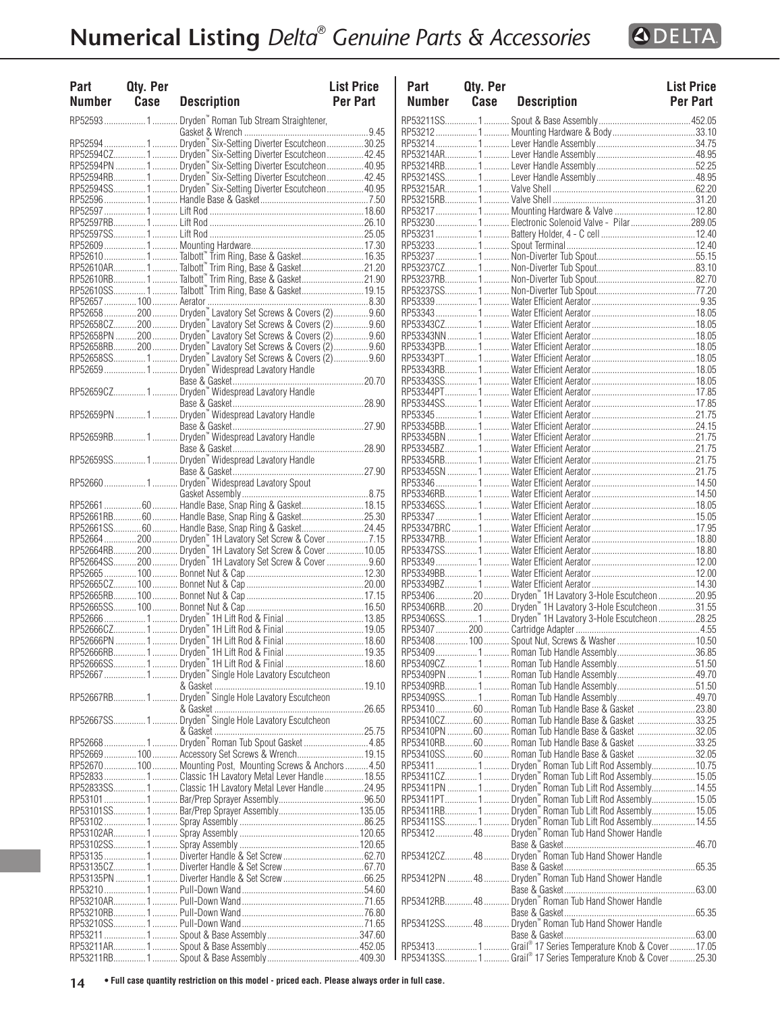

| <b>Part</b><br><b>Number</b> | Qty. Per<br>Case | <b>Description</b>                                                                                                          | <b>List Price</b><br><b>Per Part</b> | P<br>N          |
|------------------------------|------------------|-----------------------------------------------------------------------------------------------------------------------------|--------------------------------------|-----------------|
|                              |                  | RP52593  1  Dryden" Roman Tub Stream Straightener,                                                                          |                                      | RP!             |
|                              |                  |                                                                                                                             |                                      | RP!             |
|                              |                  | RP52594  1  Dryden <sup>"</sup> Six-Setting Diverter Escutcheon 30.25                                                       |                                      | RP.             |
|                              |                  | RP52594CZ 1  Dryden" Six-Setting Diverter Escutcheon  42.45<br>RP52594PN  1  Dryden" Six-Setting Diverter Escutcheon  40.95 |                                      | RP.             |
|                              |                  |                                                                                                                             |                                      | RP.             |
|                              |                  | RP52594RB1 Dryden "Six-Setting Diverter Escutcheon42.45                                                                     |                                      | RP!             |
|                              |                  | RP52594SS1 Dryden" Six-Setting Diverter Escutcheon40.95                                                                     |                                      | RP.             |
|                              |                  |                                                                                                                             |                                      | RP!             |
|                              |                  |                                                                                                                             |                                      | RP!             |
|                              |                  |                                                                                                                             |                                      | RP!             |
|                              |                  |                                                                                                                             |                                      | RP.             |
|                              |                  |                                                                                                                             |                                      | RP!             |
|                              |                  |                                                                                                                             |                                      | RP.             |
|                              |                  |                                                                                                                             |                                      | RP.             |
|                              |                  | RP52610RB1Talbott" Trim Ring, Base & Gasket21.90                                                                            |                                      | RP!             |
|                              |                  |                                                                                                                             |                                      | RP.             |
|                              |                  |                                                                                                                             |                                      | RP:             |
|                              |                  | RP52658200 Dryden Lavatory Set Screws & Covers (2)9.60                                                                      |                                      | RP.             |
|                              |                  | RP52658CZ200 Dryden Lavatory Set Screws & Covers (2)9.60                                                                    |                                      | RP.             |
|                              |                  | RP52658PN 200  Dryden" Lavatory Set Screws & Covers (2)  9.60                                                               |                                      | RP!             |
|                              |                  | RP52658RB200  Dryden " Lavatory Set Screws & Covers (2)9.60<br>RP52658SS 1  Dryden " Lavatory Set Screws & Covers (2)9.60   |                                      | RP!             |
|                              |                  |                                                                                                                             |                                      | RP!             |
|                              |                  | RP52659  1  Dryden" Widespread Lavatory Handle                                                                              |                                      | RP!             |
|                              |                  |                                                                                                                             |                                      | RP.             |
|                              |                  |                                                                                                                             |                                      | RP.             |
|                              |                  |                                                                                                                             |                                      | RP.             |
|                              |                  |                                                                                                                             |                                      | RP.             |
|                              |                  |                                                                                                                             |                                      | RP.             |
|                              |                  | RP52659RB1 Dryden" Widespread Lavatory Handle                                                                               |                                      | RP.             |
|                              |                  |                                                                                                                             |                                      | RP.             |
|                              |                  | RP52659SS1 Dryden" Widespread Lavatory Handle                                                                               |                                      | RP.             |
|                              |                  |                                                                                                                             |                                      | RP.             |
|                              |                  | RP52660  1  Dryden" Widespread Lavatory Spout                                                                               |                                      | RP!             |
|                              |                  |                                                                                                                             |                                      | RP!             |
|                              |                  | RP52661  60  Handle Base, Snap Ring & Gasket 18.15                                                                          |                                      | RP.             |
|                              |                  | RP52661RB 60  Handle Base, Snap Ring & Gasket25.30                                                                          |                                      | RP!             |
|                              |                  | RP52661SS60 Handle Base, Snap Ring & Gasket24.45                                                                            |                                      | RP.             |
|                              |                  | RP52664  200  Dryden" 1H Lavatory Set Screw & Cover 7.15                                                                    |                                      | RP.             |
|                              |                  | RP52664RB 200  Dryden" 1H Lavatory Set Screw & Cover  10.05                                                                 |                                      | RP.             |
|                              |                  | RP52664SS200 Dryden <sup>"</sup> 1H Lavatory Set Screw & Cover9.60                                                          |                                      | RP.             |
|                              |                  |                                                                                                                             |                                      | RP:             |
|                              |                  |                                                                                                                             |                                      | RP.             |
|                              |                  |                                                                                                                             |                                      | RP.             |
|                              |                  |                                                                                                                             |                                      | RP!             |
|                              |                  |                                                                                                                             |                                      | RP!             |
|                              |                  |                                                                                                                             |                                      | RP!             |
|                              |                  |                                                                                                                             |                                      | RP <sub>5</sub> |
|                              |                  |                                                                                                                             |                                      | RP!             |
|                              |                  |                                                                                                                             |                                      | RP!             |
|                              |                  | RP52667  1  Dryden" Single Hole Lavatory Escutcheon                                                                         |                                      | RP!             |
|                              |                  |                                                                                                                             |                                      | RP.             |
|                              |                  | RP52667RB1 Dryden" Single Hole Lavatory Escutcheon                                                                          |                                      | RP!             |
|                              |                  |                                                                                                                             |                                      | RP!             |
|                              |                  | RP52667SS1 Dryden" Single Hole Lavatory Escutcheon                                                                          |                                      | RP.             |
|                              |                  |                                                                                                                             |                                      | RP.             |
|                              |                  | RP52668 1  Dryden <sup>™</sup> Roman Tub Spout Gasket 4.85                                                                  |                                      | RP.             |
|                              |                  | RP52669 100 Accessory Set Screws & Wrench 19.15                                                                             |                                      | RP!             |
|                              |                  | RP52670  100  Mounting Post, Mounting Screws & Anchors  4.50                                                                |                                      | RP!             |
|                              |                  | RP52833  1  Classic 1H Lavatory Metal Lever Handle  18.55                                                                   |                                      | RP.             |
|                              |                  | RP52833SS1 Classic 1H Lavatory Metal Lever Handle24.95                                                                      |                                      | RP.             |
|                              |                  |                                                                                                                             |                                      | RP.             |
|                              |                  |                                                                                                                             |                                      | RP.             |
|                              |                  |                                                                                                                             |                                      | RP:             |
|                              |                  |                                                                                                                             |                                      | RP.             |
|                              |                  |                                                                                                                             |                                      |                 |
|                              |                  |                                                                                                                             |                                      | RP.             |
|                              |                  |                                                                                                                             |                                      |                 |
|                              |                  |                                                                                                                             |                                      | RP!             |
|                              |                  |                                                                                                                             |                                      |                 |
|                              |                  |                                                                                                                             |                                      | RP!             |
|                              |                  |                                                                                                                             |                                      |                 |
|                              |                  |                                                                                                                             |                                      | RP!             |
|                              |                  |                                                                                                                             |                                      |                 |
|                              |                  |                                                                                                                             |                                      | RP!             |
|                              |                  |                                                                                                                             |                                      | RP5             |

| Part          | Qty. Per |                                                                   | <b>List Price</b> |
|---------------|----------|-------------------------------------------------------------------|-------------------|
| <b>Number</b> | Case     | <b>Description</b>                                                | <b>Per Part</b>   |
|               |          |                                                                   |                   |
|               |          | RP532121 Mounting Hardware & Body33.10                            |                   |
|               |          |                                                                   |                   |
|               |          |                                                                   |                   |
|               |          |                                                                   |                   |
|               |          |                                                                   |                   |
|               |          |                                                                   |                   |
|               |          |                                                                   |                   |
|               |          | RP53230  1  Electronic Solenoid Valve - Pilar 289.05              |                   |
|               |          |                                                                   |                   |
|               |          |                                                                   |                   |
|               |          |                                                                   |                   |
|               |          |                                                                   |                   |
|               |          |                                                                   |                   |
|               |          |                                                                   |                   |
|               |          |                                                                   |                   |
|               |          |                                                                   |                   |
|               |          |                                                                   |                   |
|               |          |                                                                   |                   |
|               |          |                                                                   |                   |
|               |          |                                                                   |                   |
|               |          |                                                                   |                   |
|               |          |                                                                   |                   |
|               |          |                                                                   |                   |
|               |          |                                                                   |                   |
|               |          |                                                                   |                   |
|               |          |                                                                   |                   |
|               |          |                                                                   |                   |
|               |          |                                                                   |                   |
|               |          |                                                                   |                   |
|               |          |                                                                   |                   |
|               |          |                                                                   |                   |
|               |          |                                                                   |                   |
|               |          |                                                                   |                   |
|               |          |                                                                   |                   |
|               |          |                                                                   |                   |
|               |          |                                                                   |                   |
|               |          |                                                                   |                   |
|               |          |                                                                   |                   |
|               |          |                                                                   |                   |
|               |          |                                                                   |                   |
|               |          | RP53406SS1 Dryden" 1H Lavatory 3-Hole Escutcheon 28.25            |                   |
|               |          |                                                                   |                   |
|               |          | RP53408 100 Spout Nut, Screws & Washer 10.50                      |                   |
|               |          | RP53409 1  Roman Tub Handle Assembly 36.85                        |                   |
|               |          | RP53409CZ1 Roman Tub Handle Assembly51.50                         |                   |
|               |          | RP53409PN …………. 1 ……… Roman Tub Handle Assembly …………………………… 49.70 |                   |
|               |          |                                                                   |                   |
|               |          | RP53410  60  Roman Tub Handle Base & Gasket  23.80                |                   |
|               |          | RP53410CZ60  Roman Tub Handle Base & Gasket 33.25                 |                   |
|               |          | RP53410PN  60  Roman Tub Handle Base & Gasket 32.05               |                   |
|               |          | RP53410RB60  Roman Tub Handle Base & Gasket 33.25                 |                   |
|               |          | RP53410SS60  Roman Tub Handle Base & Gasket 32.05                 |                   |
|               |          | RP53411 1  Dryden" Roman Tub Lift Rod Assembly10.75               |                   |
|               |          | RP53411CZ 1  Dryden™ Roman Tub Lift Rod Assembly 15.05            |                   |
|               |          | RP53411PN 1  Dryden" Roman Tub Lift Rod Assembly 14.55            |                   |
|               |          | RP53411PT1 Dryden" Roman Tub Lift Rod Assembly15.05               |                   |
|               |          | RP53411RB1 Dryden™ Roman Tub Lift Rod Assembly15.05               |                   |
|               |          | RP53411SS1 Dryden™ Roman Tub Lift Rod Assembly14.55               |                   |
|               |          | RP53412 48 Dryden" Roman Tub Hand Shower Handle                   |                   |
|               |          | RP53412CZ 48  Dryden " Roman Tub Hand Shower Handle               |                   |
|               |          |                                                                   |                   |
|               |          |                                                                   |                   |
|               |          |                                                                   |                   |
|               |          | RP53412RB 48  Dryden " Roman Tub Hand Shower Handle               |                   |
|               |          |                                                                   |                   |
|               |          | RP53412SS48 Dryden "Roman Tub Hand Shower Handle                  |                   |
|               |          |                                                                   |                   |
|               |          | RP534131Grail® 17 Series Temperature Knob & Cover17.05            |                   |
|               |          | RP53413SS1 Grail® 17 Series Temperature Knob & Cover 25.30        |                   |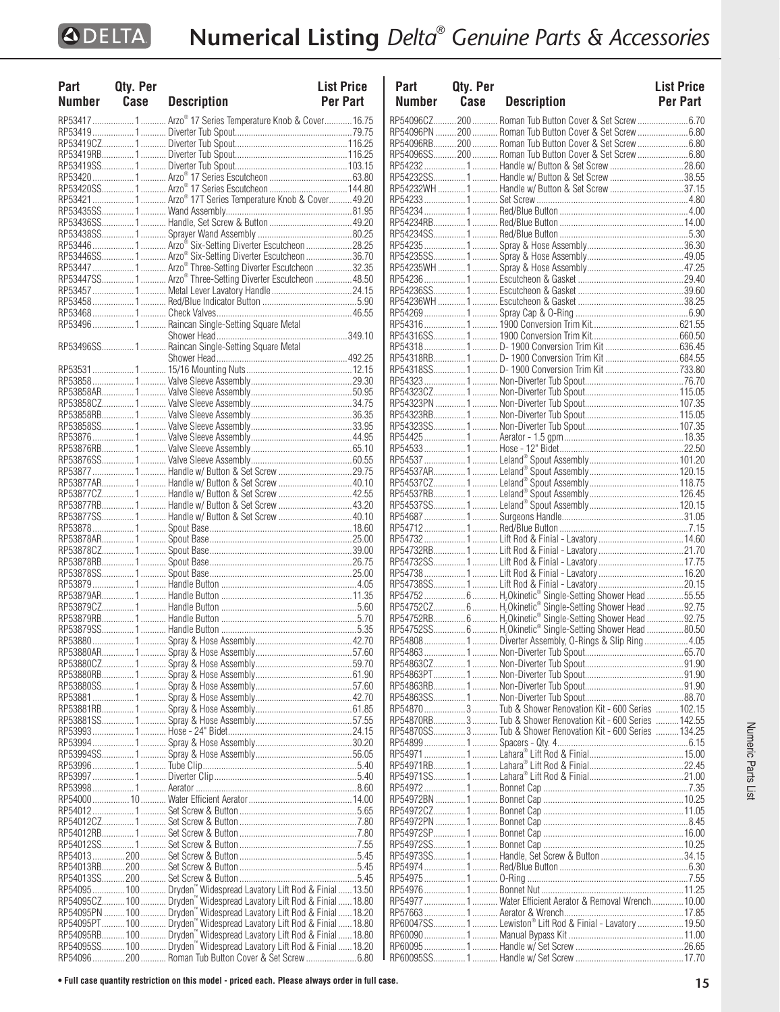$\mathbf{I}$ 

| Part          | Qty. Per |                                                                                                                                                        | <b>List Price</b> |
|---------------|----------|--------------------------------------------------------------------------------------------------------------------------------------------------------|-------------------|
| <b>Number</b> | Case     | <b>Description</b>                                                                                                                                     | <b>Per Part</b>   |
|               |          |                                                                                                                                                        |                   |
|               |          | RP53417  1  Arzo® 17 Series Temperature Knob & Cover  16.75                                                                                            |                   |
|               |          |                                                                                                                                                        |                   |
|               |          |                                                                                                                                                        |                   |
|               |          |                                                                                                                                                        |                   |
|               |          |                                                                                                                                                        |                   |
|               |          |                                                                                                                                                        |                   |
|               |          |                                                                                                                                                        |                   |
|               |          | RP53421  1  Arzo® 17T Series Temperature Knob & Cover  49.20                                                                                           |                   |
|               |          |                                                                                                                                                        |                   |
|               |          |                                                                                                                                                        |                   |
|               |          |                                                                                                                                                        |                   |
|               |          | RP53446  1  Arzo <sup>®</sup> Six-Setting Diverter Escutcheon 28.25                                                                                    |                   |
|               |          |                                                                                                                                                        |                   |
|               |          | RP53447 1 Arzo® Three-Setting Diverter Escutcheon 32.35                                                                                                |                   |
|               |          | RP53447SS 1 Arzo® Three-Setting Diverter Escutcheon  48.50                                                                                             |                   |
|               |          |                                                                                                                                                        |                   |
|               |          |                                                                                                                                                        |                   |
|               |          |                                                                                                                                                        |                   |
|               |          | RP53496  1  Raincan Single-Setting Square Metal                                                                                                        |                   |
|               |          |                                                                                                                                                        |                   |
|               |          |                                                                                                                                                        |                   |
|               |          |                                                                                                                                                        |                   |
|               |          |                                                                                                                                                        |                   |
|               |          |                                                                                                                                                        |                   |
|               |          |                                                                                                                                                        |                   |
|               |          |                                                                                                                                                        |                   |
|               |          |                                                                                                                                                        |                   |
|               |          |                                                                                                                                                        |                   |
|               |          |                                                                                                                                                        |                   |
|               |          |                                                                                                                                                        |                   |
|               |          |                                                                                                                                                        |                   |
|               |          |                                                                                                                                                        |                   |
|               |          | RP53877AR1 Handle w/ Button & Set Screw 40.10                                                                                                          |                   |
|               |          | RP53877CZ1 Handle w/ Button & Set Screw  42.55                                                                                                         |                   |
|               |          | RP53877RB1 Handle w/ Button & Set Screw 43.20                                                                                                          |                   |
|               |          | RP53877SS1 Handle w/ Button & Set Screw 40.10                                                                                                          |                   |
|               |          |                                                                                                                                                        |                   |
|               |          |                                                                                                                                                        |                   |
|               |          |                                                                                                                                                        |                   |
|               |          |                                                                                                                                                        |                   |
|               |          |                                                                                                                                                        |                   |
|               |          |                                                                                                                                                        |                   |
|               |          |                                                                                                                                                        |                   |
|               |          |                                                                                                                                                        |                   |
|               |          |                                                                                                                                                        |                   |
|               |          |                                                                                                                                                        |                   |
|               |          |                                                                                                                                                        |                   |
|               |          |                                                                                                                                                        |                   |
|               |          |                                                                                                                                                        |                   |
|               |          |                                                                                                                                                        |                   |
|               |          |                                                                                                                                                        |                   |
|               |          |                                                                                                                                                        |                   |
|               |          |                                                                                                                                                        |                   |
|               |          |                                                                                                                                                        |                   |
|               |          |                                                                                                                                                        |                   |
|               |          |                                                                                                                                                        |                   |
|               |          |                                                                                                                                                        |                   |
|               |          |                                                                                                                                                        |                   |
|               |          |                                                                                                                                                        |                   |
|               |          |                                                                                                                                                        |                   |
|               |          |                                                                                                                                                        |                   |
|               |          |                                                                                                                                                        |                   |
|               |          |                                                                                                                                                        |                   |
|               |          |                                                                                                                                                        |                   |
|               |          |                                                                                                                                                        |                   |
|               |          |                                                                                                                                                        |                   |
|               |          |                                                                                                                                                        |                   |
|               |          |                                                                                                                                                        |                   |
|               |          |                                                                                                                                                        |                   |
|               |          |                                                                                                                                                        |                   |
|               |          |                                                                                                                                                        |                   |
|               |          |                                                                                                                                                        |                   |
|               |          | RP54095 100 Dryden" Widespread Lavatory Lift Rod & Finial 13.50<br>RP54095CZ 100 Dryden" Widespread Lavatory Lift Rod & Finial 13.50<br>RP54095PN  100 |                   |
|               |          | RP54095PT 100 Dryden" Widespread Lavatory Lift Rod & Finial 18.80<br>RP54095PT 100 Dryden" Widespread Lavatory Lift Rod & Finial 18.80                 |                   |
|               |          |                                                                                                                                                        |                   |
|               |          | RP54095SS100  Dryden" Widespread Lavatory Lift Rod & Finial 18.20                                                                                      |                   |
|               |          | RP54096 200  Roman Tub Button Cover & Set Screw 6.80                                                                                                   |                   |

| Part          | Qty. Per |                                                                                                                            | <b>List Price</b> |
|---------------|----------|----------------------------------------------------------------------------------------------------------------------------|-------------------|
| <b>Number</b> | Case     | <b>Description</b>                                                                                                         | Per Part          |
|               |          | RP54096CZ200  Roman Tub Button Cover & Set Screw 6.70                                                                      |                   |
|               |          | RP54096PN 200  Roman Tub Button Cover & Set Screw 6.80                                                                     |                   |
|               |          | RP54096RB200 Roman Tub Button Cover & Set Screw6.80                                                                        |                   |
|               |          | RP54096SS200  Roman Tub Button Cover & Set Screw 6.80                                                                      |                   |
|               |          | RP542321Handle w/ Button & Set Screw28.60                                                                                  |                   |
|               |          | RP54232SS1 Handle w/ Button & Set Screw 38.55<br>RP54232WH  1  Handle w/ Button & Set Screw 37.15                          |                   |
|               |          |                                                                                                                            |                   |
|               |          |                                                                                                                            |                   |
|               |          |                                                                                                                            |                   |
|               |          |                                                                                                                            |                   |
|               |          |                                                                                                                            |                   |
|               |          |                                                                                                                            |                   |
|               |          |                                                                                                                            |                   |
|               |          |                                                                                                                            |                   |
|               |          |                                                                                                                            |                   |
|               |          |                                                                                                                            |                   |
|               |          |                                                                                                                            |                   |
|               |          |                                                                                                                            |                   |
|               |          |                                                                                                                            |                   |
|               |          |                                                                                                                            |                   |
|               |          |                                                                                                                            |                   |
|               |          |                                                                                                                            |                   |
|               |          |                                                                                                                            |                   |
|               |          |                                                                                                                            |                   |
|               |          |                                                                                                                            |                   |
|               |          |                                                                                                                            |                   |
|               |          |                                                                                                                            |                   |
|               |          |                                                                                                                            |                   |
|               |          |                                                                                                                            |                   |
|               |          |                                                                                                                            |                   |
|               |          |                                                                                                                            |                   |
|               |          |                                                                                                                            |                   |
|               |          |                                                                                                                            |                   |
|               |          |                                                                                                                            |                   |
|               |          |                                                                                                                            |                   |
|               |          | RP54738SS1 Lift Rod & Finial - Lavatory20.15                                                                               |                   |
|               |          | RP54752  6  H <sub>2</sub> Okinetic® Single-Setting Shower Head 55.55                                                      |                   |
|               |          | RP54752CZ 6 H,Okinetic® Single-Setting Shower Head 92.75                                                                   |                   |
|               |          | RP54752RB6 H <sub>2</sub> Okinetic® Single-Setting Shower Head 92.75                                                       |                   |
|               |          | RP54752SS 6  H <sub>2</sub> Okinetic® Single-Setting Shower Head 80.50                                                     |                   |
|               |          | RP548081 Diverter Assembly, O-Rings & Slip Ring4.05                                                                        |                   |
|               |          |                                                                                                                            |                   |
|               |          |                                                                                                                            |                   |
|               |          |                                                                                                                            |                   |
|               |          |                                                                                                                            |                   |
|               |          | RP54870  3  Tub & Shower Renovation Kit - 600 Series  102.15                                                               |                   |
|               |          | RP54870RB3 Tub & Shower Renovation Kit - 600 Series  142.55<br>RP54870SS3 Tub & Shower Renovation Kit - 600 Series  134.25 |                   |
|               |          |                                                                                                                            |                   |
|               |          |                                                                                                                            |                   |
|               |          |                                                                                                                            |                   |
|               |          |                                                                                                                            |                   |
|               |          |                                                                                                                            |                   |
|               |          |                                                                                                                            |                   |
|               |          |                                                                                                                            |                   |
|               |          |                                                                                                                            |                   |
|               |          |                                                                                                                            |                   |
|               |          |                                                                                                                            |                   |
|               |          |                                                                                                                            |                   |
|               |          |                                                                                                                            |                   |
|               |          | RP54977  1  Water Efficient Aerator & Removal Wrench 10.00                                                                 |                   |
|               |          |                                                                                                                            |                   |
|               |          | RP60047SS1 Lewiston® Lift Rod & Finial - Lavatory 19.50                                                                    |                   |
|               |          |                                                                                                                            |                   |
|               |          |                                                                                                                            |                   |
|               |          |                                                                                                                            |                   |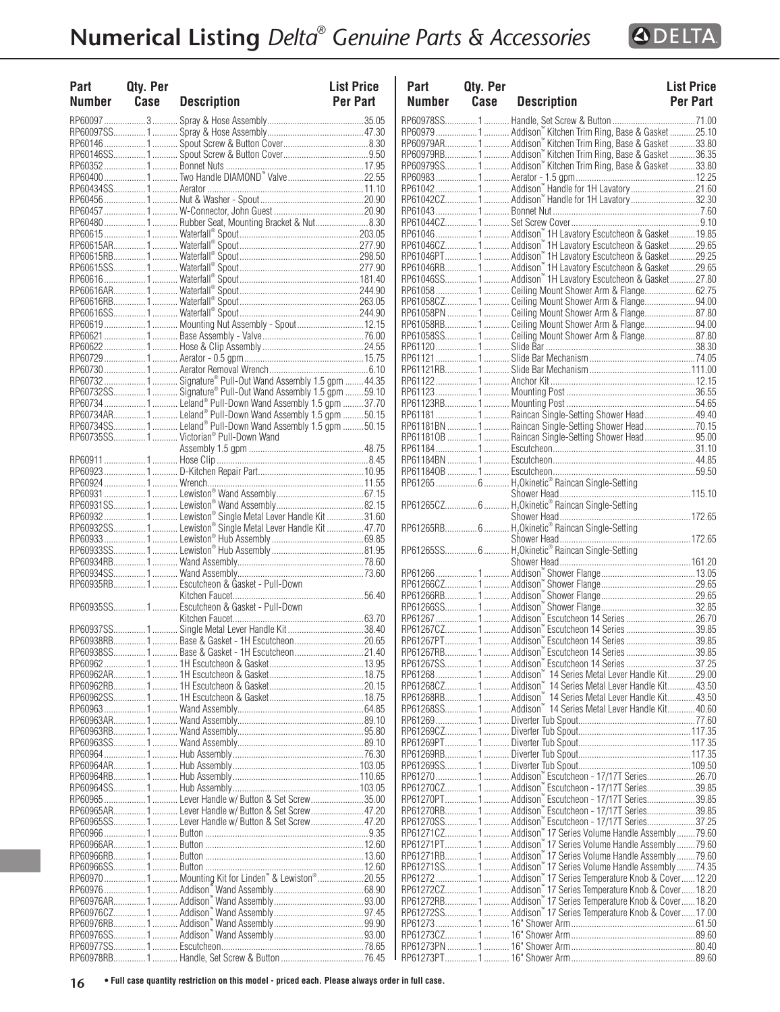

| Part<br>Number | Qty. Per<br>Case | <b>Description</b>                                                | <b>List Price</b><br><b>Per Part</b> | Par<br>Nui   |
|----------------|------------------|-------------------------------------------------------------------|--------------------------------------|--------------|
|                |                  |                                                                   |                                      | <b>RP609</b> |
|                |                  |                                                                   |                                      | <b>RP609</b> |
|                |                  |                                                                   |                                      | RP609        |
|                |                  |                                                                   |                                      | RP609        |
|                |                  |                                                                   |                                      | <b>RP609</b> |
|                |                  |                                                                   |                                      | RP609        |
|                |                  |                                                                   |                                      | RP610        |
|                |                  |                                                                   |                                      | RP610        |
|                |                  |                                                                   |                                      | RP610        |
|                |                  | RP60480  1  Rubber Seat, Mounting Bracket & Nut8.30               |                                      | RP610        |
|                |                  |                                                                   |                                      | RP610        |
|                |                  |                                                                   |                                      | RP610        |
|                |                  |                                                                   |                                      | RP610        |
|                |                  |                                                                   |                                      | RP610        |
|                |                  |                                                                   |                                      | RP610        |
|                |                  |                                                                   |                                      | RP610        |
|                |                  |                                                                   |                                      | RP610        |
|                |                  |                                                                   |                                      | RP610        |
|                |                  | RP60619 1  Mounting Nut Assembly - Spout 12.15                    |                                      | RP610        |
|                |                  |                                                                   |                                      | RP610        |
|                |                  |                                                                   |                                      | RP611        |
|                |                  |                                                                   |                                      | RP611        |
|                |                  |                                                                   |                                      |              |
|                |                  |                                                                   |                                      | RP611        |
|                |                  |                                                                   |                                      | RP611        |
|                |                  | RP60732SS 1  Signature® Pull-Out Wand Assembly 1.5 gpm 59.10      |                                      | RP611        |
|                |                  | RP60734 1  Leland® Pull-Down Wand Assembly 1.5 gpm 37.70          |                                      | RP611        |
|                |                  | RP60734AR 1  Leland® Pull-Down Wand Assembly 1.5 gpm 50.15        |                                      | RP611        |
|                |                  | RP60734SS1 Leland® Pull-Down Wand Assembly 1.5 gpm 50.15          |                                      | RP611        |
|                |                  | RP60735SS 1  Victorian® Pull-Down Wand                            |                                      | RP611        |
|                |                  |                                                                   |                                      | RP611        |
|                |                  |                                                                   |                                      | RP611        |
|                |                  |                                                                   |                                      | RP611        |
|                |                  |                                                                   |                                      | RP612        |
|                |                  |                                                                   |                                      |              |
|                |                  |                                                                   |                                      | RP612        |
|                |                  | RP60932  1  Lewiston® Single Metal Lever Handle Kit 31.60         |                                      |              |
|                |                  | RP60932SS 1  Lewiston® Single Metal Lever Handle Kit  47.70       |                                      | RP612        |
|                |                  |                                                                   |                                      |              |
|                |                  |                                                                   |                                      | RP612        |
|                |                  |                                                                   |                                      |              |
|                |                  |                                                                   |                                      | RP612        |
|                |                  | RP60935RB 1  Escutcheon & Gasket - Pull-Down                      |                                      | RP612        |
|                |                  |                                                                   |                                      | RP612        |
|                |                  | RP60935SS 1  Escutcheon & Gasket - Pull-Down                      |                                      | RP612        |
|                |                  |                                                                   |                                      | RP612        |
|                |                  | RP60937SS 1 Single Metal Lever Handle Kit38.40                    |                                      | RP612        |
|                |                  |                                                                   |                                      | RP612        |
|                |                  | RP60938SS 1  Base & Gasket - 1H Escutcheon  21.40                 |                                      | RP612        |
|                |                  |                                                                   |                                      |              |
|                |                  | RP60962 ……………… 1………. 1H Escutcheon & Gasket ………………………………… 13.95   |                                      | RP612        |
|                |                  |                                                                   |                                      | RP612        |
|                |                  |                                                                   |                                      | RP612        |
|                |                  |                                                                   |                                      | RP612        |
|                |                  |                                                                   |                                      | RP612        |
|                |                  |                                                                   |                                      | RP612        |
|                |                  |                                                                   |                                      | RP612        |
|                |                  |                                                                   |                                      | RP612        |
|                |                  |                                                                   |                                      | RP612        |
|                |                  |                                                                   |                                      | RP612        |
|                |                  |                                                                   |                                      | RP612        |
|                |                  |                                                                   |                                      | RP612        |
|                |                  | RP60965  Lever Handle w/ Button & Set Screw35.00                  |                                      | RP612        |
|                |                  | RP60965AR1 Lever Handle w/ Button & Set Screw 47.20               |                                      | RP612        |
|                |                  | RP60965SS1 Lever Handle w/ Button & Set Screw47.20                |                                      | RP612        |
|                |                  |                                                                   |                                      | RP612        |
|                |                  |                                                                   |                                      | RP612        |
|                |                  |                                                                   |                                      | RP612        |
|                |                  |                                                                   |                                      | RP612        |
|                |                  | RP60970 1  Mounting Kit for Linden <sup>™</sup> & Lewiston® 20.55 |                                      | RP612        |
|                |                  |                                                                   |                                      | RP612        |
|                |                  |                                                                   |                                      | RP612        |
|                |                  |                                                                   |                                      | RP612        |
|                |                  |                                                                   |                                      | RP612        |
|                |                  |                                                                   |                                      | RP612        |
|                |                  |                                                                   |                                      | RP612        |
|                |                  |                                                                   |                                      |              |

| Part<br>Number | Qty. Per<br>Case | <b>Description</b>                                                                                                   | <b>List Price</b><br><b>Per Part</b> | Part<br><b>Number</b> | Qty. Per<br>Case | <b>Description</b>                                                                                                                      | <b>List Price</b><br>Per Part |
|----------------|------------------|----------------------------------------------------------------------------------------------------------------------|--------------------------------------|-----------------------|------------------|-----------------------------------------------------------------------------------------------------------------------------------------|-------------------------------|
|                | RP60097 3        |                                                                                                                      |                                      |                       |                  |                                                                                                                                         |                               |
|                |                  |                                                                                                                      |                                      |                       |                  | RP60979 1  Addison" Kitchen Trim Ring, Base & Gasket 25.10                                                                              |                               |
|                |                  |                                                                                                                      |                                      |                       |                  | RP60979AR 1  Addison" Kitchen Trim Ring, Base & Gasket 33.80                                                                            |                               |
|                |                  |                                                                                                                      |                                      |                       |                  |                                                                                                                                         |                               |
|                |                  |                                                                                                                      |                                      |                       |                  |                                                                                                                                         |                               |
|                |                  | RP60400 1  Two Handle DIAMOND" Valve 22.55                                                                           |                                      |                       |                  |                                                                                                                                         |                               |
|                |                  |                                                                                                                      |                                      |                       |                  | RP61042CZ1 Addison" Handle for 1H Lavatory32.30                                                                                         |                               |
|                |                  |                                                                                                                      |                                      |                       |                  |                                                                                                                                         |                               |
|                |                  | RP60480 1  Rubber Seat, Mounting Bracket & Nut8.30                                                                   |                                      |                       |                  |                                                                                                                                         |                               |
|                |                  |                                                                                                                      |                                      |                       |                  | RP61046 1  Addison" 1H Lavatory Escutcheon & Gasket 19.85                                                                               |                               |
|                |                  |                                                                                                                      |                                      |                       |                  | RP61046CZ 1  Addison" 1H Lavatory Escutcheon & Gasket 29.65                                                                             |                               |
|                |                  |                                                                                                                      |                                      |                       |                  | RP61046PT1 Addison" 1H Lavatory Escutcheon & Gasket29.25                                                                                |                               |
|                |                  |                                                                                                                      |                                      |                       |                  | RP61046RB 1  Addison" 1H Lavatory Escutcheon & Gasket 29.65                                                                             |                               |
|                |                  |                                                                                                                      |                                      |                       |                  | RP61046SS 1  Addison" 1H Lavatory Escutcheon & Gasket 27.80                                                                             |                               |
|                |                  |                                                                                                                      |                                      |                       |                  | RP61058 1  Ceiling Mount Shower Arm & Flange62.75                                                                                       |                               |
|                |                  |                                                                                                                      |                                      |                       |                  | RP61058CZ1 Ceiling Mount Shower Arm & Flange94.00<br>RP61058PN 1  Ceiling Mount Shower Arm & Flange87.80                                |                               |
|                |                  | RP60619 1  Mounting Nut Assembly - Spout12.15                                                                        |                                      |                       |                  | RP61058RB1 Ceiling Mount Shower Arm & Flange94.00                                                                                       |                               |
|                |                  |                                                                                                                      |                                      |                       |                  | RP61058SS1 Ceiling Mount Shower Arm & Flange87.80                                                                                       |                               |
|                |                  |                                                                                                                      |                                      |                       |                  |                                                                                                                                         |                               |
|                |                  |                                                                                                                      |                                      |                       |                  |                                                                                                                                         |                               |
|                |                  |                                                                                                                      |                                      |                       |                  |                                                                                                                                         |                               |
|                |                  | RP60732 1  Signature® Pull-Out Wand Assembly 1.5 gpm 44.35                                                           |                                      |                       |                  |                                                                                                                                         |                               |
|                |                  | RP60732SS1 Signature® Pull-Out Wand Assembly 1.5 gpm 59.10                                                           |                                      |                       |                  |                                                                                                                                         |                               |
|                |                  | RP60734  1  Leland® Pull-Down Wand Assembly 1.5 gpm 37.70                                                            |                                      |                       |                  |                                                                                                                                         |                               |
|                |                  | RP60734AR1 Leland® Pull-Down Wand Assembly 1.5 gpm 50.15<br>RP60734SS1 Leland® Pull-Down Wand Assembly 1.5 gpm 50.15 |                                      |                       |                  | RP61181 1  Raincan Single-Setting Shower Head 49.40                                                                                     |                               |
|                |                  | RP60735SS1 Victorian® Pull-Down Wand                                                                                 |                                      |                       |                  | RP61181BN  1  Raincan Single-Setting Shower Head 70.15<br>RP611810B  1  Raincan Single-Setting Shower Head  95.00                       |                               |
|                |                  |                                                                                                                      |                                      |                       |                  |                                                                                                                                         |                               |
|                |                  |                                                                                                                      |                                      |                       |                  |                                                                                                                                         |                               |
|                |                  |                                                                                                                      |                                      |                       |                  |                                                                                                                                         |                               |
|                |                  |                                                                                                                      |                                      |                       |                  | RP61265 6 H <sub>2</sub> Okinetic <sup>®</sup> Raincan Single-Setting                                                                   |                               |
|                |                  |                                                                                                                      |                                      |                       |                  |                                                                                                                                         |                               |
|                |                  |                                                                                                                      |                                      |                       |                  | RP61265CZ 6  H <sub>2</sub> Okinetic® Raincan Single-Setting                                                                            |                               |
|                |                  | RP60932 1  Lewiston® Single Metal Lever Handle Kit 31.60                                                             |                                      |                       |                  |                                                                                                                                         |                               |
|                |                  | RP60932SS1 Lewiston® Single Metal Lever Handle Kit 47.70                                                             |                                      |                       |                  | RP61265RB 6  H <sub>2</sub> Okinetic <sup>®</sup> Raincan Single-Setting                                                                |                               |
|                |                  |                                                                                                                      |                                      |                       |                  | RP61265SS 6  H <sub>2</sub> Okinetic <sup>®</sup> Raincan Single-Setting                                                                |                               |
|                |                  |                                                                                                                      |                                      |                       |                  |                                                                                                                                         |                               |
|                |                  |                                                                                                                      |                                      |                       |                  |                                                                                                                                         |                               |
|                |                  | RP60935RB1 Escutcheon & Gasket - Pull-Down                                                                           |                                      |                       |                  |                                                                                                                                         |                               |
|                |                  |                                                                                                                      |                                      |                       |                  |                                                                                                                                         |                               |
|                |                  | RP60935SS1 Escutcheon & Gasket - Pull-Down                                                                           |                                      |                       |                  |                                                                                                                                         |                               |
|                |                  |                                                                                                                      |                                      |                       |                  | RP61267 1  Addison <sup>"</sup> Escutcheon 14 Series 26.70                                                                              |                               |
|                |                  | RP60937SS1 Single Metal Lever Handle Kit38.40                                                                        |                                      |                       |                  |                                                                                                                                         |                               |
|                |                  | RP60938RB1 Base & Gasket - 1H Escutcheon20.65                                                                        |                                      |                       |                  | RP61267PT 1  Addison" Escutcheon 14 Series  39.85                                                                                       |                               |
|                |                  | RP60938SS1 Base & Gasket - 1H Escutcheon21.40                                                                        |                                      |                       |                  | RP61267RB1 Addison™ Escutcheon 14 Series39.85                                                                                           |                               |
|                |                  |                                                                                                                      |                                      |                       |                  |                                                                                                                                         |                               |
|                |                  |                                                                                                                      |                                      |                       |                  | RP61268CZ1 Addison" 14 Series Metal Lever Handle Kit 43.50                                                                              |                               |
|                |                  |                                                                                                                      |                                      |                       |                  |                                                                                                                                         |                               |
|                |                  |                                                                                                                      |                                      | RP61268SS1            |                  | . Addison" 14 Series Metal Lever Handle Kit 40.60                                                                                       |                               |
|                |                  |                                                                                                                      |                                      | RP61269 1             |                  |                                                                                                                                         |                               |
|                |                  |                                                                                                                      |                                      | RP61269CZ1            |                  |                                                                                                                                         |                               |
|                |                  |                                                                                                                      |                                      |                       |                  |                                                                                                                                         |                               |
|                |                  |                                                                                                                      |                                      | RP61269RB1            |                  |                                                                                                                                         |                               |
|                |                  |                                                                                                                      |                                      |                       |                  | RP612701 Addison" Escutcheon - 17/17T Series26.70                                                                                       |                               |
|                |                  |                                                                                                                      |                                      |                       |                  |                                                                                                                                         |                               |
|                |                  | RP60965 1  Lever Handle w/ Button & Set Screw 35.00                                                                  |                                      |                       |                  | RP61270PT1 Addison " Escutcheon - 17/17T Series39.85                                                                                    |                               |
|                |                  | RP60965AR1Lever Handle w/ Button & Set Screw47.20                                                                    |                                      |                       |                  | RP61270RB 1  Addison" Escutcheon - 17/17T Series39.85                                                                                   |                               |
|                |                  | RP60965SS1Lever Handle w/ Button & Set Screw47.20                                                                    |                                      |                       |                  | RP61270SS 1  Addison" Escutcheon - 17/17T Series37.25                                                                                   |                               |
|                |                  |                                                                                                                      |                                      |                       |                  | RP61271CZ 1  Addison" 17 Series Volume Handle Assembly  79.60                                                                           |                               |
|                |                  |                                                                                                                      |                                      |                       |                  | RP61271PT1 Addison" 17 Series Volume Handle Assembly79.60                                                                               |                               |
|                |                  |                                                                                                                      |                                      |                       |                  | RP61271RB 1  Addison" 17 Series Volume Handle Assembly  79.60                                                                           |                               |
|                |                  |                                                                                                                      |                                      |                       |                  | RP61271SS1 Addison <sup>™</sup> 17 Series Volume Handle Assembly74.35                                                                   |                               |
|                |                  | RP60970 1  Mounting Kit for Linden"" & Lewiston® 20.55                                                               |                                      |                       |                  | RP61272 1  Addison" 17 Series Temperature Knob & Cover 12.20                                                                            |                               |
|                |                  | RP60976 ………………… 1 ………… Addison™ Wand Assembly …………………………………… 68.90                                                   |                                      |                       |                  | RP61272CZ1 Addison <sup>™</sup> 17 Series Temperature Knob & Cover18.20<br>RP61272RB1 Addison" 17 Series Temperature Knob & Cover 18.20 |                               |
|                |                  |                                                                                                                      |                                      |                       |                  | RP61272SS 1 Addison" 17 Series Temperature Knob & Cover 17.00                                                                           |                               |
|                |                  |                                                                                                                      |                                      |                       |                  |                                                                                                                                         |                               |
|                |                  |                                                                                                                      |                                      |                       |                  |                                                                                                                                         |                               |
|                |                  |                                                                                                                      |                                      |                       |                  |                                                                                                                                         |                               |
|                |                  |                                                                                                                      |                                      |                       |                  |                                                                                                                                         |                               |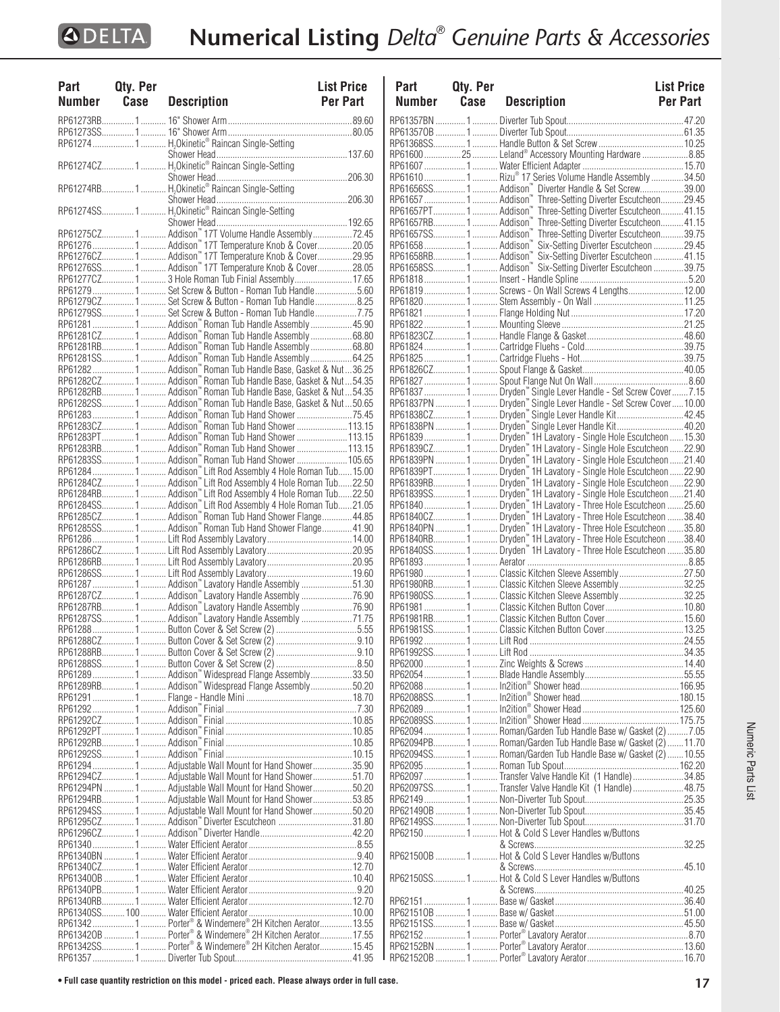| <b>Part</b><br>Number Case | Qty. Per | <b>Description</b>                                                                                           | <b>List Price</b><br><b>Per Part</b> |
|----------------------------|----------|--------------------------------------------------------------------------------------------------------------|--------------------------------------|
|                            |          |                                                                                                              |                                      |
|                            |          |                                                                                                              |                                      |
|                            |          | RP61274  1  H <sub>2</sub> Okinetic <sup>®</sup> Raincan Single-Setting                                      |                                      |
|                            |          |                                                                                                              |                                      |
|                            |          |                                                                                                              |                                      |
|                            |          |                                                                                                              |                                      |
|                            |          |                                                                                                              |                                      |
|                            |          |                                                                                                              |                                      |
|                            |          |                                                                                                              |                                      |
|                            |          |                                                                                                              |                                      |
|                            |          |                                                                                                              |                                      |
|                            |          |                                                                                                              |                                      |
|                            |          | RP61276  1  Addison <sup>*</sup> 17T Temperature Knob & Cover20.05                                           |                                      |
|                            |          | RP61276CZ1 Addison <sup>"</sup> 17T Temperature Knob & Cover29.95                                            |                                      |
|                            |          | RP61276SS1 Addison <sup>"</sup> 17T Temperature Knob & Cover28.05                                            |                                      |
|                            |          | RP61277CZ 1  3 Hole Roman Tub Finial Assembly 17.65                                                          |                                      |
|                            |          | RP61279 1  Set Screw & Button - Roman Tub Handle 5.60                                                        |                                      |
|                            |          | RP61279CZ1 Set Screw & Button - Roman Tub Handle8.25                                                         |                                      |
|                            |          | RP61279SS1 Set Screw & Button - Roman Tub Handle7.75                                                         |                                      |
|                            |          | RP61281  1  Addison" Roman Tub Handle Assembly  45.90                                                        |                                      |
|                            |          |                                                                                                              |                                      |
|                            |          | RP61281RB 1  Addison" Roman Tub Handle Assembly  68.80                                                       |                                      |
|                            |          |                                                                                                              |                                      |
|                            |          | RP612821 Addison" Roman Tub Handle Base, Gasket & Nut36.25                                                   |                                      |
|                            |          | RP61282CZ1  Addison" Roman Tub Handle Base, Gasket & Nut54.35                                                |                                      |
|                            |          | RP61282RB 1 Addison" Roman Tub Handle Base, Gasket & Nut54.35                                                |                                      |
|                            |          | RP61282SS1 Addison <sup>"</sup> Roman Tub Handle Base, Gasket & Nut50.65                                     |                                      |
|                            |          | RP61283  1  Addison" Roman Tub Hand Shower 75.45                                                             |                                      |
|                            |          |                                                                                                              |                                      |
|                            |          |                                                                                                              |                                      |
|                            |          | RP61283RB 1  Addison <sup>"</sup> Roman Tub Hand Shower  113.15                                              |                                      |
|                            |          |                                                                                                              |                                      |
|                            |          | RP61284 1 Addison" Lift Rod Assembly 4 Hole Roman Tub 15.00                                                  |                                      |
|                            |          | RP61284CZ 1  Addison" Lift Rod Assembly 4 Hole Roman Tub22.50                                                |                                      |
|                            |          | RP61284RB 1  Addison" Lift Rod Assembly 4 Hole Roman Tub22.50                                                |                                      |
|                            |          | RP61284SS1 Addison" Lift Rod Assembly 4 Hole Roman Tub21.05                                                  |                                      |
|                            |          |                                                                                                              |                                      |
|                            |          |                                                                                                              |                                      |
|                            |          |                                                                                                              |                                      |
|                            |          |                                                                                                              |                                      |
|                            |          |                                                                                                              |                                      |
|                            |          |                                                                                                              |                                      |
|                            |          |                                                                                                              |                                      |
|                            |          | RP61287  1  Addison" Lavatory Handle Assembly 51.30<br>RP61287CZ 1  Addison" Lavatory Handle Assembly  76.90 |                                      |
|                            |          | RP61287RB 1  Addison" Lavatory Handle Assembly  76.90                                                        |                                      |
|                            |          | RP61287SS 1  Addison" Lavatory Handle Assembly 71.75                                                         |                                      |
|                            |          |                                                                                                              |                                      |
|                            |          |                                                                                                              |                                      |
|                            |          |                                                                                                              |                                      |
|                            |          |                                                                                                              |                                      |
|                            |          | RP61289 1 Addison" Widespread Flange Assembly33.50                                                           |                                      |
|                            |          | RP61289RB 1  Addison" Widespread Flange Assembly50.20                                                        |                                      |
|                            |          |                                                                                                              |                                      |
|                            |          |                                                                                                              |                                      |
|                            |          |                                                                                                              |                                      |
|                            |          |                                                                                                              |                                      |
|                            |          |                                                                                                              |                                      |
|                            |          |                                                                                                              |                                      |
|                            |          |                                                                                                              |                                      |
|                            |          | RP61294 1  Adjustable Wall Mount for Hand Shower35.90                                                        |                                      |
|                            |          | RP61294CZ1 Adjustable Wall Mount for Hand Shower51.70                                                        |                                      |
|                            |          | RP61294PN 1  Adjustable Wall Mount for Hand Shower 50.20                                                     |                                      |
|                            |          |                                                                                                              |                                      |
|                            |          | RP61294SS1 Adjustable Wall Mount for Hand Shower50.20                                                        |                                      |
|                            |          | RP61295CZ1  Addison <sup>"</sup> Diverter Escutcheon 31.80                                                   |                                      |
|                            |          |                                                                                                              |                                      |
|                            |          |                                                                                                              |                                      |
|                            |          |                                                                                                              |                                      |
|                            |          |                                                                                                              |                                      |
|                            |          |                                                                                                              |                                      |
|                            |          |                                                                                                              |                                      |
|                            |          |                                                                                                              |                                      |
|                            |          |                                                                                                              |                                      |
|                            |          | RP61342  1  Porter® & Windemere® 2H Kitchen Aerator 13.55                                                    |                                      |
|                            |          | RP613420B  1  Porter® & Windemere® 2H Kitchen Aerator 17.55                                                  |                                      |
|                            |          | RP61342SS1 Porter® & Windemere® 2H Kitchen Aerator15.45                                                      |                                      |
|                            |          |                                                                                                              |                                      |

| Part          | Qty. Per |                                                                                                                                        | <b>List Price</b> |
|---------------|----------|----------------------------------------------------------------------------------------------------------------------------------------|-------------------|
| <b>Number</b> | Case     | <b>Description</b>                                                                                                                     | <b>Per Part</b>   |
|               |          |                                                                                                                                        |                   |
|               |          |                                                                                                                                        |                   |
|               |          |                                                                                                                                        |                   |
|               |          | RP61600  25  Leland® Accessory Mounting Hardware 8.85                                                                                  |                   |
|               |          |                                                                                                                                        |                   |
|               |          |                                                                                                                                        |                   |
|               |          |                                                                                                                                        |                   |
|               |          |                                                                                                                                        |                   |
|               |          |                                                                                                                                        |                   |
|               |          |                                                                                                                                        |                   |
|               |          |                                                                                                                                        |                   |
|               |          |                                                                                                                                        |                   |
|               |          |                                                                                                                                        |                   |
|               |          |                                                                                                                                        |                   |
|               |          |                                                                                                                                        |                   |
|               |          | RP61819 1  Screws - On Wall Screws 4 Lengths12.00                                                                                      |                   |
|               |          |                                                                                                                                        |                   |
|               |          |                                                                                                                                        |                   |
|               |          |                                                                                                                                        |                   |
|               |          |                                                                                                                                        |                   |
|               |          |                                                                                                                                        |                   |
|               |          |                                                                                                                                        |                   |
|               |          |                                                                                                                                        |                   |
|               |          |                                                                                                                                        |                   |
|               |          | RP61837  1  Dryden" Single Lever Handle - Set Screw Cover  7.15                                                                        |                   |
|               |          |                                                                                                                                        |                   |
|               |          |                                                                                                                                        |                   |
|               |          |                                                                                                                                        |                   |
|               |          |                                                                                                                                        |                   |
|               |          | .<br>RP61839CZ 1 Dryden™ 1H Lavatory - Single Hole Escutcheon 22.90<br>RP61839PN  1 Dryden™ 1H Lavatory - Single Hole Escutcheon 21.40 |                   |
|               |          |                                                                                                                                        |                   |
|               |          |                                                                                                                                        |                   |
|               |          |                                                                                                                                        |                   |
|               |          |                                                                                                                                        |                   |
|               |          |                                                                                                                                        |                   |
|               |          |                                                                                                                                        |                   |
|               |          |                                                                                                                                        |                   |
|               |          | RP61840SS1Dryden " 1H Lavatory - Three Hole Escutcheon 35.80                                                                           |                   |
|               |          |                                                                                                                                        |                   |
|               |          | RP61980 1  Classic Kitchen Sleeve Assembly 27.50                                                                                       |                   |
|               |          | RP61980RB1 Classic Kitchen Sleeve Assembly32.25                                                                                        |                   |
|               |          | RP61980SS1Classic Kitchen Sleeve Assembly32.25                                                                                         |                   |
|               |          |                                                                                                                                        |                   |
|               |          | RP61981RB1Classic Kitchen Button Cover15.60                                                                                            |                   |
|               |          |                                                                                                                                        |                   |
|               |          |                                                                                                                                        |                   |
|               |          |                                                                                                                                        |                   |
|               |          |                                                                                                                                        |                   |
|               |          |                                                                                                                                        |                   |
|               |          |                                                                                                                                        |                   |
|               |          |                                                                                                                                        |                   |
|               |          |                                                                                                                                        |                   |
|               |          | RP62094  1  Roman/Garden Tub Handle Base w/ Gasket (2)  7.05                                                                           |                   |
|               |          | RP62094PB1 Roman/Garden Tub Handle Base w/ Gasket (2)11.70                                                                             |                   |
|               |          | RP62094SS1 Roman/Garden Tub Handle Base w/ Gasket (2) 10.55                                                                            |                   |
|               |          |                                                                                                                                        |                   |
|               |          | RP62097 1  Transfer Valve Handle Kit (1 Handle) 34.85                                                                                  |                   |
|               |          | RP62097SS1 Transfer Valve Handle Kit (1 Handle)48.75                                                                                   |                   |
|               |          |                                                                                                                                        |                   |
|               |          |                                                                                                                                        |                   |
|               |          |                                                                                                                                        |                   |
|               |          | RP621501 Hot & Cold S Lever Handles w/Buttons                                                                                          |                   |
|               |          |                                                                                                                                        |                   |
|               |          | RP621500B 1  Hot & Cold S Lever Handles w/Buttons                                                                                      |                   |
|               |          | RP62150SS1 Hot & Cold S Lever Handles w/Buttons                                                                                        |                   |
|               |          |                                                                                                                                        |                   |
|               |          |                                                                                                                                        |                   |
|               |          |                                                                                                                                        |                   |
|               |          |                                                                                                                                        |                   |
|               |          |                                                                                                                                        |                   |
|               |          |                                                                                                                                        |                   |
|               |          |                                                                                                                                        |                   |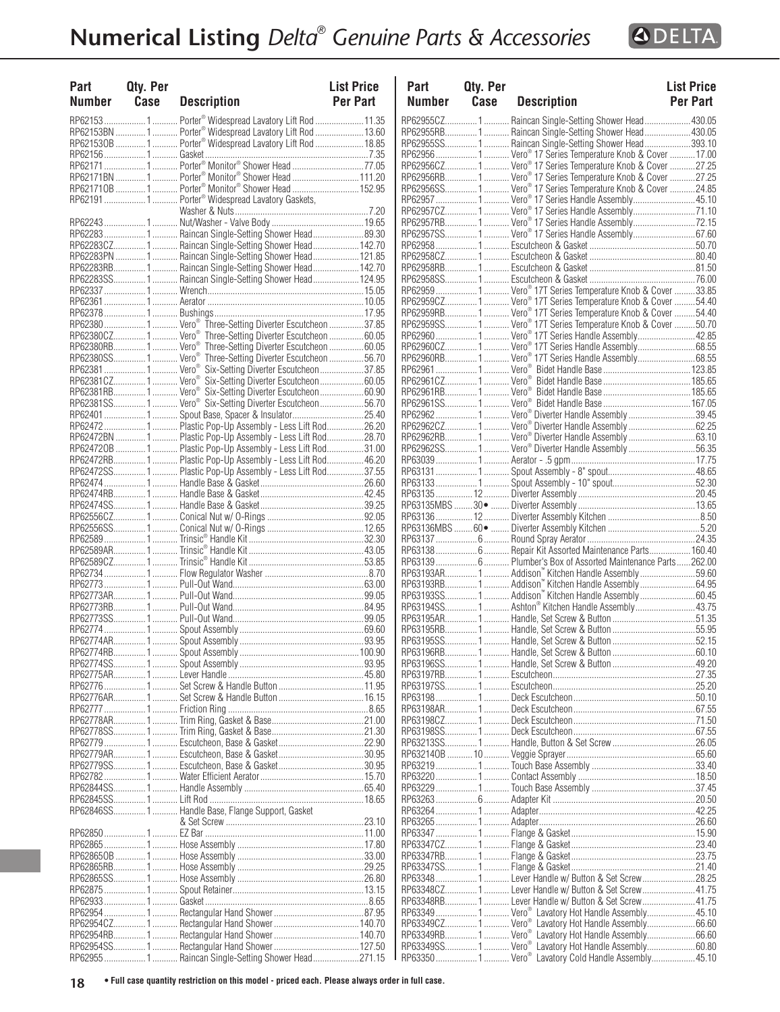

| Part<br><b>Number</b> | Qty. Per<br>Case | <b>Description</b>                                                     | <b>List Price</b><br>Per Part | Part<br><b>Number</b> | Qty. P<br>Case |
|-----------------------|------------------|------------------------------------------------------------------------|-------------------------------|-----------------------|----------------|
|                       |                  | RP62153 1  Porter® Widespread Lavatory Lift Rod 11.35                  |                               | RP62955CZ 1           |                |
|                       |                  | RP62153BN  1  Porter® Widespread Lavatory Lift Rod 13.60               |                               | RP62955RB1            |                |
|                       |                  | RP621530B  1  Porter® Widespread Lavatory Lift Rod  18.85              |                               | RP62955SS1            |                |
|                       |                  |                                                                        |                               | RP62956  1            |                |
|                       |                  |                                                                        |                               | RP62956CZ 1           |                |
|                       |                  | RP62171BN  1  Porter® Monitor® Shower Head  111.20                     |                               | RP62956RB 1           |                |
|                       |                  | RP621710B  1  Porter® Monitor® Shower Head  152.95                     |                               | RP62956SS1            |                |
|                       |                  | RP621911 Porter® Widespread Lavatory Gaskets,                          |                               | RP62957  1            |                |
|                       |                  |                                                                        |                               | RP62957CZ 1           |                |
|                       |                  |                                                                        |                               | RP62957RB1            |                |
|                       |                  | RP622831 Raincan Single-Setting Shower Head89.30                       |                               | RP62957SS1            |                |
|                       |                  | RP62283CZ1 Raincan Single-Setting Shower Head 142.70                   |                               | RP629581              |                |
|                       |                  | RP62283PN 1  Raincan Single-Setting Shower Head  121.85                |                               | RP62958CZ1            |                |
|                       |                  | RP62283RB1 Raincan Single-Setting Shower Head142.70                    |                               | RP62958RB1            |                |
|                       |                  | RP62283SS1 Raincan Single-Setting Shower Head124.95                    |                               | RP62958SS1            |                |
|                       |                  |                                                                        |                               | RP629591              |                |
|                       |                  |                                                                        |                               | RP62959CZ1            |                |
|                       |                  |                                                                        |                               | RP62959RB1            |                |
|                       |                  | RP62380 1  Vero <sup>®</sup> Three-Setting Diverter Escutcheon 37.85   |                               | RP62959SS1            |                |
|                       |                  | RP62380CZ 1  Vero <sup>®</sup> Three-Setting Diverter Escutcheon 60.05 |                               | RP629601              |                |
|                       |                  | RP62380RB1 Vero <sup>®</sup> Three-Setting Diverter Escutcheon60.05    |                               | RP62960CZ1            |                |
|                       |                  |                                                                        |                               | RP62960RB1            |                |
|                       |                  | RP62381 1  Vero <sup>®</sup> Six-Setting Diverter Escutcheon 37.85     |                               | RP62961  1            |                |
|                       |                  | RP62381CZ 1 Vero® Six-Setting Diverter Escutcheon60.05                 |                               | RP62961CZ1            |                |
|                       |                  | RP62381RB1 Vero <sup>®</sup> Six-Setting Diverter Escutcheon60.90      |                               | RP62961RB1            |                |
|                       |                  | RP62381SS1 Vero <sup>®</sup> Six-Setting Diverter Escutcheon56.70      |                               | RP62961SS1            |                |
|                       |                  | RP62401  1  Spout Base, Spacer & Insulator  25.40                      |                               |                       |                |
|                       |                  |                                                                        |                               | RP62962CZ1            |                |
|                       |                  | RP62472BN  1  Plastic Pop-Up Assembly - Less Lift Rod28.70             |                               | RP62962RB1            |                |
|                       |                  | RP624720B  1  Plastic Pop-Up Assembly - Less Lift Rod31.00             |                               |                       |                |
|                       |                  |                                                                        |                               | RP62962SS1            |                |
|                       |                  | RP62472RB1  Plastic Pop-Up Assembly - Less Lift Rod 46.20              |                               | RP630391              |                |
|                       |                  | RP62472SS1 Plastic Pop-Up Assembly - Less Lift Rod37.55                |                               | RP63131 1             |                |
|                       |                  |                                                                        |                               | RP63133 1             |                |
|                       |                  |                                                                        |                               | RP63135 12            |                |
|                       |                  |                                                                        |                               | RP63135MBS 30 ·       |                |
|                       |                  |                                                                        |                               | RP63136 12            |                |
|                       |                  |                                                                        |                               | RP63136MBS60 •        |                |
|                       |                  |                                                                        |                               |                       |                |
|                       |                  |                                                                        |                               |                       |                |
|                       |                  |                                                                        |                               |                       |                |
|                       |                  |                                                                        |                               | RP63193AR 1           |                |
|                       |                  |                                                                        |                               | RP63193RB1            |                |
|                       |                  |                                                                        |                               | RP63193SS1            |                |
|                       |                  |                                                                        |                               | RP63194SS1            |                |
|                       |                  |                                                                        |                               | RP63195AR1            |                |
|                       |                  |                                                                        |                               | RP63195RB1            |                |
|                       |                  |                                                                        |                               | RP63195SS1            |                |
|                       |                  |                                                                        |                               | RP63196RB1            |                |
|                       |                  |                                                                        |                               | RP63196SS1            |                |
|                       |                  |                                                                        |                               | RP63197RB1            |                |
|                       |                  |                                                                        |                               | RP63197SS1            |                |
|                       |                  |                                                                        |                               | RP631981              |                |
|                       |                  |                                                                        |                               | RP63198AR1            |                |
|                       |                  |                                                                        |                               | RP63198CZ1            |                |
|                       |                  |                                                                        |                               | RP63198SS1            |                |
|                       |                  |                                                                        |                               | RP63213SS1            |                |
|                       |                  |                                                                        |                               | RP632140B  10         |                |
|                       |                  |                                                                        |                               |                       |                |
|                       |                  |                                                                        |                               | RP632191              |                |
|                       |                  |                                                                        |                               | RP632201              |                |
|                       |                  |                                                                        |                               | RP632291              |                |
|                       |                  |                                                                        |                               |                       |                |
|                       |                  | RP62846SS1 Handle Base, Flange Support, Gasket                         |                               |                       |                |
|                       |                  |                                                                        |                               | RP632651              |                |
|                       |                  |                                                                        |                               | RP63347  1            |                |
|                       |                  |                                                                        |                               | RP63347CZ1            |                |
|                       |                  |                                                                        |                               | RP63347RB1            |                |
|                       |                  |                                                                        |                               | RP63347SS1            |                |
|                       |                  |                                                                        |                               |                       |                |
|                       |                  |                                                                        |                               | RP63348CZ1            |                |
|                       |                  |                                                                        |                               | RP63348RB1            |                |
|                       |                  |                                                                        |                               | RP63349 1             |                |
|                       |                  |                                                                        |                               | RP63349CZ 1           |                |
|                       |                  |                                                                        |                               | RP63349RB1            |                |
|                       |                  |                                                                        |                               | RP63349SS1            |                |
|                       |                  |                                                                        |                               |                       |                |
|                       |                  | RP62955 1  Raincan Single-Setting Shower Head 271.15                   |                               | RP633501              |                |

| Part   | Qty. Per |                                                                                                                      | <b>List Price</b> |
|--------|----------|----------------------------------------------------------------------------------------------------------------------|-------------------|
| Number | Case     | Description                                                                                                          | Per Part          |
|        |          | RP62955CZ1 Raincan Single-Setting Shower Head430.05                                                                  |                   |
|        |          | RP62955RB 1  Raincan Single-Setting Shower Head 430.05                                                               |                   |
|        |          | RP62955SS1  Raincan Single-Setting Shower Head393.10                                                                 |                   |
|        |          | RP62956 1  Vero® 17 Series Temperature Knob & Cover  17.00                                                           |                   |
|        |          | RP62956CZ 1 Vero <sup>®</sup> 17 Series Temperature Knob & Cover  27.25                                              |                   |
|        |          |                                                                                                                      |                   |
|        |          | n<br>RP62957  1  Vero® 17 Series Handle Assembly 45.10                                                               |                   |
|        |          | RP62957CZ1 Vero <sup>®</sup> 17 Series Handle Assembly71.10                                                          |                   |
|        |          | <br>RP62957RB1 Vero® 17 Series Handle Assembly72.15                                                                  |                   |
|        |          | RP62957SS1 Vero® 17 Series Handle Assembly67.60                                                                      |                   |
|        |          |                                                                                                                      |                   |
|        |          |                                                                                                                      |                   |
|        |          |                                                                                                                      |                   |
|        |          | RP62959 1  Vero <sup>®</sup> 17T Series Temperature Knob & Cover 33.85                                               |                   |
|        |          | <br>RP62959CZ 1  Vero® 17T Series Temperature Knob & Cover 54.40                                                     |                   |
|        |          | RP62959RB1 Vero <sup>®</sup> 17T Series Temperature Knob & Cover 54.40                                               |                   |
|        |          | RP62959SS1 Vero <sup>®</sup> 17T Series Temperature Knob & Cover 50.70                                               |                   |
|        |          | RP629601 Vero <sup>®</sup> 17T Series Handle Assembly42.85                                                           |                   |
|        |          | RP62960CZ1 Vero <sup>®</sup> 17T Series Handle Assembly68.55                                                         |                   |
|        |          |                                                                                                                      |                   |
|        |          |                                                                                                                      |                   |
|        |          |                                                                                                                      |                   |
|        |          |                                                                                                                      |                   |
|        |          | RP62962 1  Vero <sup>®</sup> Diverter Handle Assembly 39.45                                                          |                   |
|        |          | RP62962CZ1 Vero® Diverter Handle Assembly 62.25                                                                      |                   |
|        |          | RP62962RB1 Vero® Diverter Handle Assembly 63.10                                                                      |                   |
|        |          | RP62962SS1 Vero® Diverter Handle Assembly56.35                                                                       |                   |
|        |          |                                                                                                                      |                   |
|        |          |                                                                                                                      |                   |
|        |          |                                                                                                                      |                   |
|        |          |                                                                                                                      |                   |
|        |          |                                                                                                                      |                   |
|        |          |                                                                                                                      |                   |
|        |          | RP63138 6  Repair Kit Assorted Maintenance Parts 160.40                                                              |                   |
|        |          | RP63139  6  Plumber's Box of Assorted Maintenance Parts  262.00                                                      |                   |
|        |          | RP63193AR1 Addison™ Kitchen Handle Assembly59.60                                                                     |                   |
|        |          | RP63193RB1 Addison" Kitchen Handle Assembly64.95                                                                     |                   |
|        |          | RP63193SS1 Addison™ Kitchen Handle Assembly 60.45                                                                    |                   |
|        |          | RP63194SS1 Ashton® Kitchen Handle Assembly43.75                                                                      |                   |
|        |          |                                                                                                                      |                   |
|        |          | RP63195RB1 Handle, Set Screw & Button 55.95                                                                          |                   |
|        |          |                                                                                                                      |                   |
|        |          |                                                                                                                      |                   |
|        |          |                                                                                                                      |                   |
|        |          |                                                                                                                      |                   |
|        |          |                                                                                                                      |                   |
|        |          |                                                                                                                      |                   |
|        |          |                                                                                                                      |                   |
|        |          |                                                                                                                      |                   |
|        |          |                                                                                                                      |                   |
|        |          |                                                                                                                      |                   |
|        |          |                                                                                                                      |                   |
|        |          |                                                                                                                      |                   |
|        |          |                                                                                                                      |                   |
|        |          |                                                                                                                      |                   |
|        |          |                                                                                                                      |                   |
|        |          |                                                                                                                      |                   |
|        |          |                                                                                                                      |                   |
|        |          |                                                                                                                      |                   |
|        |          | RP63348  1  Lever Handle w/ Button & Set Screw  28.25                                                                |                   |
|        |          | RP63348CZ1 Lever Handle w/ Button & Set Screw41.75                                                                   |                   |
|        |          | RP63348RB1 Lever Handle w/ Button & Set Screw41.75<br>RP63349 1  Vero <sup>®</sup> Lavatory Hot Handle Assembly45.10 |                   |
|        |          | RP63349CZ1 Vero <sup>®</sup> Lavatory Hot Handle Assembly66.60                                                       |                   |
|        |          | RP63349RB1 Vero <sup>®</sup> Lavatory Hot Handle Assembly66.60                                                       |                   |
|        |          | RP63349SS1 Vero <sup>®</sup> Lavatory Hot Handle Assembly60.80                                                       |                   |
|        |          | RP63350  1  Vero® Lavatory Cold Handle Assembly45.10                                                                 |                   |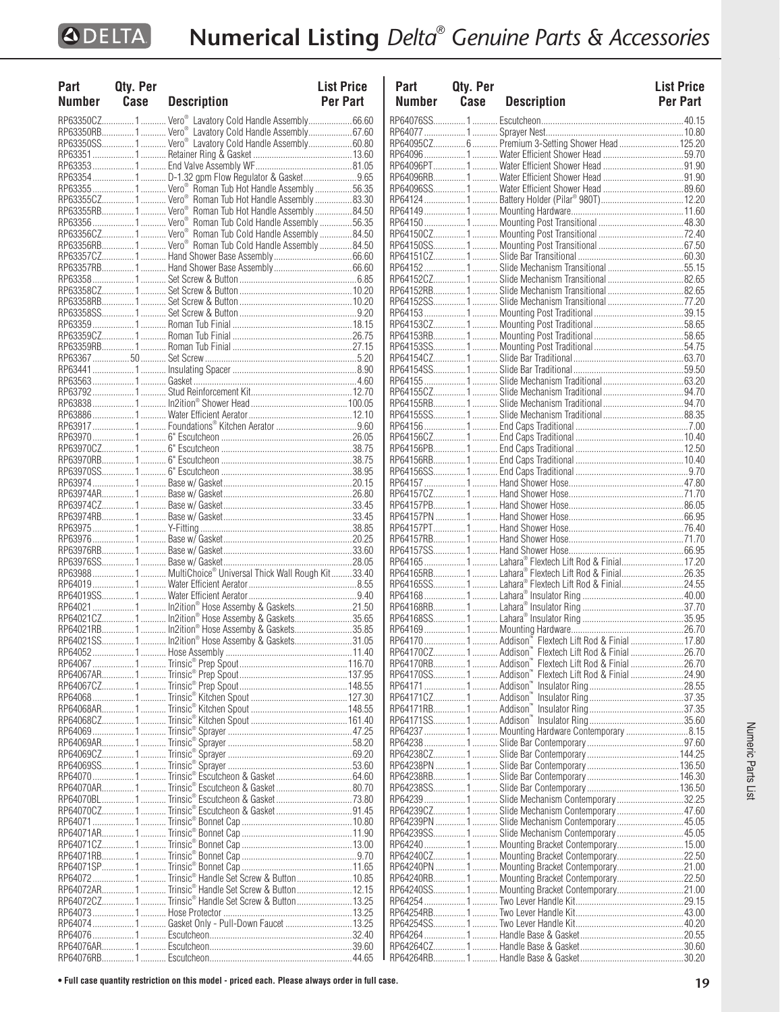| Part   | Qty. Per |                                                                    | <b>List Price</b> |
|--------|----------|--------------------------------------------------------------------|-------------------|
| Number | Case     | <b>Description</b>                                                 | <b>Per Part</b>   |
|        |          |                                                                    |                   |
|        |          | RP63350CZ 1  Vero <sup>®</sup> Lavatory Cold Handle Assembly66.60  |                   |
|        |          | RP63350RB 1  Vero® Lavatory Cold Handle Assembly 67.60             |                   |
|        |          | RP63350SS 1  Vero <sup>®</sup> Lavatory Cold Handle Assembly60.80  |                   |
|        |          |                                                                    |                   |
|        |          |                                                                    |                   |
|        |          | RP63354  1  D-1.32 gpm Flow Regulator & Gasket 9.65                |                   |
|        |          | RP63355 1  Vero <sup>®</sup> Roman Tub Hot Handle Assembly 56.35   |                   |
|        |          | RP63355CZ 1  Vero <sup>®</sup> Roman Tub Hot Handle Assembly 83.30 |                   |
|        |          | RP63355RB 1  Vero <sup>®</sup> Roman Tub Hot Handle Assembly 84.50 |                   |
|        |          |                                                                    |                   |
|        |          | RP63356CZ 1 Vero® Roman Tub Cold Handle Assembly 84.50             |                   |
|        |          | RP63356RB1 Vero <sup>®</sup> Roman Tub Cold Handle Assembly84.50   |                   |
|        |          |                                                                    |                   |
|        |          |                                                                    |                   |
|        |          |                                                                    |                   |
|        |          |                                                                    |                   |
|        |          |                                                                    |                   |
|        |          |                                                                    |                   |
|        |          |                                                                    |                   |
|        |          |                                                                    |                   |
|        |          |                                                                    |                   |
|        |          |                                                                    |                   |
|        |          |                                                                    |                   |
|        |          |                                                                    |                   |
|        |          |                                                                    |                   |
|        |          |                                                                    |                   |
|        |          |                                                                    |                   |
|        |          |                                                                    |                   |
|        |          |                                                                    |                   |
|        |          |                                                                    |                   |
|        |          |                                                                    |                   |
|        |          |                                                                    |                   |
|        |          |                                                                    |                   |
|        |          |                                                                    |                   |
|        |          |                                                                    |                   |
|        |          |                                                                    |                   |
|        |          |                                                                    |                   |
|        |          |                                                                    |                   |
|        |          |                                                                    |                   |
|        |          |                                                                    |                   |
|        |          | RP63988  1  MultiChoice® Universal Thick Wall Rough Kit33.40       |                   |
|        |          |                                                                    |                   |
|        |          |                                                                    |                   |
|        |          | RP64021  1  In2ition® Hose Assemby & Gaskets21.50                  |                   |
|        |          |                                                                    |                   |
|        |          | RP64021RB 1  In2ition® Hose Assemby & Gaskets35.85                 |                   |
|        |          |                                                                    |                   |
|        |          |                                                                    |                   |
|        |          |                                                                    |                   |
|        |          |                                                                    |                   |
|        |          |                                                                    |                   |
|        |          |                                                                    |                   |
|        |          |                                                                    |                   |
|        |          |                                                                    |                   |
|        |          |                                                                    |                   |
|        |          |                                                                    |                   |
|        |          |                                                                    |                   |
|        |          |                                                                    |                   |
|        |          | RP64070  1  Trinsic® Escutcheon & Gasket 64.60                     |                   |
|        |          |                                                                    |                   |
|        |          | RP64070BL 1 Trinsic® Escutcheon & Gasket73.80                      |                   |
|        |          |                                                                    |                   |
|        |          |                                                                    |                   |
|        |          |                                                                    |                   |
|        |          |                                                                    |                   |
|        |          |                                                                    |                   |
|        |          |                                                                    |                   |
|        |          | RP640721Trinsic® Handle Set Screw & Button10.85                    |                   |
|        |          | RP64072AR 1  Trinsic® Handle Set Screw & Button  12.15             |                   |
|        |          | RP64072CZ 1  Trinsic® Handle Set Screw & Button  13.25             |                   |
|        |          |                                                                    |                   |
|        |          | RP64074  1  Gasket Only - Pull-Down Faucet  13.25                  |                   |
|        |          |                                                                    |                   |
|        |          |                                                                    |                   |
|        |          |                                                                    |                   |

| Part                 | Qty. Per |                                                                                                 | <b>List Price</b> |
|----------------------|----------|-------------------------------------------------------------------------------------------------|-------------------|
| Number               | Case     | <b>Description</b>                                                                              | <b>Per Part</b>   |
|                      |          |                                                                                                 |                   |
|                      |          |                                                                                                 |                   |
|                      |          | RP64095CZ 6  Premium 3-Setting Shower Head  125.20                                              |                   |
|                      |          |                                                                                                 |                   |
|                      |          |                                                                                                 |                   |
|                      |          |                                                                                                 |                   |
|                      |          |                                                                                                 |                   |
|                      |          |                                                                                                 |                   |
|                      |          |                                                                                                 |                   |
|                      |          |                                                                                                 |                   |
|                      |          |                                                                                                 |                   |
|                      |          |                                                                                                 |                   |
|                      |          | RP641521 Slide Mechanism Transitional55.15                                                      |                   |
|                      |          | RP64152CZ1 Slide Mechanism Transitional 82.65                                                   |                   |
|                      |          | RP64152RB1 Slide Mechanism Transitional 82.65                                                   |                   |
|                      |          | RP64152SS1 Slide Mechanism Transitional 77.20                                                   |                   |
|                      |          |                                                                                                 |                   |
|                      |          |                                                                                                 |                   |
|                      |          |                                                                                                 |                   |
|                      |          |                                                                                                 |                   |
|                      |          |                                                                                                 |                   |
|                      |          |                                                                                                 |                   |
|                      |          |                                                                                                 |                   |
|                      |          |                                                                                                 |                   |
|                      |          | RP64155SS1 Slide Mechanism Traditional88.35                                                     |                   |
|                      |          |                                                                                                 |                   |
|                      |          |                                                                                                 |                   |
|                      |          |                                                                                                 |                   |
|                      |          |                                                                                                 |                   |
|                      |          |                                                                                                 |                   |
|                      |          |                                                                                                 |                   |
|                      |          |                                                                                                 |                   |
|                      |          |                                                                                                 |                   |
|                      |          |                                                                                                 |                   |
|                      |          |                                                                                                 |                   |
|                      |          |                                                                                                 |                   |
|                      |          | RP64165 1  Lahara® Flextech Lift Rod & Finial17.20                                              |                   |
|                      |          | RP64165RB1 Lahara® Flextech Lift Rod & Finial26.35                                              |                   |
|                      |          | RP64165SS1 Lahara® Flextech Lift Rod & Finial24.55                                              |                   |
|                      |          |                                                                                                 |                   |
|                      |          |                                                                                                 |                   |
|                      |          |                                                                                                 |                   |
|                      |          |                                                                                                 |                   |
|                      |          |                                                                                                 |                   |
| RP64170RB 1  Addison |          | Flextech Lift Rod & Finial 26.70                                                                |                   |
|                      |          | RP64170SS1 Addison"' Flextech Lift Rod & Finial 24.90                                           |                   |
|                      |          |                                                                                                 |                   |
|                      |          |                                                                                                 |                   |
|                      |          |                                                                                                 |                   |
|                      |          | RP64237 1  Mounting Hardware Contemporary 8.15                                                  |                   |
|                      |          |                                                                                                 |                   |
|                      |          |                                                                                                 |                   |
|                      |          |                                                                                                 |                   |
|                      |          |                                                                                                 |                   |
|                      |          |                                                                                                 |                   |
|                      |          | RP64239 1  Slide Mechanism Contemporary 32.25                                                   |                   |
|                      |          | RP64239CZ1Slide Mechanism Contemporary47.60                                                     |                   |
|                      |          | RP64239PN 1  Slide Mechanism Contemporary 45.05                                                 |                   |
|                      |          | RP64239SS1 Slide Mechanism Contemporary45.05<br>RP64240 1  Mounting Bracket Contemporary  15.00 |                   |
|                      |          | RP64240CZ1 Mounting Bracket Contemporary22.50                                                   |                   |
|                      |          | RP64240PN  1  Mounting Bracket Contemporary  21.00                                              |                   |
|                      |          | RP64240RB1 Mounting Bracket Contemporary22.50                                                   |                   |
|                      |          | RP64240SS1 Mounting Bracket Contemporary21.00                                                   |                   |
|                      |          |                                                                                                 |                   |
|                      |          |                                                                                                 |                   |
|                      |          |                                                                                                 |                   |
|                      |          |                                                                                                 |                   |
|                      |          |                                                                                                 |                   |
|                      |          |                                                                                                 |                   |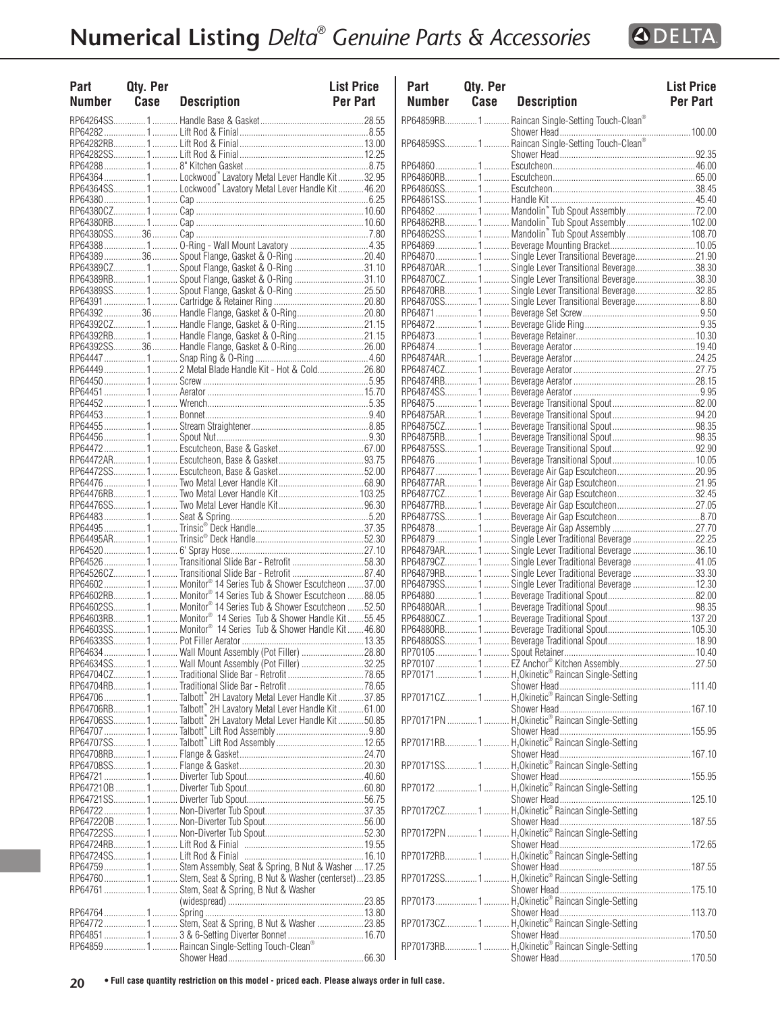

| Part<br><b>Number</b> | Qty. Per<br>Case | <b>Description</b>                                                                                                                       | <b>List Price</b><br><b>Per Part</b> |
|-----------------------|------------------|------------------------------------------------------------------------------------------------------------------------------------------|--------------------------------------|
|                       |                  |                                                                                                                                          |                                      |
|                       |                  |                                                                                                                                          |                                      |
|                       |                  |                                                                                                                                          |                                      |
|                       |                  |                                                                                                                                          |                                      |
|                       |                  |                                                                                                                                          |                                      |
|                       |                  | RP64364  1  Lockwood" Lavatory Metal Lever Handle Kit 32.95                                                                              |                                      |
|                       |                  | RP64364SS1 Lockwood" Lavatory Metal Lever Handle Kit46.20                                                                                |                                      |
|                       |                  |                                                                                                                                          |                                      |
|                       |                  |                                                                                                                                          |                                      |
|                       |                  |                                                                                                                                          |                                      |
|                       |                  |                                                                                                                                          |                                      |
|                       |                  | RP6438936 Spout Flange, Gasket & O-Ring20.40                                                                                             |                                      |
|                       |                  | RP64389CZ1 Spout Flange, Gasket & O-Ring31.10                                                                                            |                                      |
|                       |                  | RP64389RB 1  Spout Flange, Gasket & O-Ring 31.10<br>RP64389SS1 Spout Flange, Gasket & O-Ring25.50                                        |                                      |
|                       |                  |                                                                                                                                          |                                      |
|                       |                  | RP64392  36  Handle Flange, Gasket & O-Ring  20.80                                                                                       |                                      |
|                       |                  | RP64392CZ1 Handle Flange, Gasket & O-Ring21.15                                                                                           |                                      |
|                       |                  | RP64392RB 1  Handle Flange, Gasket & O-Ring21.15                                                                                         |                                      |
|                       |                  | RP64392SS36  Handle Flange, Gasket & O-Ring26.00                                                                                         |                                      |
|                       |                  | RP64449 1  2 Metal Blade Handle Kit - Hot & Cold26.80                                                                                    |                                      |
|                       |                  |                                                                                                                                          |                                      |
|                       |                  |                                                                                                                                          |                                      |
|                       |                  |                                                                                                                                          |                                      |
|                       |                  |                                                                                                                                          |                                      |
|                       |                  |                                                                                                                                          |                                      |
|                       |                  |                                                                                                                                          |                                      |
|                       |                  |                                                                                                                                          |                                      |
|                       |                  |                                                                                                                                          |                                      |
|                       |                  |                                                                                                                                          |                                      |
|                       |                  |                                                                                                                                          |                                      |
|                       |                  |                                                                                                                                          |                                      |
|                       |                  |                                                                                                                                          |                                      |
|                       |                  |                                                                                                                                          |                                      |
|                       |                  |                                                                                                                                          |                                      |
|                       |                  | RP64526 1  Transitional Slide Bar - Retrofit 58.30                                                                                       |                                      |
|                       |                  |                                                                                                                                          |                                      |
|                       |                  | RP64602 1  Monitor® 14 Series Tub & Shower Escutcheon 37.00                                                                              |                                      |
|                       |                  | RP64602RB1 Monitor® 14 Series Tub & Shower Escutcheon 88.05                                                                              |                                      |
|                       |                  | RP64602SS1 Monitor® 14 Series Tub & Shower Escutcheon 52.50<br>RP64603RB 1  Monitor <sup>®</sup> 14 Series Tub & Shower Handle Kit 55.45 |                                      |
|                       |                  | RP64603SS 1  Monitor® 14 Series Tub & Shower Handle Kit  46.80                                                                           |                                      |
|                       |                  |                                                                                                                                          |                                      |
|                       |                  | RP64634 1  Wall Mount Assembly (Pot Filler) 28.80                                                                                        |                                      |
|                       |                  | RP64634SS1 Wall Mount Assembly (Pot Filler) 32.25                                                                                        |                                      |
|                       |                  | RP64704CZ1Traditional Slide Bar - Retrofit78.65                                                                                          |                                      |
|                       |                  | RP64704RB1Traditional Slide Bar - Retrofit78.65                                                                                          |                                      |
|                       |                  | RP64706  1  Talbott" 2H Lavatory Metal Lever Handle Kit 37.85<br>RP64706RB1Talbott" 2H Lavatory Metal Lever Handle Kit61.00              |                                      |
|                       |                  | RP64706SS1Talbott" 2H Lavatory Metal Lever Handle Kit50.85                                                                               |                                      |
|                       |                  |                                                                                                                                          |                                      |
|                       |                  |                                                                                                                                          |                                      |
|                       |                  |                                                                                                                                          |                                      |
|                       |                  |                                                                                                                                          |                                      |
|                       |                  |                                                                                                                                          |                                      |
|                       |                  |                                                                                                                                          |                                      |
|                       |                  |                                                                                                                                          |                                      |
|                       |                  |                                                                                                                                          |                                      |
|                       |                  |                                                                                                                                          |                                      |
|                       |                  |                                                                                                                                          |                                      |
|                       |                  |                                                                                                                                          |                                      |
|                       |                  | RP64759  1  Stem Assembly, Seat & Spring, B Nut & Washer  17.25<br>RP64760  1  Stem, Seat & Spring, B Nut & Washer (centerset)23.85      |                                      |
|                       |                  | RP64761 1 Stem, Seat & Spring, B Nut & Washer                                                                                            |                                      |
|                       |                  |                                                                                                                                          |                                      |
|                       |                  |                                                                                                                                          |                                      |
|                       |                  | RP64772 1  Stem, Seat & Spring, B Nut & Washer 23.85                                                                                     |                                      |
|                       |                  | RP64851  1  3 & 6-Setting Diverter Bonnet  16.70<br>RP64859  1  Raincan Single-Setting Touch-Clean®                                      |                                      |
|                       |                  |                                                                                                                                          |                                      |
|                       |                  |                                                                                                                                          |                                      |

| Part<br>Number | Qty. Per<br>Case | <b>Description</b>                                                                                                                                                                                                             | <b>List Price</b><br><b>Per Part</b> |
|----------------|------------------|--------------------------------------------------------------------------------------------------------------------------------------------------------------------------------------------------------------------------------|--------------------------------------|
|                |                  | RP64859RB1 Raincan Single-Setting Touch-Clean®                                                                                                                                                                                 |                                      |
|                |                  |                                                                                                                                                                                                                                |                                      |
|                |                  |                                                                                                                                                                                                                                |                                      |
|                |                  |                                                                                                                                                                                                                                |                                      |
|                |                  |                                                                                                                                                                                                                                |                                      |
|                |                  |                                                                                                                                                                                                                                |                                      |
|                |                  |                                                                                                                                                                                                                                |                                      |
|                |                  |                                                                                                                                                                                                                                |                                      |
|                |                  |                                                                                                                                                                                                                                |                                      |
|                |                  |                                                                                                                                                                                                                                |                                      |
|                |                  | RP64870  1  Single Lever Transitional Beverage21.90                                                                                                                                                                            |                                      |
|                |                  | RP64870AR1 Single Lever Transitional Beverage38.30                                                                                                                                                                             |                                      |
|                |                  | RP64870CZ1 Single Lever Transitional Beverage38.30                                                                                                                                                                             |                                      |
|                |                  | RP64870RB 1  Single Lever Transitional Beverage32.85<br>RP64870SS1 Single Lever Transitional Beverage 8.80                                                                                                                     |                                      |
|                |                  |                                                                                                                                                                                                                                |                                      |
|                |                  |                                                                                                                                                                                                                                |                                      |
|                |                  |                                                                                                                                                                                                                                |                                      |
|                |                  |                                                                                                                                                                                                                                |                                      |
|                |                  |                                                                                                                                                                                                                                |                                      |
|                |                  |                                                                                                                                                                                                                                |                                      |
|                |                  |                                                                                                                                                                                                                                |                                      |
|                |                  |                                                                                                                                                                                                                                |                                      |
|                |                  |                                                                                                                                                                                                                                |                                      |
|                |                  |                                                                                                                                                                                                                                |                                      |
|                |                  |                                                                                                                                                                                                                                |                                      |
|                |                  |                                                                                                                                                                                                                                |                                      |
|                |                  |                                                                                                                                                                                                                                |                                      |
|                |                  |                                                                                                                                                                                                                                |                                      |
|                |                  | RP64877AR1 Beverage Air Gap Escutcheon21.95                                                                                                                                                                                    |                                      |
|                |                  | RP64877CZ1 Beverage Air Gap Escutcheon32.45                                                                                                                                                                                    |                                      |
|                |                  |                                                                                                                                                                                                                                |                                      |
|                |                  |                                                                                                                                                                                                                                |                                      |
|                |                  |                                                                                                                                                                                                                                |                                      |
|                |                  | RP64879 1  Single Lever Traditional Beverage 22.25<br>RP64879AR1  Single Lever Traditional Beverage 36.10                                                                                                                      |                                      |
|                |                  | RP64879CZ 1  Single Lever Traditional Beverage  41.05                                                                                                                                                                          |                                      |
|                |                  | RP64879RB1 Single Lever Traditional Beverage 33.30                                                                                                                                                                             |                                      |
|                |                  | RP64879SS1Single Lever Traditional Beverage 12.30                                                                                                                                                                              |                                      |
|                |                  |                                                                                                                                                                                                                                |                                      |
|                |                  |                                                                                                                                                                                                                                |                                      |
|                |                  |                                                                                                                                                                                                                                |                                      |
|                |                  |                                                                                                                                                                                                                                |                                      |
|                |                  |                                                                                                                                                                                                                                |                                      |
|                |                  |                                                                                                                                                                                                                                |                                      |
|                |                  | RP70171 1 H <sub>2</sub> Okinetic® Raincan Single-Setting                                                                                                                                                                      |                                      |
|                |                  |                                                                                                                                                                                                                                |                                      |
|                |                  |                                                                                                                                                                                                                                |                                      |
|                |                  |                                                                                                                                                                                                                                |                                      |
|                |                  |                                                                                                                                                                                                                                |                                      |
|                |                  |                                                                                                                                                                                                                                |                                      |
|                |                  | ENERED TRANSPORTED TRANSPORTED TRANSPORTED TRANSPORTED TRANSPORTED TRANSPORTED TRANSPORTED TRANSPORTED TRANSPORTED TRANSPORTED TRANSPORTED TRANSPORTED TRANSPORTED TRANSPORTED TRANSPORTED TRANSPORTED TRANSPORTED TRANSPORTED |                                      |
|                |                  |                                                                                                                                                                                                                                |                                      |
|                |                  |                                                                                                                                                                                                                                |                                      |
|                |                  |                                                                                                                                                                                                                                |                                      |
|                |                  |                                                                                                                                                                                                                                |                                      |
|                |                  | RP70172CZ1H,Okinetic® Raincan Single-Setting                                                                                                                                                                                   |                                      |
|                |                  |                                                                                                                                                                                                                                |                                      |
|                |                  | RP70172PN 1  H <sub>2</sub> Okinetic® Raincan Single-Setting                                                                                                                                                                   |                                      |
|                |                  |                                                                                                                                                                                                                                |                                      |
|                |                  |                                                                                                                                                                                                                                |                                      |
|                |                  |                                                                                                                                                                                                                                |                                      |
|                |                  | سسسسسسسسسسس سی در استندام می در دارد.<br>H,Okinetic® Raincan Single-Setting اسسسال 1 میلیون در RP70172SS                                                                                                                       |                                      |
|                |                  |                                                                                                                                                                                                                                |                                      |
|                |                  |                                                                                                                                                                                                                                |                                      |
|                |                  |                                                                                                                                                                                                                                |                                      |
|                |                  |                                                                                                                                                                                                                                |                                      |
|                |                  |                                                                                                                                                                                                                                |                                      |
|                |                  |                                                                                                                                                                                                                                |                                      |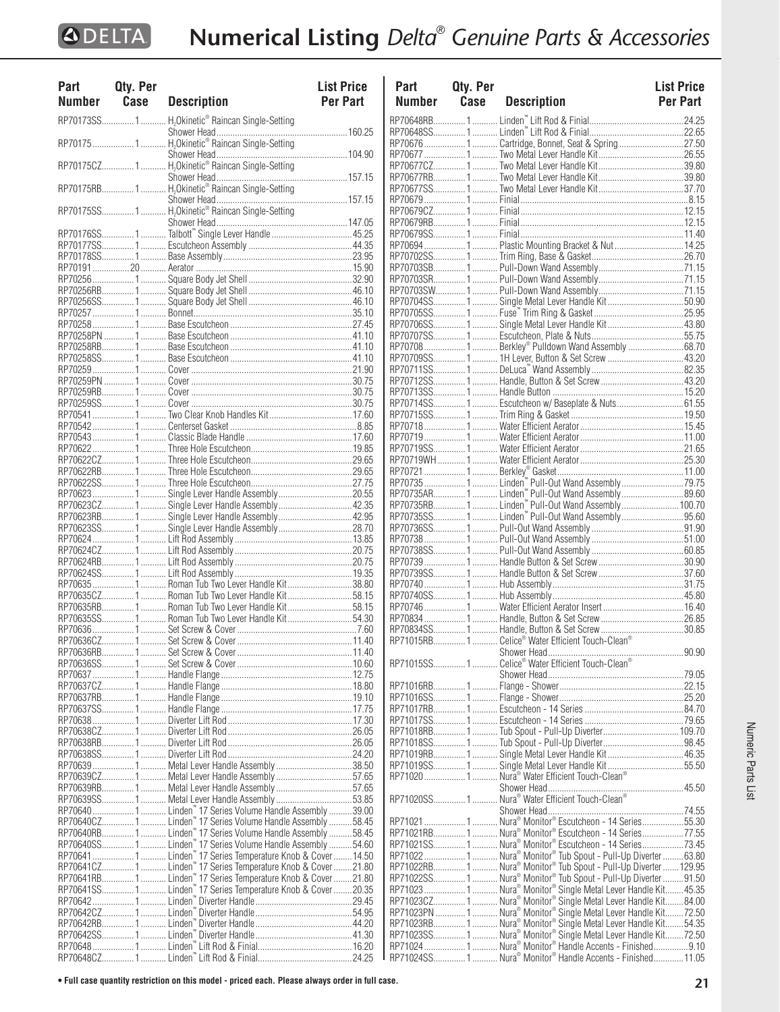| Part          | Qty. Per |                                                                                                                              | <b>List Price</b> |
|---------------|----------|------------------------------------------------------------------------------------------------------------------------------|-------------------|
| <b>Number</b> | Case     | <b>Description</b>                                                                                                           | <b>Per Part</b>   |
|               |          | RP70173SS1 H <sub>2</sub> Okinetic® Raincan Single-Setting                                                                   |                   |
|               |          |                                                                                                                              |                   |
|               |          |                                                                                                                              |                   |
|               |          |                                                                                                                              |                   |
|               |          |                                                                                                                              |                   |
|               |          |                                                                                                                              |                   |
|               |          |                                                                                                                              |                   |
|               |          |                                                                                                                              |                   |
|               |          |                                                                                                                              |                   |
|               |          |                                                                                                                              |                   |
|               |          |                                                                                                                              |                   |
|               |          |                                                                                                                              |                   |
|               |          |                                                                                                                              |                   |
|               |          |                                                                                                                              |                   |
|               |          |                                                                                                                              |                   |
|               |          |                                                                                                                              |                   |
|               |          |                                                                                                                              |                   |
|               |          |                                                                                                                              |                   |
|               |          |                                                                                                                              |                   |
|               |          |                                                                                                                              |                   |
|               |          |                                                                                                                              |                   |
|               |          |                                                                                                                              |                   |
|               |          |                                                                                                                              |                   |
|               |          |                                                                                                                              |                   |
|               |          |                                                                                                                              |                   |
|               |          |                                                                                                                              |                   |
|               |          |                                                                                                                              |                   |
|               |          |                                                                                                                              |                   |
|               |          |                                                                                                                              |                   |
|               |          |                                                                                                                              |                   |
|               |          |                                                                                                                              |                   |
|               |          | RP70623CZ1 Single Lever Handle Assembly42.35                                                                                 |                   |
|               |          | RP70623RB 1  Single Lever Handle Assembly  42.95                                                                             |                   |
|               |          | RP70623SS1 Single Lever Handle Assembly28.70                                                                                 |                   |
|               |          |                                                                                                                              |                   |
|               |          |                                                                                                                              |                   |
|               |          |                                                                                                                              |                   |
|               |          | RP70635  1  Roman Tub Two Lever Handle Kit 38.80                                                                             |                   |
|               |          | RP70635CZ1 Roman Tub Two Lever Handle Kit58.15                                                                               |                   |
|               |          | RP70635RB 1  Roman Tub Two Lever Handle Kit58.15                                                                             |                   |
|               |          | RP70635SS1 Roman Tub Two Lever Handle Kit54.30                                                                               |                   |
|               |          |                                                                                                                              |                   |
|               |          |                                                                                                                              |                   |
|               |          |                                                                                                                              |                   |
|               |          |                                                                                                                              |                   |
|               |          |                                                                                                                              |                   |
|               |          |                                                                                                                              |                   |
|               |          |                                                                                                                              |                   |
|               |          |                                                                                                                              |                   |
|               |          |                                                                                                                              |                   |
|               |          |                                                                                                                              |                   |
|               |          | RP70639 1  Metal Lever Handle Assembly 38.50                                                                                 |                   |
|               |          | RP70639CZ1 Metal Lever Handle Assembly57.65                                                                                  |                   |
|               |          | RP70639RB1 Metal Lever Handle Assembly57.65                                                                                  |                   |
|               |          | RP70639SS1 Metal Lever Handle Assembly53.85                                                                                  |                   |
|               |          | RP70640 1  Linden" 17 Series Volume Handle Assembly 39.00                                                                    |                   |
|               |          |                                                                                                                              |                   |
|               |          |                                                                                                                              |                   |
|               |          | RP70640SS1 Linden" 17 Series Volume Handle Assembly 54.60                                                                    |                   |
|               |          | RP70641  1  Linden" 17 Series Temperature Knob & Cover  14.50<br>RP70641CZ 1 Linden" 17 Series Temperature Knob & Cover21.80 |                   |
|               |          | RP70641RB 1  Linden" 17 Series Temperature Knob & Cover  21.80                                                               |                   |
|               |          |                                                                                                                              |                   |
|               |          |                                                                                                                              |                   |
|               |          |                                                                                                                              |                   |
|               |          |                                                                                                                              |                   |
|               |          |                                                                                                                              |                   |
|               |          |                                                                                                                              |                   |
|               |          |                                                                                                                              |                   |

| Part          | Qty. Per |                                                                                                                                   | <b>List Price</b> |
|---------------|----------|-----------------------------------------------------------------------------------------------------------------------------------|-------------------|
| <b>Number</b> | Case     | <b>Description</b>                                                                                                                | <b>Per Part</b>   |
|               |          |                                                                                                                                   |                   |
|               |          |                                                                                                                                   |                   |
|               |          | RP70676  1  Cartridge, Bonnet, Seat & Spring  27.50                                                                               |                   |
|               |          |                                                                                                                                   |                   |
|               |          |                                                                                                                                   |                   |
|               |          |                                                                                                                                   |                   |
|               |          |                                                                                                                                   |                   |
|               |          |                                                                                                                                   |                   |
|               |          |                                                                                                                                   |                   |
|               |          | RP70694 1  Plastic Mounting Bracket & Nut  14.25                                                                                  |                   |
|               |          |                                                                                                                                   |                   |
|               |          |                                                                                                                                   |                   |
|               |          |                                                                                                                                   |                   |
|               |          |                                                                                                                                   |                   |
|               |          | RP70704SS1 Single Metal Lever Handle Kit50.90                                                                                     |                   |
|               |          | RP70706SS1  Single Metal Lever Handle Kit  43.80                                                                                  |                   |
|               |          |                                                                                                                                   |                   |
|               |          | RP70708  1  Berkley® Pulldown Wand Assembly 68.70                                                                                 |                   |
|               |          | RP70709SS11H Lever, Button & Set Screw 43.20                                                                                      |                   |
|               |          |                                                                                                                                   |                   |
|               |          |                                                                                                                                   |                   |
|               |          | RP70714SS 1  Escutcheon w/ Baseplate & Nuts 61.55                                                                                 |                   |
|               |          |                                                                                                                                   |                   |
|               |          |                                                                                                                                   |                   |
|               |          |                                                                                                                                   |                   |
|               |          |                                                                                                                                   |                   |
|               |          |                                                                                                                                   |                   |
|               |          | RP70735  1  Linden <sup>"</sup> Pull-Out Wand Assembly 79.75<br>RP70735AR 1  Linden <sup>"</sup> Pull-Out Wand Assembly           |                   |
|               |          |                                                                                                                                   |                   |
|               |          | RP70735SS1  Linden <sup>"</sup> Pull-Out Wand Assembly95.60                                                                       |                   |
|               |          |                                                                                                                                   |                   |
|               |          |                                                                                                                                   |                   |
|               |          |                                                                                                                                   |                   |
|               |          |                                                                                                                                   |                   |
|               |          |                                                                                                                                   |                   |
|               |          |                                                                                                                                   |                   |
|               |          |                                                                                                                                   |                   |
|               |          |                                                                                                                                   |                   |
|               |          |                                                                                                                                   |                   |
|               |          |                                                                                                                                   |                   |
|               |          |                                                                                                                                   |                   |
|               |          |                                                                                                                                   |                   |
|               |          |                                                                                                                                   |                   |
|               |          |                                                                                                                                   |                   |
|               |          |                                                                                                                                   |                   |
|               |          |                                                                                                                                   |                   |
|               |          |                                                                                                                                   |                   |
|               |          | RP71019RB1 Single Metal Lever Handle Kit46.35                                                                                     |                   |
|               |          | RP71019SS1 Single Metal Lever Handle Kit55.50<br>RP71020  1  Nura <sup>®</sup> Water Efficient Touch-Clean <sup>®</sup>           |                   |
|               |          |                                                                                                                                   |                   |
|               |          |                                                                                                                                   |                   |
|               |          |                                                                                                                                   |                   |
|               |          | RP71021  1  Nura® Monitor® Escutcheon - 14 Series55.30                                                                            |                   |
|               |          | RP71021RB 1  Nura® Monitor® Escutcheon - 14 Series77.55                                                                           |                   |
|               |          | RP71021SS1  Nura® Monitor® Escutcheon - 14 Series73.45                                                                            |                   |
|               |          | RP71022  1  Nura® Monitor® Tub Spout - Pull-Up Diverter 63.80<br>RP71022RB 1  Nura® Monitor® Tub Spout - Pull-Up Diverter  129.95 |                   |
|               |          | RP71022SS1 Nura® Monitor® Tub Spout - Pull-Up Diverter 91.50                                                                      |                   |
|               |          | RP71023  1  Nura® Monitor® Single Metal Lever Handle Kit 45.35                                                                    |                   |
|               |          | RP71023CZ 1  Nura® Monitor® Single Metal Lever Handle Kit84.00                                                                    |                   |
|               |          | RP71023PN  1  Nura® Monitor® Single Metal Lever Handle Kit 72.50                                                                  |                   |
|               |          |                                                                                                                                   |                   |
|               |          |                                                                                                                                   |                   |
|               |          | RP71024SS1 Nura® Monitor® Handle Accents - Finished11.05                                                                          |                   |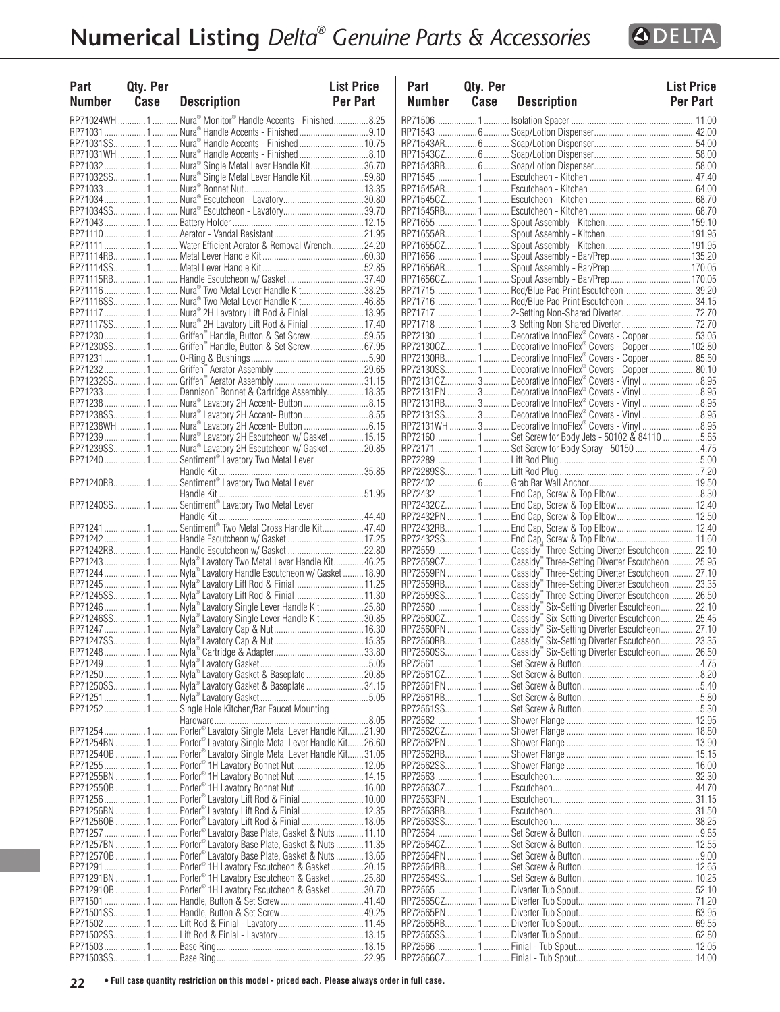

| <b>Part</b><br>Number Case | Qty. Per | <b>Description</b>                                                                                                                  | <b>List Price</b><br><b>Per Part</b> | Part<br><b>Numb</b>  |
|----------------------------|----------|-------------------------------------------------------------------------------------------------------------------------------------|--------------------------------------|----------------------|
|                            |          | RP71024WH  1  Nura® Monitor® Handle Accents - Finished 8.25                                                                         |                                      | RP71506.             |
|                            |          |                                                                                                                                     |                                      | RP71543.             |
|                            |          |                                                                                                                                     |                                      | RP71543A             |
|                            |          |                                                                                                                                     |                                      | RP71543C             |
|                            |          | RP71032  1  Nura® Single Metal Lever Handle Kit36.70<br>RP71032SS 1  Nura® Single Metal Lever Handle Kit59.80                       |                                      | RP71543R<br>RP71545. |
|                            |          |                                                                                                                                     |                                      | RP71545A             |
|                            |          |                                                                                                                                     |                                      | RP71545C             |
|                            |          |                                                                                                                                     |                                      | RP71545R             |
|                            |          |                                                                                                                                     |                                      | RP71655.             |
|                            |          |                                                                                                                                     |                                      | RP71655A             |
|                            |          |                                                                                                                                     |                                      | RP71655C<br>RP71656. |
|                            |          |                                                                                                                                     |                                      | RP71656A             |
|                            |          | RP71115RB1 Handle Escutcheon w/ Gasket 37.40                                                                                        |                                      | RP71656C             |
|                            |          | RP71116 1  Nura® Two Metal Lever Handle Kit38.25                                                                                    |                                      | RP71715.             |
|                            |          | RP71116SS 1  Nura® Two Metal Lever Handle Kit 46.85                                                                                 |                                      | RP71716.             |
|                            |          |                                                                                                                                     |                                      | RP71717.             |
|                            |          |                                                                                                                                     |                                      | RP71718              |
|                            |          | RP71230  1  Griffen" Handle, Button & Set Screw 59.55                                                                               |                                      | RP72130.             |
|                            |          | RP71230SS1Griffen" Handle, Button & Set Screw67.95                                                                                  |                                      | RP72130C<br>RP72130R |
|                            |          |                                                                                                                                     |                                      | RP72130S             |
|                            |          |                                                                                                                                     |                                      | RP72131C             |
|                            |          | RP71233  1  Dennison" Bonnet & Cartridge Assembly 18.35                                                                             |                                      | RP72131P             |
|                            |          | RP71238 1  Nura® Lavatory 2H Accent- Button 8.15                                                                                    |                                      | RP72131R             |
|                            |          |                                                                                                                                     |                                      | RP72131S             |
|                            |          | RP71238S  1  Nura® Lavatory 2H Accent- Button 8.55<br>RP71238WH  1  Nura® Lavatory 2H Accent- Button 6.15                           |                                      | RP72131W             |
|                            |          | RP71239  1  Nura® Lavatory 2H Escutcheon w/ Gasket  15.15                                                                           |                                      | RP72160.             |
|                            |          | RP71239SS 1  Nura® Lavatory 2H Escutcheon w/ Gasket  20.85                                                                          |                                      | RP72171.             |
|                            |          | RP71240  1  Sentiment® Lavatory Two Metal Lever                                                                                     |                                      | RP72289              |
|                            |          |                                                                                                                                     |                                      | RP72289S             |
|                            |          |                                                                                                                                     |                                      | RP72402              |
|                            |          |                                                                                                                                     |                                      | RP72432<br>RP72432C  |
|                            |          |                                                                                                                                     |                                      | RP72432P             |
|                            |          | RP71241 1  Sentiment® Two Metal Cross Handle Kit47.40                                                                               |                                      | RP72432R             |
|                            |          | RP712421 Handle Escutcheon w/ Gasket17.25                                                                                           |                                      | RP72432S             |
|                            |          |                                                                                                                                     |                                      | RP72559.             |
|                            |          | RP71243  1  Nyla® Lavatory Two Metal Lever Handle Kit 46.25                                                                         |                                      | RP72559C             |
|                            |          | RP71244  1  Nyla® Lavatory Handle Escutcheon w/ Gasket  18.90                                                                       |                                      | RP72559P             |
|                            |          | RP71245  1  Nyla® Lavatory Lift Rod & Finial  11.25                                                                                 |                                      | RP72559R             |
|                            |          | RP71245SS 1 Nyla® Lavatory Lift Rod & Finial 11.30<br>RP71246  1  Nyla® Lavatory Single Lever Handle Kit25.80                       |                                      | RP72559S<br>RP72560. |
|                            |          | RP71246SS 1  Nyla® Lavatory Single Lever Handle Kit30.85                                                                            |                                      | RP72560C             |
|                            |          |                                                                                                                                     |                                      | <b>RP72560P</b>      |
|                            |          |                                                                                                                                     |                                      | RP72560R             |
|                            |          |                                                                                                                                     |                                      | RP72560S             |
|                            |          |                                                                                                                                     |                                      | RP72561              |
|                            |          | RP71250  1  Nyla® Lavatory Gasket & Baseplate 20.85                                                                                 |                                      | RP72561C             |
|                            |          |                                                                                                                                     |                                      | RP72561P             |
|                            |          |                                                                                                                                     |                                      | RP72561R             |
|                            |          | RP71252 1  Single Hole Kitchen/Bar Faucet Mounting                                                                                  |                                      | RP72561S             |
|                            |          |                                                                                                                                     |                                      | RP72562.             |
|                            |          | RP71254  1  Porter® Lavatory Single Metal Lever Handle Kit21.90<br>RP71254BN 1  Porter® Lavatory Single Metal Lever Handle Kit26.60 |                                      | RP72562C<br>RP72562P |
|                            |          | RP712540B 1  Porter® Lavatory Single Metal Lever Handle Kit31.05                                                                    |                                      | RP72562R             |
|                            |          | RP71255  1  Porter® 1H Lavatory Bonnet Nut 12.05                                                                                    |                                      | RP72562S             |
|                            |          | RP71255BN  1  Porter® 1H Lavatory Bonnet Nut  14.15                                                                                 |                                      | RP72563.             |
|                            |          | RP712550B 1  Porter® 1H Lavatory Bonnet Nut  16.00                                                                                  |                                      | RP72563C             |
|                            |          | RP71256 1  Porter® Lavatory Lift Rod & Finial  10.00                                                                                |                                      | RP72563P             |
|                            |          | RP71256BN  1  Porter® Lavatory Lift Rod & Finial  12.35                                                                             |                                      | RP72563R             |
|                            |          | RP712560B  1  Porter® Lavatory Lift Rod & Finial  18.05                                                                             |                                      | RP72563S             |
|                            |          | RP71257 1  Porter® Lavatory Base Plate, Gasket & Nuts 11.10                                                                         |                                      | RP72564.             |
|                            |          | RP71257BN  1  Porter® Lavatory Base Plate, Gasket & Nuts  11.35                                                                     |                                      | RP72564C             |
|                            |          | RP712570B  1  Porter® Lavatory Base Plate, Gasket & Nuts  13.65                                                                     |                                      | RP72564P             |
|                            |          | RP71291  1  Porter® 1H Lavatory Escutcheon & Gasket 20.15<br>RP71291BN 1  Porter® 1H Lavatory Escutcheon & Gasket 25.80             |                                      | RP72564R<br>RP72564S |
|                            |          | RP712910B  1  Porter <sup>®</sup> 1H Lavatory Escutcheon & Gasket 30.70                                                             |                                      | RP72565.             |
|                            |          |                                                                                                                                     |                                      | RP72565C             |
|                            |          |                                                                                                                                     |                                      | RP72565P             |
|                            |          |                                                                                                                                     |                                      | <b>RP72565R</b>      |
|                            |          |                                                                                                                                     |                                      | RP72565S             |
|                            |          |                                                                                                                                     |                                      | RP72566              |
|                            |          |                                                                                                                                     |                                      | RP72566C             |

| Part          | Qty. Per    |                                                                                                                     | <b>List Price</b> |
|---------------|-------------|---------------------------------------------------------------------------------------------------------------------|-------------------|
| <b>Number</b> | <b>Case</b> | <b>Description</b>                                                                                                  | <b>Per Part</b>   |
|               |             |                                                                                                                     |                   |
|               |             |                                                                                                                     |                   |
|               |             |                                                                                                                     |                   |
|               |             |                                                                                                                     |                   |
|               |             |                                                                                                                     |                   |
|               |             |                                                                                                                     |                   |
|               |             |                                                                                                                     |                   |
|               |             |                                                                                                                     |                   |
|               |             |                                                                                                                     |                   |
|               |             |                                                                                                                     |                   |
|               |             |                                                                                                                     |                   |
|               |             | RP717151Red/Blue Pad Print Escutcheon39.20                                                                          |                   |
|               |             | RP71716  1  Red/Blue Pad Print Escutcheon 34.15                                                                     |                   |
|               |             |                                                                                                                     |                   |
|               |             | RP72130 1  Decorative InnoFlex® Covers - Copper53.05                                                                |                   |
|               |             | RP72130CZ 1  Decorative InnoFlex® Covers - Copper 102.80                                                            |                   |
|               |             | RP72130RB1Decorative InnoFlex® Covers - Copper85.50                                                                 |                   |
|               |             | RP72130SS1Decorative InnoFlex® Covers - Copper80.10<br>RP72131CZ3 Decorative InnoFlex® Covers - Vinyl 8.95          |                   |
|               |             | RP72131PN  3  Decorative InnoFlex® Covers - Vinyl  8.95                                                             |                   |
|               |             | RP72131RB3 Decorative InnoFlex® Covers - Vinyl 8.95                                                                 |                   |
|               |             | RP72131SS3 Decorative InnoFlex® Covers - Vinyl 8.95                                                                 |                   |
|               |             | RP72131WH  3  Decorative InnoFlex® Covers - Vinyl  8.95<br>RP72160  1  Set Screw for Body Jets - 50102 & 84110 5.85 |                   |
|               |             |                                                                                                                     |                   |
|               |             |                                                                                                                     |                   |
|               |             |                                                                                                                     |                   |
|               |             |                                                                                                                     |                   |
|               |             | RP72432CZ 1  End Cap, Screw & Top Elbow  12.40                                                                      |                   |
|               |             | RP72432PN  1  End Cap, Screw & Top Elbow  12.50                                                                     |                   |
|               |             | RP72432RB1  End Cap, Screw & Top Elbow  12.40<br>RP72432SS 1 End Cap, Screw & Top Elbow 11.60                       |                   |
|               |             |                                                                                                                     |                   |
|               |             |                                                                                                                     |                   |
|               |             |                                                                                                                     |                   |
|               |             |                                                                                                                     |                   |
|               |             |                                                                                                                     |                   |
|               |             |                                                                                                                     |                   |
|               |             |                                                                                                                     |                   |
|               |             |                                                                                                                     |                   |
|               |             |                                                                                                                     |                   |
|               |             |                                                                                                                     |                   |
|               |             |                                                                                                                     |                   |
|               |             |                                                                                                                     |                   |
|               |             |                                                                                                                     |                   |
|               |             |                                                                                                                     |                   |
|               |             |                                                                                                                     |                   |
|               |             |                                                                                                                     |                   |
|               |             |                                                                                                                     |                   |
|               |             |                                                                                                                     |                   |
|               |             |                                                                                                                     |                   |
|               |             |                                                                                                                     |                   |
|               |             |                                                                                                                     |                   |
|               |             |                                                                                                                     |                   |
|               |             |                                                                                                                     |                   |
|               |             |                                                                                                                     |                   |
|               |             |                                                                                                                     |                   |
|               |             |                                                                                                                     |                   |
|               |             |                                                                                                                     |                   |
|               |             |                                                                                                                     |                   |
|               |             |                                                                                                                     |                   |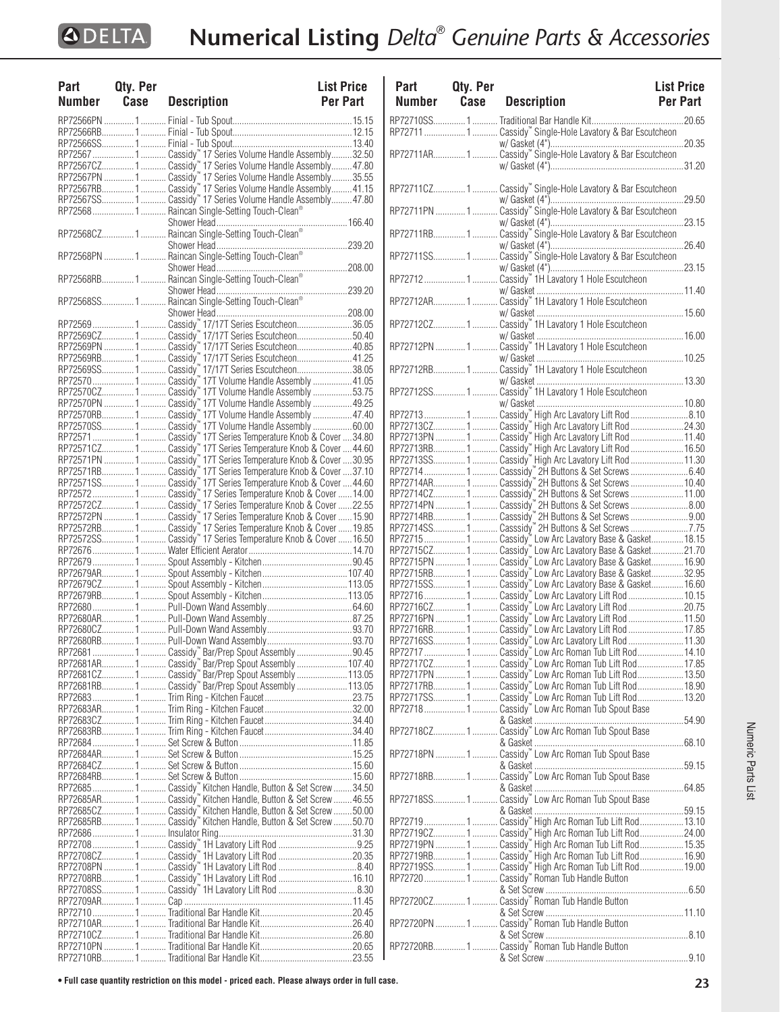| Part   | Qty. Per |                                                     | <b>List Price</b> |
|--------|----------|-----------------------------------------------------|-------------------|
| Number |          | <b>Case</b> Description                             | <b>Per Part</b>   |
|        |          |                                                     |                   |
|        |          |                                                     |                   |
|        |          |                                                     |                   |
|        |          |                                                     |                   |
|        |          |                                                     |                   |
|        |          |                                                     |                   |
|        |          |                                                     |                   |
|        |          |                                                     |                   |
|        |          |                                                     |                   |
|        |          | RP725681 Raincan Single-Setting Touch-Clean®        |                   |
|        |          |                                                     |                   |
|        |          |                                                     |                   |
|        |          |                                                     |                   |
|        |          |                                                     |                   |
|        |          |                                                     |                   |
|        |          |                                                     |                   |
|        |          |                                                     |                   |
|        |          |                                                     |                   |
|        |          |                                                     |                   |
|        |          |                                                     |                   |
|        |          |                                                     |                   |
|        |          |                                                     |                   |
|        |          |                                                     |                   |
|        |          |                                                     |                   |
|        |          |                                                     |                   |
|        |          |                                                     |                   |
|        |          |                                                     |                   |
|        |          |                                                     |                   |
|        |          |                                                     |                   |
|        |          |                                                     |                   |
|        |          |                                                     |                   |
|        |          |                                                     |                   |
|        |          |                                                     |                   |
|        |          |                                                     |                   |
|        |          |                                                     |                   |
|        |          |                                                     |                   |
|        |          |                                                     |                   |
|        |          |                                                     |                   |
|        |          |                                                     |                   |
|        |          |                                                     |                   |
|        |          |                                                     |                   |
|        |          |                                                     |                   |
|        |          |                                                     |                   |
|        |          |                                                     |                   |
|        |          |                                                     |                   |
|        |          |                                                     |                   |
|        |          |                                                     |                   |
|        |          |                                                     |                   |
|        |          |                                                     |                   |
|        |          | RP72681  1  Cassidy" Bar/Prep Spout Assembly  90.45 |                   |
|        |          |                                                     |                   |
|        |          |                                                     |                   |
|        |          |                                                     |                   |
|        |          |                                                     |                   |
|        |          |                                                     |                   |
|        |          |                                                     |                   |
|        |          |                                                     |                   |
|        |          |                                                     |                   |
|        |          |                                                     |                   |
|        |          |                                                     |                   |
|        |          |                                                     |                   |
|        |          |                                                     |                   |
|        |          |                                                     |                   |
|        |          |                                                     |                   |
|        |          |                                                     |                   |
|        |          |                                                     |                   |
|        |          |                                                     |                   |
|        |          |                                                     |                   |
|        |          |                                                     |                   |
|        |          |                                                     |                   |
|        |          |                                                     |                   |
|        |          |                                                     |                   |
|        |          |                                                     |                   |
|        |          |                                                     |                   |
|        |          |                                                     |                   |
|        |          |                                                     |                   |
|        |          |                                                     |                   |
|        |          |                                                     |                   |

| Part<br>Number | Qty. Per<br>Case | <b>Description</b>                                           | <b>List Price</b><br>Per Part |
|----------------|------------------|--------------------------------------------------------------|-------------------------------|
|                |                  |                                                              |                               |
|                |                  |                                                              |                               |
|                |                  |                                                              |                               |
|                |                  |                                                              |                               |
|                |                  | RP72711CZ1 Cassidy" Single-Hole Lavatory & Bar Escutcheon    |                               |
|                |                  | RP72711PN 1.  Cassidy" Single-Hole Lavatory & Bar Escutcheon |                               |
|                |                  |                                                              |                               |
|                |                  |                                                              |                               |
|                |                  |                                                              |                               |
|                |                  |                                                              |                               |
|                |                  | RP72712CZ1 Cassidy" 1H Lavatory 1 Hole Escutcheon            |                               |
|                |                  | RP72712PN 1  Cassidy" 1H Lavatory 1 Hole Escutcheon          |                               |
|                |                  |                                                              |                               |
|                |                  |                                                              |                               |
|                |                  |                                                              |                               |
|                |                  |                                                              |                               |
|                |                  |                                                              |                               |
|                |                  |                                                              |                               |
|                |                  |                                                              |                               |
|                |                  | RP72714 1  Casssidy" 2H Buttons & Set Screws 6.40            |                               |
|                |                  |                                                              |                               |
|                |                  |                                                              |                               |
|                |                  |                                                              |                               |
|                |                  |                                                              |                               |
|                |                  |                                                              |                               |
|                |                  |                                                              |                               |
|                |                  |                                                              |                               |
|                |                  |                                                              |                               |
|                |                  |                                                              |                               |
|                |                  |                                                              |                               |
|                |                  |                                                              |                               |
|                |                  |                                                              |                               |
|                |                  |                                                              |                               |
|                |                  |                                                              |                               |
|                |                  |                                                              |                               |
|                |                  |                                                              |                               |
|                |                  |                                                              |                               |
|                |                  |                                                              |                               |
|                |                  |                                                              |                               |
|                |                  |                                                              |                               |
|                |                  | RP72718CZ1 Cassidy" Low Arc Roman Tub Spout Base             |                               |
|                |                  | RP72718PN  1  Cassidy" Low Arc Roman Tub Spout Base          |                               |
|                |                  | RP72718RB1 Cassidy" Low Arc Roman Tub Spout Base             |                               |
|                |                  | RP72718SS1 Cassidy" Low Arc Roman Tub Spout Base             |                               |
|                |                  |                                                              |                               |
|                |                  |                                                              |                               |
|                |                  |                                                              |                               |
|                |                  |                                                              |                               |
|                |                  |                                                              |                               |
|                |                  | RP72720  1  Cassidy" Roman Tub Handle Button                 |                               |
|                |                  | RP72720CZ1 Cassidy" Roman Tub Handle Button                  |                               |
|                |                  | RP72720PN 1  Cassidy" Roman Tub Handle Button                |                               |
|                |                  | RP72720RB1 Cassidy" Roman Tub Handle Button                  |                               |
|                |                  |                                                              |                               |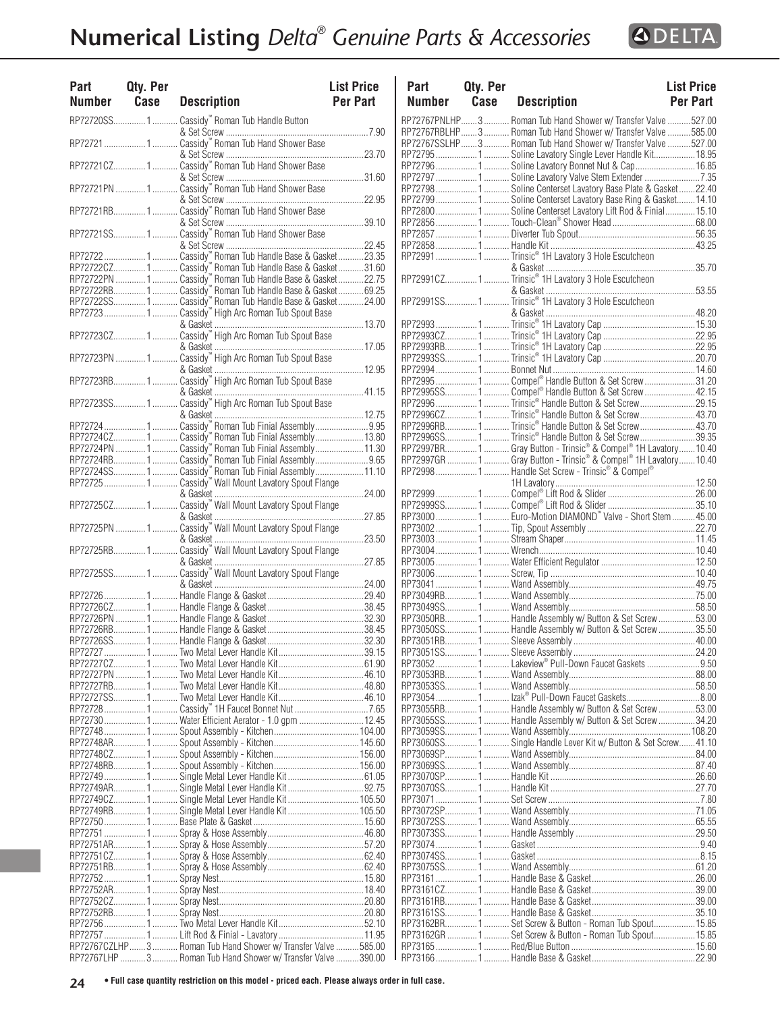| Part<br><b>Number</b> | Qty. Per<br>Case | <b>Description</b>                                                                                             | P<br><b>List Price</b><br>N<br><b>Per Part</b> |
|-----------------------|------------------|----------------------------------------------------------------------------------------------------------------|------------------------------------------------|
|                       |                  | RP72720SS 1  Cassidy" Roman Tub Handle Button                                                                  | RP <sub>7</sub>                                |
|                       |                  |                                                                                                                | RP7                                            |
|                       |                  |                                                                                                                | RP7<br>RP <sub>7</sub>                         |
|                       |                  |                                                                                                                | RP <sub>7</sub><br>RP <sub>7</sub>             |
|                       |                  | RP72721PN  1  Cassidy" Roman Tub Hand Shower Base                                                              | RP7<br>RP7                                     |
|                       |                  | RP72721RB1 Cassidy" Roman Tub Hand Shower Base                                                                 | RP <sub>7</sub>                                |
|                       |                  |                                                                                                                | RP7<br>RP <sub>7</sub>                         |
|                       |                  |                                                                                                                | RP7                                            |
|                       |                  |                                                                                                                | RP7                                            |
|                       |                  |                                                                                                                |                                                |
|                       |                  |                                                                                                                | RP <sub>7</sub>                                |
|                       |                  |                                                                                                                |                                                |
|                       |                  |                                                                                                                | RP <sub>7</sub>                                |
|                       |                  | RP72723  1  Cassidy" High Arc Roman Tub Spout Base                                                             | RP <sub>7</sub>                                |
|                       |                  |                                                                                                                | RP7<br>RP7                                     |
|                       |                  | RP72723PN  1  Cassidy" High Arc Roman Tub Spout Base                                                           | RP <sub>7</sub><br>RP <sub>7</sub>             |
|                       |                  | RP72723RB1 Cassidy" High Arc Roman Tub Spout Base                                                              | RP <sub>7</sub>                                |
|                       |                  |                                                                                                                | RP7<br>RP7                                     |
|                       |                  |                                                                                                                | RP7                                            |
|                       |                  | RP72724  1  Cassidy" Roman Tub Finial Assembly  9.95                                                           | RP <sub>7</sub>                                |
|                       |                  | RP72724CZ 1  Cassidy" Roman Tub Finial Assembly13.80<br>RP72724PN  1  Cassidy" Roman Tub Finial Assembly 11.30 | RP7                                            |
|                       |                  |                                                                                                                | RP <sub>7</sub>                                |
|                       |                  |                                                                                                                | RP <sub>7</sub>                                |
|                       |                  |                                                                                                                | RP <sub>7</sub>                                |
|                       |                  | RP72725  1  Cassidy" Wall Mount Lavatory Spout Flange                                                          | RP7                                            |
|                       |                  |                                                                                                                | RP <sub>7</sub><br>RP7                         |
|                       |                  | RP72725PN  1  Cassidy" Wall Mount Lavatory Spout Flange                                                        | RP7<br>RP7                                     |
|                       |                  | RP72725RB 1  Cassidy" Wall Mount Lavatory Spout Flange                                                         | RP7                                            |
|                       |                  |                                                                                                                | RP7<br>RP7                                     |
|                       |                  |                                                                                                                | RP <sub>7</sub><br>RP7                         |
|                       |                  |                                                                                                                | RP7                                            |
|                       |                  |                                                                                                                | RP7                                            |
|                       |                  |                                                                                                                | RP <sub>7</sub>                                |
|                       |                  |                                                                                                                | RP7                                            |
|                       |                  |                                                                                                                | RP <sub>7</sub>                                |
|                       |                  |                                                                                                                | RP7                                            |
|                       |                  |                                                                                                                | RP7                                            |
|                       |                  |                                                                                                                | RP7                                            |
|                       |                  |                                                                                                                | RP7                                            |
|                       |                  |                                                                                                                | RP7                                            |
|                       |                  | RP72730  1  Water Efficient Aerator - 1.0 gpm  12.45                                                           | RP7                                            |
|                       |                  |                                                                                                                | RP7                                            |
|                       |                  |                                                                                                                | RP7                                            |
|                       |                  |                                                                                                                | RP7                                            |
|                       |                  |                                                                                                                | RP7                                            |
|                       |                  |                                                                                                                | RP7                                            |
|                       |                  |                                                                                                                | RP7                                            |
|                       |                  | RP72749CZ 1  Single Metal Lever Handle Kit  105.50                                                             | RP7                                            |
|                       |                  | RP72749RB1 Single Metal Lever Handle Kit105.50                                                                 | RP7                                            |
|                       |                  |                                                                                                                | RP7                                            |
|                       |                  |                                                                                                                | RP7                                            |
|                       |                  |                                                                                                                | RP7                                            |
|                       |                  |                                                                                                                | RP7                                            |
|                       |                  |                                                                                                                | RP7                                            |
|                       |                  |                                                                                                                | RP7                                            |
|                       |                  |                                                                                                                | RP7                                            |
|                       |                  |                                                                                                                | RP7                                            |
|                       |                  |                                                                                                                | RP7                                            |
|                       |                  |                                                                                                                | RP7<br>RP7                                     |
|                       |                  | RP72767CZLHP 3  Roman Tub Hand Shower w/ Transfer Valve  585.00                                                | RP7                                            |

| Part          | Qty. Per |                                                                                                                  | <b>List Price</b> |
|---------------|----------|------------------------------------------------------------------------------------------------------------------|-------------------|
| <b>Number</b> | Case     | <b>Description</b>                                                                                               | <b>Per Part</b>   |
|               |          | RP72767PNLHP3 Roman Tub Hand Shower w/ Transfer Valve527.00                                                      |                   |
|               |          | RP72767RBLHP 3  Roman Tub Hand Shower w/ Transfer Valve  585.00                                                  |                   |
|               |          | RP72767SSLHP 3  Roman Tub Hand Shower w/ Transfer Valve  527.00                                                  |                   |
|               |          | RP72795  1  Soline Lavatory Single Lever Handle Kit 18.95<br>RP72796  1  Soline Lavatory Bonnet Nut & Cap  16.85 |                   |
|               |          | RP72797 1  Soline Lavatory Valve Stem Extender 7.35                                                              |                   |
|               |          | RP727981 Soline Centerset Lavatory Base Plate & Gasket22.40                                                      |                   |
|               |          | RP72799 1 Soline Centerset Lavatory Base Ring & Gasket 14.10                                                     |                   |
|               |          | RP72800 1  Soline Centerset Lavatory Lift Rod & Finial  15.10                                                    |                   |
|               |          |                                                                                                                  |                   |
|               |          |                                                                                                                  |                   |
|               |          | RP72991  1  Trinsic® 1H Lavatory 3 Hole Escutcheon                                                               |                   |
|               |          |                                                                                                                  |                   |
|               |          |                                                                                                                  |                   |
|               |          |                                                                                                                  |                   |
|               |          |                                                                                                                  |                   |
|               |          |                                                                                                                  |                   |
|               |          |                                                                                                                  |                   |
|               |          |                                                                                                                  |                   |
|               |          |                                                                                                                  |                   |
|               |          |                                                                                                                  |                   |
|               |          | RP72995  1  Compel® Handle Button & Set Screw 31.20                                                              |                   |
|               |          | RP72995SS 1  Compel® Handle Button & Set Screw  42.15                                                            |                   |
|               |          | RP72996  1  Trinsic® Handle Button & Set Screw 29.15                                                             |                   |
|               |          | RP72996CZ1  Trinsic® Handle Button & Set Screw43.70                                                              |                   |
|               |          | RP72996RB1  Trinsic® Handle Button & Set Screw43.70                                                              |                   |
|               |          | RP72996SS1Trinsic® Handle Button & Set Screw39.35                                                                |                   |
|               |          |                                                                                                                  |                   |
|               |          |                                                                                                                  |                   |
|               |          |                                                                                                                  |                   |
|               |          |                                                                                                                  |                   |
|               |          |                                                                                                                  |                   |
|               |          | RP73000  1  Euro-Motion DIAMOND" Valve - Short Stem  45.00                                                       |                   |
|               |          |                                                                                                                  |                   |
|               |          |                                                                                                                  |                   |
|               |          |                                                                                                                  |                   |
|               |          |                                                                                                                  |                   |
|               |          |                                                                                                                  |                   |
|               |          |                                                                                                                  |                   |
|               |          |                                                                                                                  |                   |
|               |          | RP73050RB1 Handle Assembly w/ Button & Set Screw53.00                                                            |                   |
|               |          | RP73050SS 1  Handle Assembly w/ Button & Set Screw 35.50                                                         |                   |
|               |          |                                                                                                                  |                   |
|               |          | RP730521 Lakeview® Pull-Down Faucet Gaskets 9.50                                                                 |                   |
|               |          |                                                                                                                  |                   |
|               |          |                                                                                                                  |                   |
|               |          |                                                                                                                  |                   |
|               |          | RP73055RB 1  Handle Assembly w/ Button & Set Screw 53.00                                                         |                   |
|               |          | RP73055SS1 Handle Assembly w/ Button & Set Screw34.20                                                            |                   |
|               |          |                                                                                                                  |                   |
|               |          | RP73060SS1 Single Handle Lever Kit w/ Button & Set Screw41.10                                                    |                   |
|               |          |                                                                                                                  |                   |
|               |          |                                                                                                                  |                   |
|               |          |                                                                                                                  |                   |
|               |          |                                                                                                                  |                   |
|               |          |                                                                                                                  |                   |
|               |          |                                                                                                                  |                   |
|               |          |                                                                                                                  |                   |
|               |          |                                                                                                                  |                   |
|               |          |                                                                                                                  |                   |
|               |          |                                                                                                                  |                   |
|               |          |                                                                                                                  |                   |
|               |          |                                                                                                                  |                   |
|               |          |                                                                                                                  |                   |
|               |          | RP73162BR1 Set Screw & Button - Roman Tub Spout15.85                                                             |                   |
|               |          | RP73162GR  1  Set Screw & Button - Roman Tub Spout 15.85                                                         |                   |
|               |          |                                                                                                                  |                   |
|               |          |                                                                                                                  |                   |

RP72767LHP ...........3 ........... Roman Tub Hand Shower w/ Transfer Valve..........390.00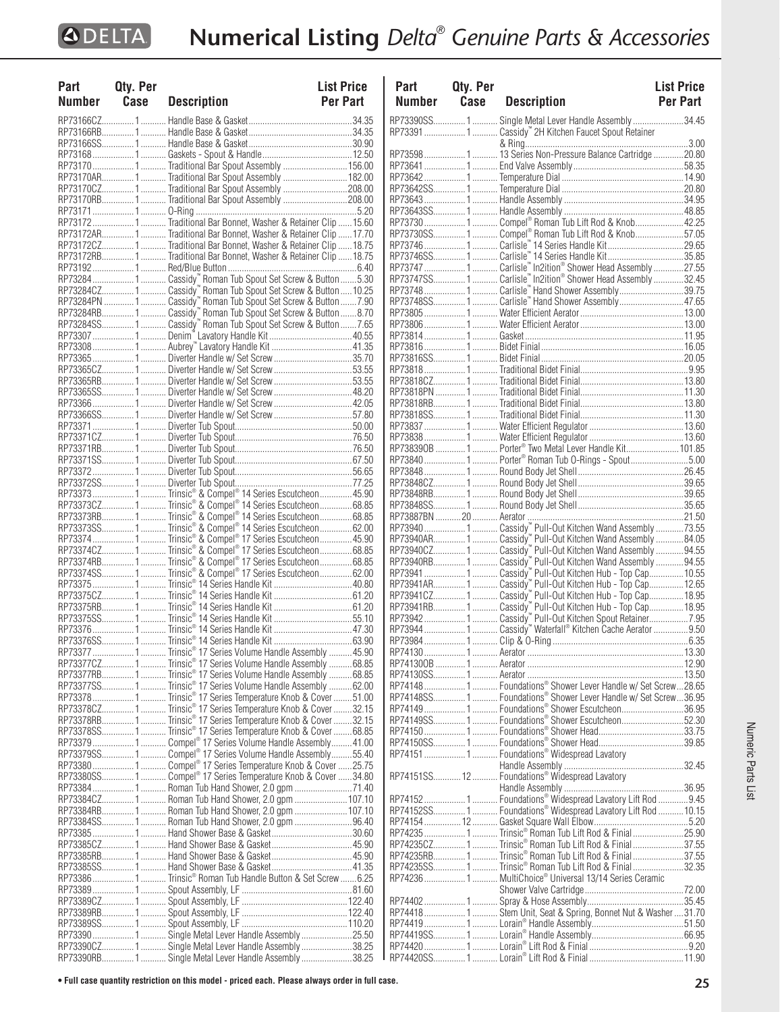| Part   | Qty. Per |                                                                                                            | <b>List Price</b> |
|--------|----------|------------------------------------------------------------------------------------------------------------|-------------------|
| Number | Case     | <b>Description</b>                                                                                         | <b>Per Part</b>   |
|        |          |                                                                                                            |                   |
|        |          |                                                                                                            |                   |
|        |          |                                                                                                            |                   |
|        |          |                                                                                                            |                   |
|        |          |                                                                                                            |                   |
|        |          | RP73170 1  Traditional Bar Spout Assembly  156.00                                                          |                   |
|        |          | RP73170AR 1 Traditional Bar Spout Assembly  182.00                                                         |                   |
|        |          | RP73170CZ1Traditional Bar Spout Assembly 208.00                                                            |                   |
|        |          | RP73170RB1Traditional Bar Spout Assembly208.00                                                             |                   |
|        |          |                                                                                                            |                   |
|        |          |                                                                                                            |                   |
|        |          | RP73172AR 1 Traditional Bar Bonnet, Washer & Retainer Clip  17.70                                          |                   |
|        |          | RP73172CZ1 Traditional Bar Bonnet, Washer & Retainer Clip 18.75                                            |                   |
|        |          | RP73172RB1 Traditional Bar Bonnet, Washer & Retainer Clip 18.75                                            |                   |
|        |          |                                                                                                            |                   |
|        |          |                                                                                                            |                   |
|        |          |                                                                                                            |                   |
|        |          |                                                                                                            |                   |
|        |          |                                                                                                            |                   |
|        |          | RP73284SS1 Cassidy" Roman Tub Spout Set Screw & Button7.65                                                 |                   |
|        |          |                                                                                                            |                   |
|        |          |                                                                                                            |                   |
|        |          | RP73365  1  Diverter Handle w/ Set Screw 35.70                                                             |                   |
|        |          | RP73365CZ1 Diverter Handle w/ Set Screw53.55                                                               |                   |
|        |          | RP73365RB1  Diverter Handle w/ Set Screw 53.55                                                             |                   |
|        |          |                                                                                                            |                   |
|        |          |                                                                                                            |                   |
|        |          | RP73366SS1 Diverter Handle w/ Set Screw57.80                                                               |                   |
|        |          |                                                                                                            |                   |
|        |          |                                                                                                            |                   |
|        |          |                                                                                                            |                   |
|        |          |                                                                                                            |                   |
|        |          |                                                                                                            |                   |
|        |          |                                                                                                            |                   |
|        |          |                                                                                                            |                   |
|        |          |                                                                                                            |                   |
|        |          | RP73373CZ 1 Trinsic® & Compel® 14 Series Escutcheon68.85                                                   |                   |
|        |          |                                                                                                            |                   |
|        |          |                                                                                                            |                   |
|        |          | RP73374 1 Trinsic® & Compel® 17 Series Escutcheon 45.90                                                    |                   |
|        |          | RP73374CZ1Trinsic®&Compel®17 Series Escutcheon68.85<br>RP73374RB1Trinsic®&Compel®17 Series Escutcheon68.85 |                   |
|        |          |                                                                                                            |                   |
|        |          | RP73374SS1Trinsic® & Compel® 17 Series Escutcheon62.00                                                     |                   |
|        |          | RP73375  1  Trinsic® 14 Series Handle Kit 40.80                                                            |                   |
|        |          |                                                                                                            |                   |
|        |          |                                                                                                            |                   |
|        |          | RP73375SS1  Trinsic® 14 Series Handle Kit 55.10                                                            |                   |
|        |          |                                                                                                            |                   |
|        |          |                                                                                                            |                   |
|        |          |                                                                                                            |                   |
|        |          | RP73377CZ1  Trinsic® 17 Series Volume Handle Assembly 68.85                                                |                   |
|        |          | RP73377RB1  Trinsic® 17 Series Volume Handle Assembly 68.85                                                |                   |
|        |          | RP73377SS1Trinsic® 17 Series Volume Handle Assembly 62.00                                                  |                   |
|        |          | RP73378 1  Trinsic® 17 Series Temperature Knob & Cover 51.00                                               |                   |
|        |          | RP73378CZ1 Trinsic® 17 Series Temperature Knob & Cover32.15                                                |                   |
|        |          | RP73378RB1 Trinsic® 17 Series Temperature Knob & Cover 32.15                                               |                   |
|        |          | RP73378SS 1  Trinsic® 17 Series Temperature Knob & Cover  68.85                                            |                   |
|        |          | RP73379 1  Compel® 17 Series Volume Handle Assembly 41.00                                                  |                   |
|        |          | RP73379SS 1 Compel® 17 Series Volume Handle Assembly55.40                                                  |                   |
|        |          |                                                                                                            |                   |
|        |          |                                                                                                            |                   |
|        |          | RP73380SS 1  Compel <sup>®</sup> 17 Series Temperature Knob & Cover 34.80                                  |                   |
|        |          | RP73384  1  Roman Tub Hand Shower, 2.0 gpm 71.40                                                           |                   |
|        |          | RP73384CZ1 Roman Tub Hand Shower, 2.0 gpm 107.10                                                           |                   |
|        |          | RP73384RB 1  Roman Tub Hand Shower, 2.0 gpm  107.10                                                        |                   |
|        |          | RP73384SS1 Roman Tub Hand Shower, 2.0 gpm 96.40                                                            |                   |
|        |          |                                                                                                            |                   |
|        |          |                                                                                                            |                   |
|        |          |                                                                                                            |                   |
|        |          |                                                                                                            |                   |
|        |          | RP73386  1  Trinsic® Roman Tub Handle Button & Set Screw  6.25                                             |                   |
|        |          |                                                                                                            |                   |
|        |          |                                                                                                            |                   |
|        |          |                                                                                                            |                   |
|        |          |                                                                                                            |                   |
|        |          | RP73390  1  Single Metal Lever Handle Assembly 25.50                                                       |                   |
|        |          | RP73390CZ1 Single Metal Lever Handle Assembly38.25                                                         |                   |
|        |          | RP73390RB1  Single Metal Lever Handle Assembly 38.25                                                       |                   |

| Part   | Qty. Per |                                                                                                                  | <b>List Price</b> |
|--------|----------|------------------------------------------------------------------------------------------------------------------|-------------------|
| Number | Case     | <b>Description</b>                                                                                               | Per Part          |
|        |          | RP73390SS1 Single Metal Lever Handle Assembly34.45                                                               |                   |
|        |          | RP73391  1  Cassidy" 2H Kitchen Faucet Spout Retainer                                                            |                   |
|        |          |                                                                                                                  |                   |
|        |          |                                                                                                                  |                   |
|        |          |                                                                                                                  |                   |
|        |          |                                                                                                                  |                   |
|        |          |                                                                                                                  |                   |
|        |          |                                                                                                                  |                   |
|        |          | RP73730 1 Compel® Roman Tub Lift Rod & Knob 42.25                                                                |                   |
|        |          | RP73730SS 1  Compel® Roman Tub Lift Rod & Knob57.05                                                              |                   |
|        |          |                                                                                                                  |                   |
|        |          |                                                                                                                  |                   |
|        |          | RP73747  1  Carlisle" In2ition® Shower Head Assembly 27.55                                                       |                   |
|        |          |                                                                                                                  |                   |
|        |          |                                                                                                                  |                   |
|        |          | RP73748SS1Carlisle" Hand Shower Assembly47.65                                                                    |                   |
|        |          |                                                                                                                  |                   |
|        |          |                                                                                                                  |                   |
|        |          |                                                                                                                  |                   |
|        |          |                                                                                                                  |                   |
|        |          |                                                                                                                  |                   |
|        |          |                                                                                                                  |                   |
|        |          |                                                                                                                  |                   |
|        |          |                                                                                                                  |                   |
|        |          |                                                                                                                  |                   |
|        |          |                                                                                                                  |                   |
|        |          |                                                                                                                  |                   |
|        |          | RP738390B  1  Porter® Two Metal Lever Handle Kit 101.85                                                          |                   |
|        |          | RP73840  1  Porter® Roman Tub O-Rings - Spout5.00                                                                |                   |
|        |          |                                                                                                                  |                   |
|        |          |                                                                                                                  |                   |
|        |          |                                                                                                                  |                   |
|        |          |                                                                                                                  |                   |
|        |          |                                                                                                                  |                   |
|        |          |                                                                                                                  |                   |
|        |          |                                                                                                                  |                   |
|        |          |                                                                                                                  |                   |
|        |          |                                                                                                                  |                   |
|        |          |                                                                                                                  |                   |
|        |          |                                                                                                                  |                   |
|        |          |                                                                                                                  |                   |
|        |          |                                                                                                                  |                   |
|        |          |                                                                                                                  |                   |
|        |          |                                                                                                                  |                   |
|        |          |                                                                                                                  |                   |
|        |          |                                                                                                                  |                   |
|        |          | RP741481 Foundations® Shower Lever Handle w/ Set Screw28.65                                                      |                   |
|        |          | RP74148SS1 Foundations® Shower Lever Handle w/ Set Screw36.95<br>RP74149  1  Foundations® Shower Escutcheon36.95 |                   |
|        |          | RP74149SS1 Foundations® Shower Escutcheon52.30                                                                   |                   |
|        |          |                                                                                                                  |                   |
|        |          |                                                                                                                  |                   |
|        |          |                                                                                                                  |                   |
|        |          |                                                                                                                  |                   |
|        |          |                                                                                                                  |                   |
|        |          |                                                                                                                  |                   |
|        |          |                                                                                                                  |                   |
|        |          | RP74152SS1 Foundations® Widespread Lavatory Lift Rod 10.15                                                       |                   |
|        |          | RP74235  1  Trinsic® Roman Tub Lift Rod & Finial 25.90                                                           |                   |
|        |          | RP74235CZ 1  Trinsic® Roman Tub Lift Rod & Finial 37.55                                                          |                   |
|        |          | RP74235RB1Trinsic® Roman Tub Lift Rod & Finial37.55                                                              |                   |
|        |          |                                                                                                                  |                   |
|        |          | RP74236  1  MultiChoice® Universal 13/14 Series Ceramic                                                          |                   |
|        |          |                                                                                                                  |                   |
|        |          |                                                                                                                  |                   |
|        |          | RP74418  1  Stem Unit, Seat & Spring, Bonnet Nut & Washer 31.70                                                  |                   |
|        |          |                                                                                                                  |                   |
|        |          |                                                                                                                  |                   |
|        |          |                                                                                                                  |                   |
|        |          |                                                                                                                  |                   |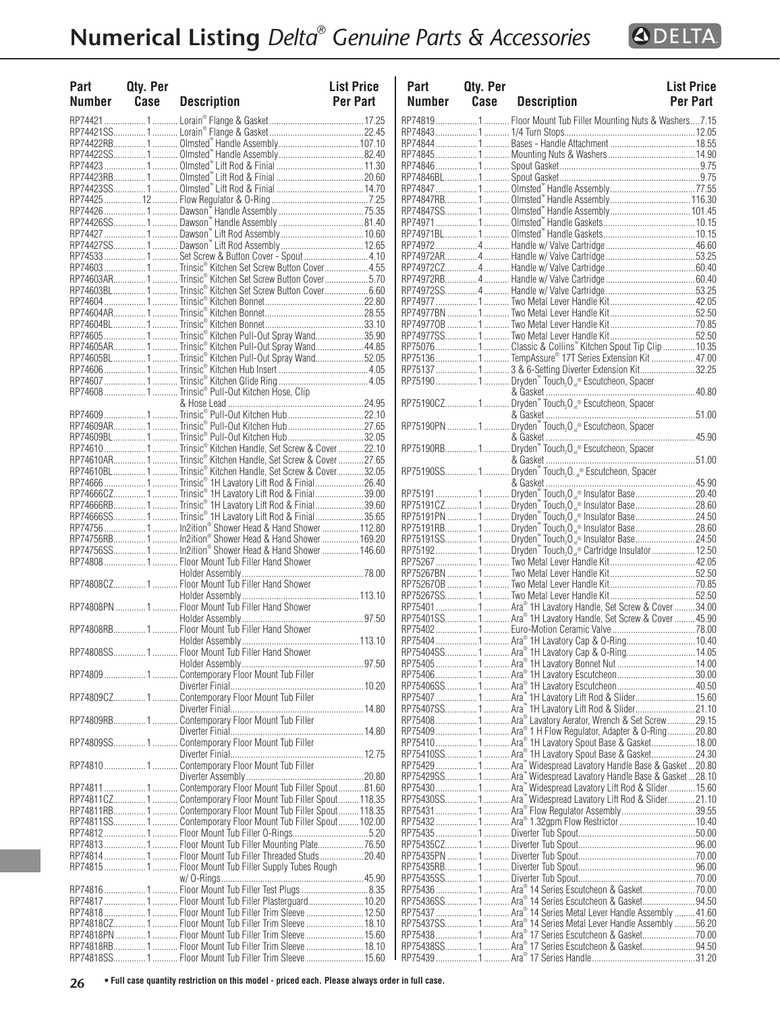

| Part | Qty. Per<br>Number Case | <b>Description</b>                                                                                                   | <b>List Price</b><br>Per Part |
|------|-------------------------|----------------------------------------------------------------------------------------------------------------------|-------------------------------|
|      |                         |                                                                                                                      |                               |
|      |                         |                                                                                                                      |                               |
|      |                         |                                                                                                                      |                               |
|      |                         |                                                                                                                      |                               |
|      |                         |                                                                                                                      |                               |
|      |                         |                                                                                                                      |                               |
|      |                         |                                                                                                                      |                               |
|      |                         |                                                                                                                      |                               |
|      |                         |                                                                                                                      |                               |
|      |                         |                                                                                                                      |                               |
|      |                         |                                                                                                                      |                               |
|      |                         | RP74427SS 1  Dawson" Lift Rod Assembly  12.65                                                                        |                               |
|      |                         | RP74533 1  Set Screw & Button Cover - Spout  4.10<br>RP74603 1  Trinsic® Kitchen Set Screw Button Cover 4.55         |                               |
|      |                         | RP74603AR1Trinsic® Kitchen Set Screw Button Cover5.70                                                                |                               |
|      |                         | RP74603BL1Trinsic® Kitchen Set Screw Button Cover6.60                                                                |                               |
|      |                         |                                                                                                                      |                               |
|      |                         |                                                                                                                      |                               |
|      |                         |                                                                                                                      |                               |
|      |                         |                                                                                                                      |                               |
|      |                         | RP74605AR 1 Trinsic® Kitchen Pull-Out Spray Wand44.85<br>RP74605BL 1 Trinsic® Kitchen Pull-Out Spray Wand52.05       |                               |
|      |                         |                                                                                                                      |                               |
|      |                         |                                                                                                                      |                               |
|      |                         | RP74608  1  Trinsic <sup>®</sup> Pull-Out Kitchen Hose, Clip                                                         |                               |
|      |                         |                                                                                                                      |                               |
|      |                         |                                                                                                                      |                               |
|      |                         |                                                                                                                      |                               |
|      |                         | RP74609BL1Trinsic® Pull-Out Kitchen Hub32.05                                                                         |                               |
|      |                         | RP74610  1  Trinsic® Kitchen Handle, Set Screw & Cover  22.10                                                        |                               |
|      |                         | RP74610AR 1  Trinsic® Kitchen Handle, Set Screw & Cover 27.65                                                        |                               |
|      |                         | RP74610BL1 Trinsic® Kitchen Handle, Set Screw & Cover32.05                                                           |                               |
|      |                         | RP74666 1  Trinsic® 1H Lavatory Lift Rod & Finial 26.40<br>RP74666CZ 1  Trinsic® 1H Lavatory Lift Rod & Finial 39.00 |                               |
|      |                         | RP74666RB 1  Trinsic® 1H Lavatory Lift Rod & Finial 39.60                                                            |                               |
|      |                         | RP74666SS 1 Trinsic® 1H Lavatory Lift Rod & Finial35.65                                                              |                               |
|      |                         |                                                                                                                      |                               |
|      |                         |                                                                                                                      |                               |
|      |                         |                                                                                                                      |                               |
|      |                         | RP74808 1 Floor Mount Tub Filler Hand Shower                                                                         |                               |
|      |                         |                                                                                                                      |                               |
|      |                         |                                                                                                                      |                               |
|      |                         |                                                                                                                      |                               |
|      |                         |                                                                                                                      |                               |
|      |                         |                                                                                                                      |                               |
|      |                         |                                                                                                                      |                               |
|      |                         |                                                                                                                      |                               |
|      |                         |                                                                                                                      |                               |
|      |                         | RP74809 1  Contemporary Floor Mount Tub Filler                                                                       |                               |
|      |                         | RP74809CZ 1  Contemporary Floor Mount Tub Filler                                                                     |                               |
|      |                         |                                                                                                                      |                               |
|      |                         | RP74809RB1 Contemporary Floor Mount Tub Filler                                                                       |                               |
|      |                         |                                                                                                                      |                               |
|      |                         | RP74809SS1 Contemporary Floor Mount Tub Filler                                                                       |                               |
|      |                         |                                                                                                                      |                               |
|      |                         | RP74810  1  Contemporary Floor Mount Tub Filler                                                                      |                               |
|      |                         |                                                                                                                      |                               |
|      |                         | RP74811  1  Contemporary Floor Mount Tub Filler Spout  81.60                                                         |                               |
|      |                         |                                                                                                                      |                               |
|      |                         | RP74811SS1 Contemporary Floor Mount Tub Filler Spout102.00                                                           |                               |
|      |                         | RP748121 Floor Mount Tub Filler O-Rings5.20                                                                          |                               |
|      |                         |                                                                                                                      |                               |
|      |                         | RP74814  1  Floor Mount Tub Filler Threaded Studs  20.40                                                             |                               |
|      |                         | RP74815  1  Floor Mount Tub Filler Supply Tubes Rough                                                                |                               |
|      |                         |                                                                                                                      |                               |
|      |                         |                                                                                                                      |                               |
|      |                         | RP74817 1  Floor Mount Tub Filler Plasterguard 10.20                                                                 |                               |
|      |                         | RP748181 Floor Mount Tub Filler Trim Sleeve  12.50<br>RP74818CZ1  Floor Mount Tub Filler Trim Sleeve  18.10          |                               |
|      |                         | RP74818PN 1  Floor Mount Tub Filler Trim Sleeve  15.60                                                               |                               |
|      |                         | RP74818RB1 Floor Mount Tub Filler Trim Sleeve 18.10                                                                  |                               |
|      |                         | RP74818SS1 Floor Mount Tub Filler Trim Sleeve 15.60                                                                  |                               |

| Part   | Qty. Per |                                                                                                                                                                                                         | <b>List Price</b> |
|--------|----------|---------------------------------------------------------------------------------------------------------------------------------------------------------------------------------------------------------|-------------------|
| Number | Case     | <b>Description</b>                                                                                                                                                                                      | Per Part          |
|        |          | RP74819  1  Floor Mount Tub Filler Mounting Nuts & Washers  7.15                                                                                                                                        |                   |
|        |          |                                                                                                                                                                                                         |                   |
|        |          |                                                                                                                                                                                                         |                   |
|        |          |                                                                                                                                                                                                         |                   |
|        |          |                                                                                                                                                                                                         |                   |
|        |          |                                                                                                                                                                                                         |                   |
|        |          |                                                                                                                                                                                                         |                   |
|        |          |                                                                                                                                                                                                         |                   |
|        |          |                                                                                                                                                                                                         |                   |
|        |          |                                                                                                                                                                                                         |                   |
|        |          |                                                                                                                                                                                                         |                   |
|        |          |                                                                                                                                                                                                         |                   |
|        |          |                                                                                                                                                                                                         |                   |
|        |          |                                                                                                                                                                                                         |                   |
|        |          |                                                                                                                                                                                                         |                   |
|        |          |                                                                                                                                                                                                         |                   |
|        |          |                                                                                                                                                                                                         |                   |
|        |          |                                                                                                                                                                                                         |                   |
|        |          | RP75076  1  Classic & Collins <sup>*</sup> Kitchen Spout Tip Clip  10.35<br>RP75136 1  TempAssure® 17T Series Extension Kit 47.00                                                                       |                   |
|        |          | RP75137  1  3 & 6-Setting Diverter Extension Kit32.25                                                                                                                                                   |                   |
|        |          | RP75190 1  Dryden" Touch <sub>2</sub> O <sub>xt</sub> ® Escutcheon, Spacer                                                                                                                              |                   |
|        |          |                                                                                                                                                                                                         |                   |
|        |          |                                                                                                                                                                                                         |                   |
|        |          |                                                                                                                                                                                                         |                   |
|        |          |                                                                                                                                                                                                         |                   |
|        |          |                                                                                                                                                                                                         |                   |
|        |          |                                                                                                                                                                                                         |                   |
|        |          |                                                                                                                                                                                                         |                   |
|        |          |                                                                                                                                                                                                         |                   |
|        |          |                                                                                                                                                                                                         |                   |
|        |          |                                                                                                                                                                                                         |                   |
|        |          |                                                                                                                                                                                                         |                   |
|        |          | $RPT5191 1 1 1. [Pyden" Touch204® Insulator Base 20.40\nRP75191C2 1 1. [Pyden" Touch204® Insulator Base 28.60\nRP75191PN 1 1. [Pyden" Touch204® Insulator Base 24.50\nRP75191R5 1 1. [Pyden" Touch204®$ |                   |
|        |          |                                                                                                                                                                                                         |                   |
|        |          |                                                                                                                                                                                                         |                   |
|        |          |                                                                                                                                                                                                         |                   |
|        |          |                                                                                                                                                                                                         |                   |
|        |          |                                                                                                                                                                                                         |                   |
|        |          | RP75401  1  Ara® 1H Lavatory Handle, Set Screw & Cover 34.00<br>RP75401SS 1  Ara® 1H Lavatory Handle, Set Screw & Cover  45.90                                                                          |                   |
|        |          |                                                                                                                                                                                                         |                   |
|        |          | RP75404 1 Ara® 1H Lavatory Cap & O-Ring 10.40                                                                                                                                                           |                   |
|        |          | RP75404SS 1  Ara® 1H Lavatory Cap & O-Ring 14.05                                                                                                                                                        |                   |
|        |          |                                                                                                                                                                                                         |                   |
|        |          |                                                                                                                                                                                                         |                   |
|        |          |                                                                                                                                                                                                         |                   |
|        |          | RP75407SS1 Ara" 1H Lavatory Lift Rod & Slider21.10                                                                                                                                                      |                   |
|        |          | RP75408  1  Ara® Lavatory Aerator, Wrench & Set Screw  29.15                                                                                                                                            |                   |
|        |          | RP75409 1  Ara® 1 H Flow Regulator, Adapter & O-Ring 20.80                                                                                                                                              |                   |
|        |          | RP75410 1 Ara® 1H Lavatory Spout Base & Gasket18.00                                                                                                                                                     |                   |
|        |          | RP75410SS 1 Ara® 1H Lavatory Spout Base & Gasket24.30<br>RP75429 1 Ara™ Widespread Lavatory Handle Base & Gasket20.80                                                                                   |                   |
|        |          |                                                                                                                                                                                                         |                   |
|        |          | RP75429SS 1  Ara" Widespread Lavatory Handle Base & Gasket 28.10<br>RP75430  1  Ara" Widespread Lavatory Lift Rod & Slider  15.60                                                                       |                   |
|        |          |                                                                                                                                                                                                         |                   |
|        |          | RP75431 1  Ara® Flow Regulator Assembly 39.55                                                                                                                                                           |                   |
|        |          | RP75432 1  Ara® 1.32gpm Flow Restrictor  10.40                                                                                                                                                          |                   |
|        |          |                                                                                                                                                                                                         |                   |
|        |          |                                                                                                                                                                                                         |                   |
|        |          |                                                                                                                                                                                                         |                   |
|        |          |                                                                                                                                                                                                         |                   |
|        |          | RP75436  1  Ara® 14 Series Escutcheon & Gasket 70.00                                                                                                                                                    |                   |
|        |          | RP75436SS 1  Ara® 14 Series Escutcheon & Gasket94.50                                                                                                                                                    |                   |
|        |          | RP75437 1  Ara® 14 Series Metal Lever Handle Assembly  41.60                                                                                                                                            |                   |
|        |          | RP75437SS1  Ara® 14 Series Metal Lever Handle Assembly 56.20                                                                                                                                            |                   |
|        |          | RP75438  1  Ara® 17 Series Escutcheon & Gasket70.00                                                                                                                                                     |                   |
|        |          | RP75438SS1 Ara <sup>®</sup> 17 Series Escutcheon & Gasket94.50                                                                                                                                          |                   |
|        |          |                                                                                                                                                                                                         |                   |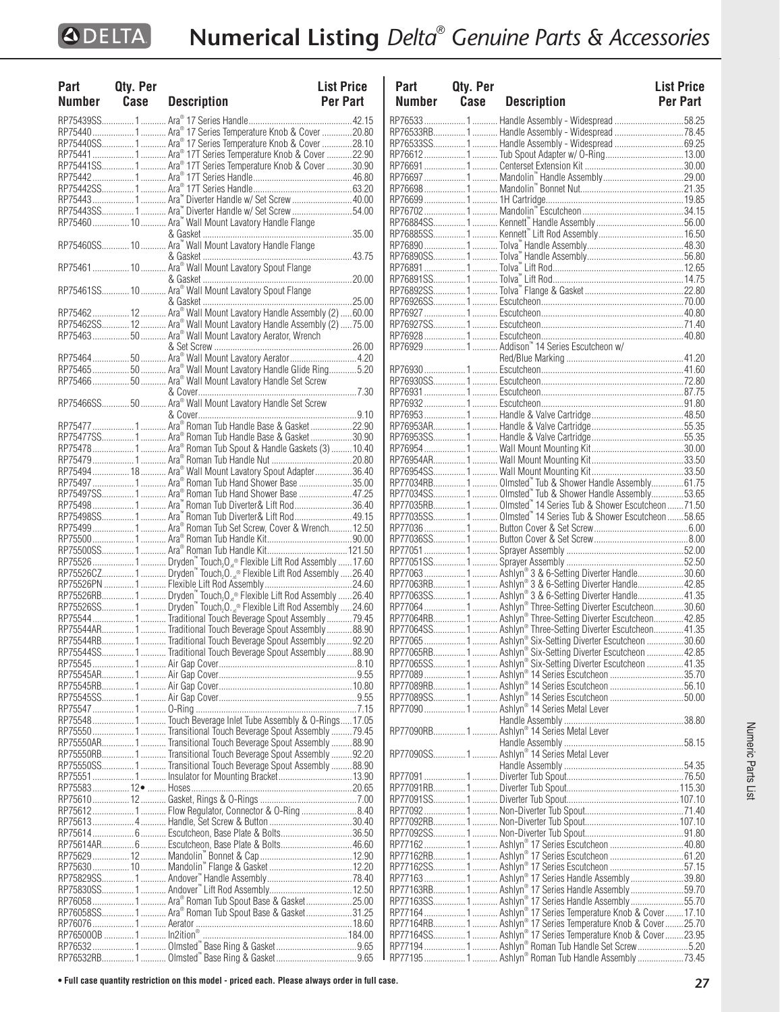| Part   | Qty. Per |                                                                                                                                                               | <b>List Price</b> |
|--------|----------|---------------------------------------------------------------------------------------------------------------------------------------------------------------|-------------------|
| Number | Case     | <b>Description</b>                                                                                                                                            | <b>Per Part</b>   |
|        |          |                                                                                                                                                               |                   |
|        |          | RP75440 1  Ara® 17 Series Temperature Knob & Cover 20.80                                                                                                      |                   |
|        |          | RP75440SS1  Ara® 17 Series Temperature Knob & Cover 28.10                                                                                                     |                   |
|        |          | RP75441  1  Ara® 17T Series Temperature Knob & Cover 22.90                                                                                                    |                   |
|        |          | RP75441SS1 Ara® 17T Series Temperature Knob & Cover 30.90                                                                                                     |                   |
|        |          |                                                                                                                                                               |                   |
|        |          |                                                                                                                                                               |                   |
|        |          | RP75443  1  Ara" Diverter Handle w/ Set Screw  40.00                                                                                                          |                   |
|        |          | RP75443SS 1  Ara <sup>™</sup> Diverter Handle w/ Set Screw 54.00                                                                                              |                   |
|        |          | RP75460  10  Ara" Wall Mount Lavatory Handle Flange                                                                                                           |                   |
|        |          |                                                                                                                                                               |                   |
|        |          |                                                                                                                                                               |                   |
|        |          |                                                                                                                                                               |                   |
|        |          |                                                                                                                                                               |                   |
|        |          |                                                                                                                                                               |                   |
|        |          |                                                                                                                                                               |                   |
|        |          |                                                                                                                                                               |                   |
|        |          |                                                                                                                                                               |                   |
|        |          | RP75462SS 12  Ara® Wall Mount Lavatory Handle Assembly (2)  75.00                                                                                             |                   |
|        |          | RP7546350 Ara® Wall Mount Lavatory Aerator, Wrench                                                                                                            |                   |
|        |          |                                                                                                                                                               |                   |
|        |          |                                                                                                                                                               |                   |
|        |          | RP7546550 Ara® Wall Mount Lavatory Handle Glide Ring5.20                                                                                                      |                   |
|        |          | RP75466 50  Ara® Wall Mount Lavatory Handle Set Screw                                                                                                         |                   |
|        |          |                                                                                                                                                               |                   |
|        |          |                                                                                                                                                               |                   |
|        |          |                                                                                                                                                               |                   |
|        |          |                                                                                                                                                               |                   |
|        |          | RP75477SS1 Ara® Roman Tub Handle Base & Gasket30.90                                                                                                           |                   |
|        |          | RP75478 1  Ara® Roman Tub Spout & Handle Gaskets (3)  10.40                                                                                                   |                   |
|        |          |                                                                                                                                                               |                   |
|        |          | RP75494  18  Ara® Wall Mount Lavatory Spout Adapter 36.40<br>RP75497  1  Ara® Roman Tub Hand Shower Base 35.00                                                |                   |
|        |          |                                                                                                                                                               |                   |
|        |          | RP75498 1  Ara" Roman Tub Diverter& Lift Rod 36.40                                                                                                            |                   |
|        |          | RP75498SS1  Ara" Roman Tub Diverter& Lift Rod49.15                                                                                                            |                   |
|        |          | RP75499  1  Ara® Roman Tub Set Screw, Cover & Wrench 12.50                                                                                                    |                   |
|        |          |                                                                                                                                                               |                   |
|        |          |                                                                                                                                                               |                   |
|        |          | RP75526  1  Dryden" Touch <sub>2</sub> O <sub>x®</sub> Flexible Lift Rod Assembly  17.60                                                                      |                   |
|        |          | RP75526CZ 1  Dryden <sup>**</sup> Touch <sub>2</sub> O. <sub>x<sup>®</sup></sub> Flexible Lift Rod Assembly 26.40                                             |                   |
|        |          |                                                                                                                                                               |                   |
|        |          |                                                                                                                                                               |                   |
|        |          | RP75526RB 1  Dryden™ Touch, O <sub>x®</sub> Flexible Lift Rod Assembly 26.40<br>RP75526SS 1  Dryden™ Touch, O. <sub>x®</sub> Flexible Lift Rod Assembly 24.60 |                   |
|        |          | RP75544 1  Traditional Touch Beverage Spout Assembly 79.45                                                                                                    |                   |
|        |          | RP75544AR 1 Traditional Touch Beverage Spout Assembly88.90                                                                                                    |                   |
|        |          | RP75544RB 1 Traditional Touch Beverage Spout Assembly92.20                                                                                                    |                   |
|        |          | RP75544SS1Traditional Touch Beverage Spout Assembly88.90                                                                                                      |                   |
|        |          |                                                                                                                                                               |                   |
|        |          |                                                                                                                                                               |                   |
|        |          |                                                                                                                                                               |                   |
|        |          |                                                                                                                                                               |                   |
|        |          |                                                                                                                                                               |                   |
|        |          | RP75548  1  Touch Beverage Inlet Tube Assembly & O-Rings 17.05                                                                                                |                   |
|        |          | RP75550 1  Transitional Touch Beverage Spout Assembly 79.45                                                                                                   |                   |
|        |          | RP75550AR 1  Transitional Touch Beverage Spout Assembly 88.90                                                                                                 |                   |
|        |          | RP75550RB1 Transitional Touch Beverage Spout Assembly92.20                                                                                                    |                   |
|        |          | RP75550SS1  Transitional Touch Beverage Spout Assembly 88.90                                                                                                  |                   |
|        |          |                                                                                                                                                               |                   |
|        |          |                                                                                                                                                               |                   |
|        |          |                                                                                                                                                               |                   |
|        |          | RP75612 1  Flow Regulator, Connector & O-Ring 8.40                                                                                                            |                   |
|        |          |                                                                                                                                                               |                   |
|        |          | RP75614 6 Escutcheon, Base Plate & Bolts36.50                                                                                                                 |                   |
|        |          |                                                                                                                                                               |                   |
|        |          |                                                                                                                                                               |                   |
|        |          |                                                                                                                                                               |                   |
|        |          |                                                                                                                                                               |                   |
|        |          | RP76058 1  Ara® Roman Tub Spout Base & Gasket25.00                                                                                                            |                   |
|        |          | RP76058SS1 Ara® Roman Tub Spout Base & Gasket31.25                                                                                                            |                   |
|        |          |                                                                                                                                                               |                   |
|        |          |                                                                                                                                                               |                   |
|        |          |                                                                                                                                                               |                   |
|        |          |                                                                                                                                                               |                   |
|        |          |                                                                                                                                                               |                   |

| Part          | Qty. Per |                                                                                                                            | <b>List Price</b> |
|---------------|----------|----------------------------------------------------------------------------------------------------------------------------|-------------------|
| <b>Number</b> | Case     | <b>Description</b>                                                                                                         | Per Part          |
|               |          | RP76533 1  Handle Assembly - Widespread 58.25                                                                              |                   |
|               |          | RP76533RB1 Handle Assembly - Widespread 78.45                                                                              |                   |
|               |          | RP76533SS1 Handle Assembly - Widespread 69.25                                                                              |                   |
|               |          |                                                                                                                            |                   |
|               |          |                                                                                                                            |                   |
|               |          |                                                                                                                            |                   |
|               |          |                                                                                                                            |                   |
|               |          |                                                                                                                            |                   |
|               |          |                                                                                                                            |                   |
|               |          |                                                                                                                            |                   |
|               |          |                                                                                                                            |                   |
|               |          |                                                                                                                            |                   |
|               |          |                                                                                                                            |                   |
|               |          |                                                                                                                            |                   |
|               |          |                                                                                                                            |                   |
|               |          |                                                                                                                            |                   |
|               |          |                                                                                                                            |                   |
|               |          |                                                                                                                            |                   |
|               |          | RP76929  1  Addison" 14 Series Escutcheon w/                                                                               |                   |
|               |          |                                                                                                                            |                   |
|               |          |                                                                                                                            |                   |
|               |          |                                                                                                                            |                   |
|               |          |                                                                                                                            |                   |
|               |          |                                                                                                                            |                   |
|               |          |                                                                                                                            |                   |
|               |          |                                                                                                                            |                   |
|               |          |                                                                                                                            |                   |
|               |          |                                                                                                                            |                   |
|               |          |                                                                                                                            |                   |
|               |          |                                                                                                                            |                   |
|               |          | <br>RP77034RB 1  Olmsted" Tub & Shower Handle Assembly61.75<br>RP77034SS 1  Olmsted" Tub & Shower Handle Assembly53.65     |                   |
|               |          | RP77035RB 1  Olmsted" 14 Series Tub & Shower Escutcheon  71.50                                                             |                   |
|               |          | RP77035SS1 Olmsted" 14 Series Tub & Shower Escutcheon58.65                                                                 |                   |
|               |          |                                                                                                                            |                   |
|               |          |                                                                                                                            |                   |
|               |          |                                                                                                                            |                   |
|               |          |                                                                                                                            |                   |
|               |          | RP77063 1  Ashlyn® 3 & 6-Setting Diverter Handle30.60                                                                      |                   |
|               |          |                                                                                                                            |                   |
|               |          |                                                                                                                            |                   |
|               |          | RP770641 Ashlyn® Three-Setting Diverter Escutcheon30.60                                                                    |                   |
|               |          | RP77064RB 1 Ashlyn® Three-Setting Diverter Escutcheon 42.85<br>RP77064SS 1 Ashlyn® Three-Setting Diverter Escutcheon 41.35 |                   |
|               |          |                                                                                                                            |                   |
|               |          |                                                                                                                            |                   |
|               |          |                                                                                                                            |                   |
|               |          |                                                                                                                            |                   |
|               |          |                                                                                                                            |                   |
|               |          |                                                                                                                            |                   |
|               |          | RP77090 1 Ashlyn® 14 Series Metal Lever                                                                                    |                   |
|               |          |                                                                                                                            |                   |
|               |          |                                                                                                                            |                   |
|               |          |                                                                                                                            |                   |
|               |          |                                                                                                                            |                   |
|               |          |                                                                                                                            |                   |
|               |          |                                                                                                                            |                   |
|               |          |                                                                                                                            |                   |
|               |          |                                                                                                                            |                   |
|               |          |                                                                                                                            |                   |
|               |          |                                                                                                                            |                   |
|               |          | RP77162 1  Ashlyn® 17 Series Escutcheon 40.80                                                                              |                   |
|               |          | RP77162RB1 Ashlyn® 17 Series Escutcheon 61.20                                                                              |                   |
|               |          | RP77162SS1 Ashlyn® 17 Series Escutcheon 57.15                                                                              |                   |
|               |          | RP77163 1  Ashlyn® 17 Series Handle Assembly 39.80                                                                         |                   |
|               |          | RP77163RB1 Ashlyn® 17 Series Handle Assembly59.70                                                                          |                   |
|               |          | RP77163SS1 Ashlyn® 17 Series Handle Assembly55.70                                                                          |                   |
|               |          | RP771641 Ashlyn® 17 Series Temperature Knob & Cover17.10                                                                   |                   |
|               |          |                                                                                                                            |                   |
|               |          |                                                                                                                            |                   |
|               |          |                                                                                                                            |                   |
|               |          |                                                                                                                            |                   |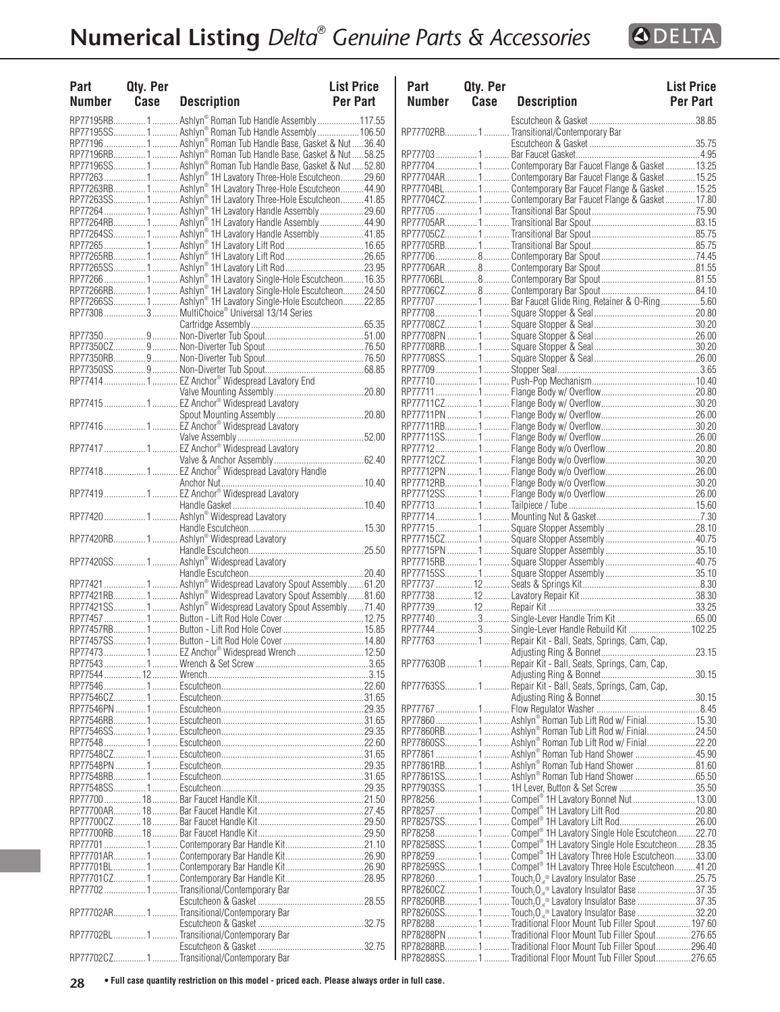

| <b>Part</b><br>Number Case | <b>Qty. Per</b> | <b>Description</b>                                            | <b>List Price</b><br><b>Per Part</b> | Par<br>Nur                   |
|----------------------------|-----------------|---------------------------------------------------------------|--------------------------------------|------------------------------|
|                            |                 |                                                               |                                      |                              |
|                            |                 | RP77195SS 1  Ashlyn® Roman Tub Handle Assembly  106.50        |                                      | <b>RP777</b>                 |
|                            |                 | RP77196  1  Ashlyn® Roman Tub Handle Base, Gasket & Nut 36.40 |                                      |                              |
|                            |                 |                                                               |                                      | <b>RP777</b>                 |
|                            |                 | RP77196SS 1  Ashlyn® Roman Tub Handle Base, Gasket & Nut52.80 |                                      | <b>RP777</b>                 |
|                            |                 | RP77263  1  Ashlyn® 1H Lavatory Three-Hole Escutcheon 29.60   |                                      | <b>RP777</b>                 |
|                            |                 | RP77263RB 1 Ashlyn® 1H Lavatory Three-Hole Escutcheon 44.90   |                                      | <b>RP777</b><br><b>RP777</b> |
|                            |                 |                                                               |                                      | <b>RP777</b>                 |
|                            |                 | RP77264RB 1  Ashlyn® 1H Lavatory Handle Assembly  44.90       |                                      | <b>RP777</b>                 |
|                            |                 |                                                               |                                      | <b>RP777</b>                 |
|                            |                 |                                                               |                                      | <b>RP777</b>                 |
|                            |                 |                                                               |                                      | <b>RP777</b>                 |
|                            |                 |                                                               |                                      | <b>RP777</b>                 |
|                            |                 | RP77266  1  Ashlyn® 1H Lavatory Single-Hole Escutcheon 16.35  |                                      | <b>RP777</b>                 |
|                            |                 |                                                               |                                      | <b>RP777</b><br><b>RP777</b> |
|                            |                 | RP77308  3  MultiChoice® Universal 13/14 Series               |                                      | <b>RP777</b>                 |
|                            |                 |                                                               |                                      | <b>RP777</b>                 |
|                            |                 |                                                               |                                      | <b>RP777</b>                 |
|                            |                 |                                                               |                                      | <b>RP777</b>                 |
|                            |                 |                                                               |                                      | <b>RP777</b>                 |
|                            |                 |                                                               |                                      | <b>RP777</b>                 |
|                            |                 | RP77414 1 EZ Anchor® Widespread Lavatory End                  |                                      | <b>RP777</b>                 |
|                            |                 |                                                               |                                      | <b>RP777</b>                 |
|                            |                 |                                                               |                                      | <b>RP777</b>                 |
|                            |                 |                                                               |                                      | <b>RP777</b><br><b>RP777</b> |
|                            |                 |                                                               |                                      | <b>RP777</b>                 |
|                            |                 |                                                               |                                      | <b>RP777</b>                 |
|                            |                 |                                                               |                                      | <b>RP777</b>                 |
|                            |                 |                                                               |                                      | <b>RP777</b>                 |
|                            |                 |                                                               |                                      | <b>RP777</b>                 |
|                            |                 |                                                               |                                      | <b>RP777</b>                 |
|                            |                 |                                                               |                                      | <b>RP777</b>                 |
|                            |                 |                                                               |                                      | <b>RP777</b><br><b>RP777</b> |
|                            |                 |                                                               |                                      | <b>RP777</b>                 |
|                            |                 |                                                               |                                      | <b>RP777</b>                 |
|                            |                 |                                                               |                                      | <b>RP777</b>                 |
|                            |                 |                                                               |                                      | <b>RP777</b>                 |
|                            |                 | RP77421  1  Ashlyn® Widespread Lavatory Spout Assembly  61.20 |                                      | <b>RP777</b>                 |
|                            |                 | RP77421RB 1 Ashlyn® Widespread Lavatory Spout Assembly81.60   |                                      | <b>RP777</b>                 |
|                            |                 | RP77421SS 1  Ashlyn® Widespread Lavatory Spout Assembly71.40  |                                      | <b>RP777</b>                 |
|                            |                 |                                                               |                                      | <b>RP777</b>                 |
|                            |                 |                                                               |                                      | <b>RP777</b><br><b>RP777</b> |
|                            |                 | RP77473  1  EZ Anchor® Widespread Wrench  12.50               |                                      |                              |
|                            |                 |                                                               |                                      | <b>RP777</b>                 |
|                            |                 |                                                               |                                      |                              |
|                            |                 |                                                               |                                      | <b>RP777</b>                 |
|                            |                 |                                                               |                                      |                              |
|                            |                 |                                                               |                                      | <b>RP777</b>                 |
|                            |                 |                                                               |                                      | <b>RP778</b>                 |
|                            |                 |                                                               |                                      | <b>RP778</b>                 |
|                            |                 |                                                               |                                      | <b>RP778</b><br><b>RP778</b> |
|                            |                 |                                                               |                                      | <b>RP778</b>                 |
|                            |                 |                                                               |                                      | <b>RP778</b>                 |
|                            |                 |                                                               |                                      | <b>RP779</b>                 |
|                            |                 |                                                               |                                      | <b>RP782</b>                 |
|                            |                 |                                                               |                                      | <b>RP782</b>                 |
|                            |                 |                                                               |                                      | <b>RP782</b>                 |
|                            |                 |                                                               |                                      | RP782                        |
|                            |                 |                                                               |                                      | <b>RP782</b>                 |
|                            |                 |                                                               |                                      | <b>RP782</b><br><b>RP782</b> |
|                            |                 |                                                               |                                      | <b>RP782</b>                 |
|                            |                 | RP777021Transitional/Contemporary Bar                         |                                      | <b>RP782</b>                 |
|                            |                 |                                                               |                                      | <b>RP782</b>                 |
|                            |                 | RP77702AR 1  Transitional/Contemporary Bar                    |                                      | <b>RP782</b>                 |
|                            |                 |                                                               |                                      | <b>RP782</b>                 |
|                            |                 | RP77702BL1 Transitional/Contemporary Bar                      |                                      | <b>RP782</b>                 |
|                            |                 |                                                               |                                      | <b>RP782</b>                 |
|                            |                 | RP77702CZ 1  Transitional/Contemporary Bar                    |                                      | <b>RP782</b>                 |

| Part<br>Number | Qty. Per<br>Case | <b>Description</b>                                                                                                    | <b>List Price</b><br><b>Per Part</b> |
|----------------|------------------|-----------------------------------------------------------------------------------------------------------------------|--------------------------------------|
|                |                  |                                                                                                                       |                                      |
|                |                  | RP77702RB1Transitional/Contemporary Bar                                                                               |                                      |
|                |                  |                                                                                                                       |                                      |
|                |                  | RP77704  1  Contemporary Bar Faucet Flange & Gasket  13.25                                                            |                                      |
|                |                  | RP77704AR 1  Contemporary Bar Faucet Flange & Gasket 15.25                                                            |                                      |
|                |                  | RP77704BL1 Contemporary Bar Faucet Flange & Gasket15.25                                                               |                                      |
|                |                  | RP77704CZ 1  Contemporary Bar Faucet Flange & Gasket  17.80                                                           |                                      |
|                |                  |                                                                                                                       |                                      |
|                |                  |                                                                                                                       |                                      |
|                |                  |                                                                                                                       |                                      |
|                |                  |                                                                                                                       |                                      |
|                |                  |                                                                                                                       |                                      |
|                |                  |                                                                                                                       |                                      |
|                |                  | RP77707  1  Bar Faucet Glide Ring, Retainer & O-Ring 5.60                                                             |                                      |
|                |                  |                                                                                                                       |                                      |
|                |                  |                                                                                                                       |                                      |
|                |                  |                                                                                                                       |                                      |
|                |                  |                                                                                                                       |                                      |
|                |                  |                                                                                                                       |                                      |
|                |                  |                                                                                                                       |                                      |
|                |                  |                                                                                                                       |                                      |
|                |                  |                                                                                                                       |                                      |
|                |                  |                                                                                                                       |                                      |
|                |                  |                                                                                                                       |                                      |
|                |                  |                                                                                                                       |                                      |
|                |                  |                                                                                                                       |                                      |
|                |                  |                                                                                                                       |                                      |
|                |                  |                                                                                                                       |                                      |
|                |                  |                                                                                                                       |                                      |
|                |                  |                                                                                                                       |                                      |
|                |                  |                                                                                                                       |                                      |
|                |                  |                                                                                                                       |                                      |
|                |                  |                                                                                                                       |                                      |
|                |                  |                                                                                                                       |                                      |
|                |                  |                                                                                                                       |                                      |
|                |                  |                                                                                                                       |                                      |
|                |                  |                                                                                                                       |                                      |
|                |                  | RP77744  3  Single-Lever Handle Rebuild Kit  102.25                                                                   |                                      |
|                |                  | RP77763  1  Repair Kit - Ball, Seats, Springs, Cam, Cap,                                                              |                                      |
|                |                  |                                                                                                                       | 23.15                                |
|                |                  | RP777630B  1  Repair Kit - Ball, Seats, Springs, Cam, Cap,                                                            |                                      |
|                |                  | RP77763SS1 Repair Kit - Ball, Seats, Springs, Cam, Cap,                                                               |                                      |
|                |                  |                                                                                                                       |                                      |
|                |                  |                                                                                                                       |                                      |
|                |                  | RP77860  1  Ashlyn® Roman Tub Lift Rod w/ Finial  15.30                                                               |                                      |
|                |                  | RP77860RB1 Ashlyn® Roman Tub Lift Rod w/ Finial24.50                                                                  |                                      |
|                |                  | RP77860SS 1  Ashlyn® Roman Tub Lift Rod w/ Finial22.20                                                                |                                      |
|                |                  |                                                                                                                       |                                      |
|                |                  |                                                                                                                       |                                      |
|                |                  |                                                                                                                       |                                      |
|                |                  | RP78256 1  Compel® 1H Lavatory Bonnet Nut 13.00                                                                       |                                      |
|                |                  | RP78257SS1 Compel® 1H Lavatory Lift Rod26.00                                                                          |                                      |
|                |                  | RP78258 1 Compel® 1H Lavatory Single Hole Escutcheon22.70                                                             |                                      |
|                |                  | RP78258SS1 Compel® 1H Lavatory Single Hole Escutcheon28.35                                                            |                                      |
|                |                  | RP78259  1  Compel® 1H Lavatory Three Hole Escutcheon33.00                                                            |                                      |
|                |                  | RP78259SS 1  Compel® 1H Lavatory Three Hole Escutcheon 41.20                                                          |                                      |
|                |                  |                                                                                                                       |                                      |
|                |                  |                                                                                                                       |                                      |
|                |                  |                                                                                                                       |                                      |
|                |                  | RP78288 1  Traditional Floor Mount Tub Filler Spout 197.60                                                            |                                      |
|                |                  | RP78288PN 1  Traditional Floor Mount Tub Filler Spout276.65                                                           |                                      |
|                |                  | RP78288RB1 Traditional Floor Mount Tub Filler Spout296.40<br>RP78288SS1Traditional Floor Mount Tub Filler Spout276.65 |                                      |
|                |                  |                                                                                                                       |                                      |